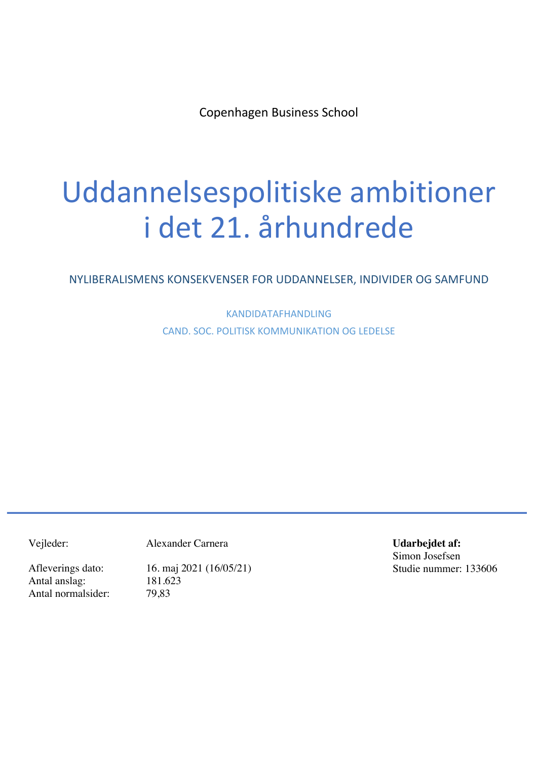Copenhagen Business School

# Uddannelsespolitiske ambitioner i det 21. århundrede

NYLIBERALISMENS KONSEKVENSER FOR UDDANNELSER, INDIVIDER OG SAMFUND

KANDIDATAFHANDLING CAND. SOC. POLITISK KOMMUNIKATION OG LEDELSE

Vejleder: Alexander Carnera

Antal anslag: 181.623 Antal normalsider: 79,83

Afleverings dato: 16. maj 2021 (16/05/21)

**Udarbejdet af:** Simon Josefsen Studie nummer: 133606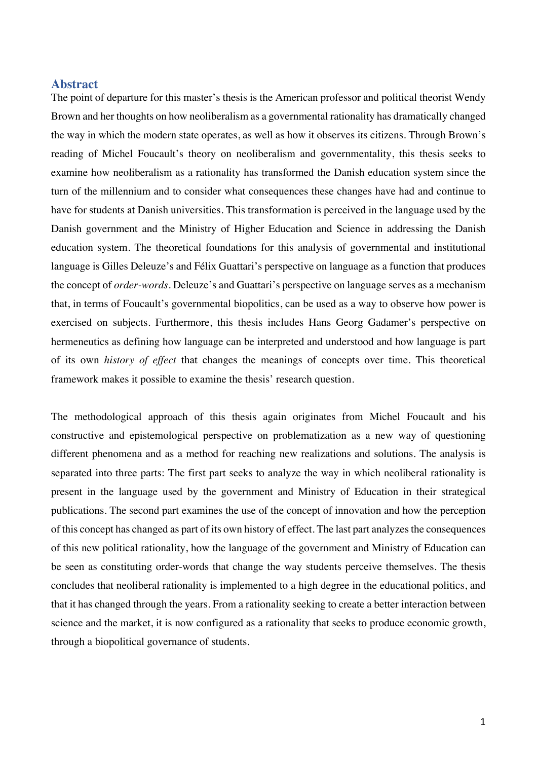## **Abstract**

The point of departure for this master's thesis is the American professor and political theorist Wendy Brown and her thoughts on how neoliberalism as a governmental rationality has dramatically changed the way in which the modern state operates, as well as how it observes its citizens. Through Brown's reading of Michel Foucault's theory on neoliberalism and governmentality, this thesis seeks to examine how neoliberalism as a rationality has transformed the Danish education system since the turn of the millennium and to consider what consequences these changes have had and continue to have for students at Danish universities. This transformation is perceived in the language used by the Danish government and the Ministry of Higher Education and Science in addressing the Danish education system. The theoretical foundations for this analysis of governmental and institutional language is Gilles Deleuze's and Félix Guattari's perspective on language as a function that produces the concept of *order-words*. Deleuze's and Guattari's perspective on language serves as a mechanism that, in terms of Foucault's governmental biopolitics, can be used as a way to observe how power is exercised on subjects. Furthermore, this thesis includes Hans Georg Gadamer's perspective on hermeneutics as defining how language can be interpreted and understood and how language is part of its own *history of effect* that changes the meanings of concepts over time. This theoretical framework makes it possible to examine the thesis' research question.

The methodological approach of this thesis again originates from Michel Foucault and his constructive and epistemological perspective on problematization as a new way of questioning different phenomena and as a method for reaching new realizations and solutions. The analysis is separated into three parts: The first part seeks to analyze the way in which neoliberal rationality is present in the language used by the government and Ministry of Education in their strategical publications. The second part examines the use of the concept of innovation and how the perception of this concept has changed as part of its own history of effect. The last part analyzes the consequences of this new political rationality, how the language of the government and Ministry of Education can be seen as constituting order-words that change the way students perceive themselves. The thesis concludes that neoliberal rationality is implemented to a high degree in the educational politics, and that it has changed through the years. From a rationality seeking to create a better interaction between science and the market, it is now configured as a rationality that seeks to produce economic growth, through a biopolitical governance of students.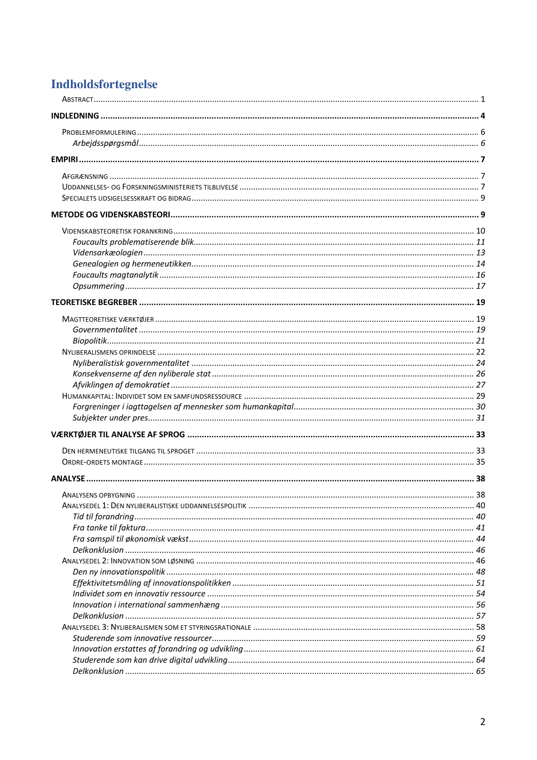## **Indholdsfortegnelse**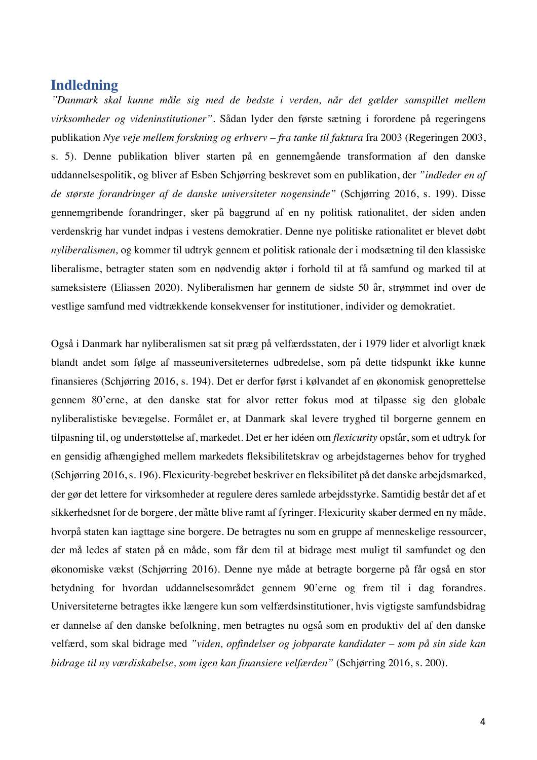## **Indledning**

*"Danmark skal kunne måle sig med de bedste i verden, når det gælder samspillet mellem virksomheder og videninstitutioner"*. Sådan lyder den første sætning i forordene på regeringens publikation *Nye veje mellem forskning og erhverv – fra tanke til faktura* fra 2003 (Regeringen 2003, s. 5). Denne publikation bliver starten på en gennemgående transformation af den danske uddannelsespolitik, og bliver af Esben Schjørring beskrevet som en publikation, der *"indleder en af de største forandringer af de danske universiteter nogensinde"* (Schjørring 2016, s. 199). Disse gennemgribende forandringer, sker på baggrund af en ny politisk rationalitet, der siden anden verdenskrig har vundet indpas i vestens demokratier. Denne nye politiske rationalitet er blevet døbt *nyliberalismen,* og kommer til udtryk gennem et politisk rationale der i modsætning til den klassiske liberalisme, betragter staten som en nødvendig aktør i forhold til at få samfund og marked til at sameksistere (Eliassen 2020). Nyliberalismen har gennem de sidste 50 år, strømmet ind over de vestlige samfund med vidtrækkende konsekvenser for institutioner, individer og demokratiet.

Også i Danmark har nyliberalismen sat sit præg på velfærdsstaten, der i 1979 lider et alvorligt knæk blandt andet som følge af masseuniversiteternes udbredelse, som på dette tidspunkt ikke kunne finansieres (Schjørring 2016, s. 194). Det er derfor først i kølvandet af en økonomisk genoprettelse gennem 80'erne, at den danske stat for alvor retter fokus mod at tilpasse sig den globale nyliberalistiske bevægelse. Formålet er, at Danmark skal levere tryghed til borgerne gennem en tilpasning til, og understøttelse af, markedet. Det er her idéen om *flexicurity* opstår, som et udtryk for en gensidig afhængighed mellem markedets fleksibilitetskrav og arbejdstagernes behov for tryghed (Schjørring 2016, s. 196). Flexicurity-begrebet beskriver en fleksibilitet på det danske arbejdsmarked, der gør det lettere for virksomheder at regulere deres samlede arbejdsstyrke. Samtidig består det af et sikkerhedsnet for de borgere, der måtte blive ramt af fyringer. Flexicurity skaber dermed en ny måde, hvorpå staten kan iagttage sine borgere. De betragtes nu som en gruppe af menneskelige ressourcer, der må ledes af staten på en måde, som får dem til at bidrage mest muligt til samfundet og den økonomiske vækst (Schjørring 2016). Denne nye måde at betragte borgerne på får også en stor betydning for hvordan uddannelsesområdet gennem 90'erne og frem til i dag forandres. Universiteterne betragtes ikke længere kun som velfærdsinstitutioner, hvis vigtigste samfundsbidrag er dannelse af den danske befolkning, men betragtes nu også som en produktiv del af den danske velfærd, som skal bidrage med *"viden, opfindelser og jobparate kandidater – som på sin side kan bidrage til ny værdiskabelse, som igen kan finansiere velfærden"* (Schjørring 2016, s. 200).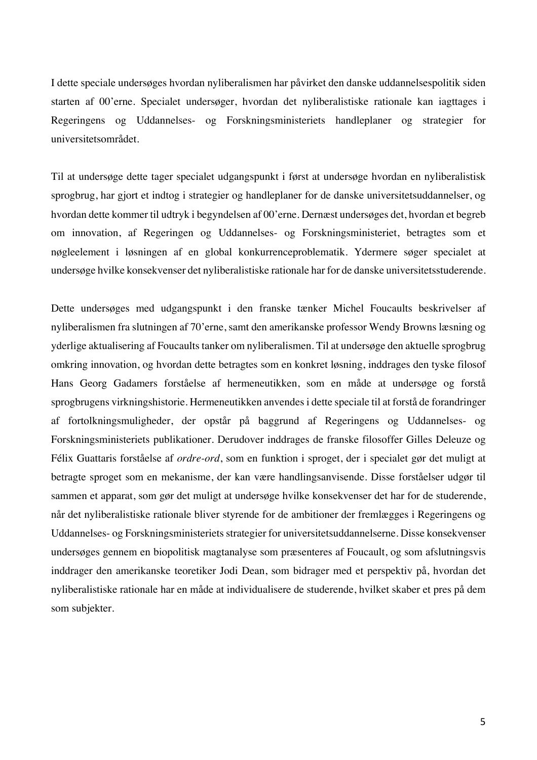I dette speciale undersøges hvordan nyliberalismen har påvirket den danske uddannelsespolitik siden starten af 00'erne. Specialet undersøger, hvordan det nyliberalistiske rationale kan iagttages i Regeringens og Uddannelses- og Forskningsministeriets handleplaner og strategier for universitetsområdet.

Til at undersøge dette tager specialet udgangspunkt i først at undersøge hvordan en nyliberalistisk sprogbrug, har gjort et indtog i strategier og handleplaner for de danske universitetsuddannelser, og hvordan dette kommer til udtryk i begyndelsen af 00'erne. Dernæst undersøges det, hvordan et begreb om innovation, af Regeringen og Uddannelses- og Forskningsministeriet, betragtes som et nøgleelement i løsningen af en global konkurrenceproblematik. Ydermere søger specialet at undersøge hvilke konsekvenser det nyliberalistiske rationale har for de danske universitetsstuderende.

Dette undersøges med udgangspunkt i den franske tænker Michel Foucaults beskrivelser af nyliberalismen fra slutningen af 70'erne, samt den amerikanske professor Wendy Browns læsning og yderlige aktualisering af Foucaults tanker om nyliberalismen. Til at undersøge den aktuelle sprogbrug omkring innovation, og hvordan dette betragtes som en konkret løsning, inddrages den tyske filosof Hans Georg Gadamers forståelse af hermeneutikken, som en måde at undersøge og forstå sprogbrugens virkningshistorie. Hermeneutikken anvendes i dette speciale til at forstå de forandringer af fortolkningsmuligheder, der opstår på baggrund af Regeringens og Uddannelses- og Forskningsministeriets publikationer. Derudover inddrages de franske filosoffer Gilles Deleuze og Félix Guattaris forståelse af *ordre-ord*, som en funktion i sproget, der i specialet gør det muligt at betragte sproget som en mekanisme, der kan være handlingsanvisende. Disse forståelser udgør til sammen et apparat, som gør det muligt at undersøge hvilke konsekvenser det har for de studerende, når det nyliberalistiske rationale bliver styrende for de ambitioner der fremlægges i Regeringens og Uddannelses- og Forskningsministeriets strategier for universitetsuddannelserne. Disse konsekvenser undersøges gennem en biopolitisk magtanalyse som præsenteres af Foucault, og som afslutningsvis inddrager den amerikanske teoretiker Jodi Dean, som bidrager med et perspektiv på, hvordan det nyliberalistiske rationale har en måde at individualisere de studerende, hvilket skaber et pres på dem som subjekter.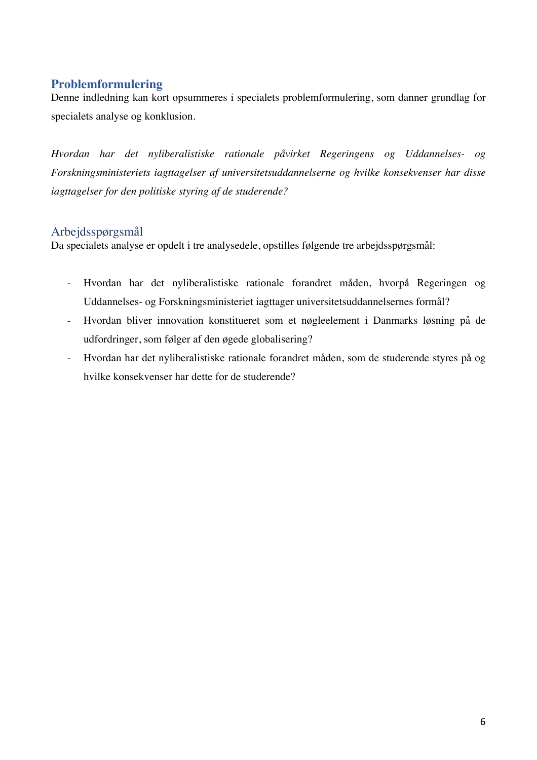## **Problemformulering**

Denne indledning kan kort opsummeres i specialets problemformulering, som danner grundlag for specialets analyse og konklusion.

*Hvordan har det nyliberalistiske rationale påvirket Regeringens og Uddannelses- og Forskningsministeriets iagttagelser af universitetsuddannelserne og hvilke konsekvenser har disse iagttagelser for den politiske styring af de studerende?*

## Arbejdsspørgsmål

Da specialets analyse er opdelt i tre analysedele, opstilles følgende tre arbejdsspørgsmål:

- Hvordan har det nyliberalistiske rationale forandret måden, hvorpå Regeringen og Uddannelses- og Forskningsministeriet iagttager universitetsuddannelsernes formål?
- Hvordan bliver innovation konstitueret som et nøgleelement i Danmarks løsning på de udfordringer, som følger af den øgede globalisering?
- Hvordan har det nyliberalistiske rationale forandret måden, som de studerende styres på og hvilke konsekvenser har dette for de studerende?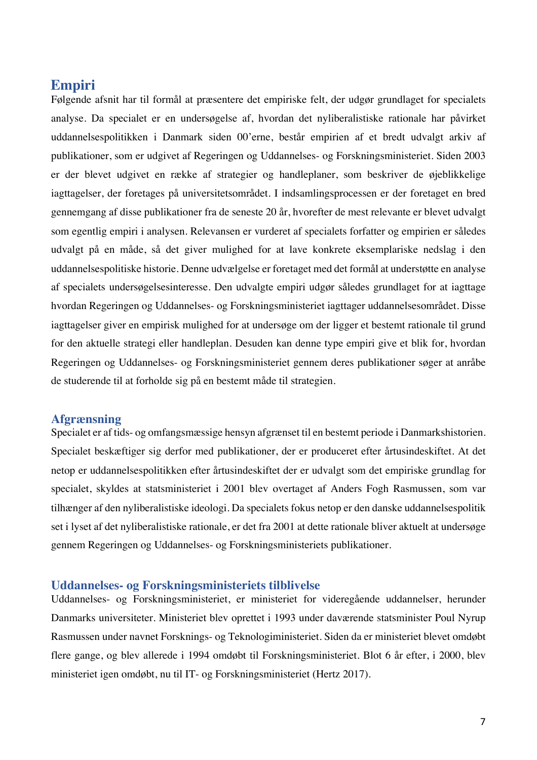## **Empiri**

Følgende afsnit har til formål at præsentere det empiriske felt, der udgør grundlaget for specialets analyse. Da specialet er en undersøgelse af, hvordan det nyliberalistiske rationale har påvirket uddannelsespolitikken i Danmark siden 00'erne, består empirien af et bredt udvalgt arkiv af publikationer, som er udgivet af Regeringen og Uddannelses- og Forskningsministeriet. Siden 2003 er der blevet udgivet en række af strategier og handleplaner, som beskriver de øjeblikkelige iagttagelser, der foretages på universitetsområdet. I indsamlingsprocessen er der foretaget en bred gennemgang af disse publikationer fra de seneste 20 år, hvorefter de mest relevante er blevet udvalgt som egentlig empiri i analysen. Relevansen er vurderet af specialets forfatter og empirien er således udvalgt på en måde, så det giver mulighed for at lave konkrete eksemplariske nedslag i den uddannelsespolitiske historie. Denne udvælgelse er foretaget med det formål at understøtte en analyse af specialets undersøgelsesinteresse. Den udvalgte empiri udgør således grundlaget for at iagttage hvordan Regeringen og Uddannelses- og Forskningsministeriet iagttager uddannelsesområdet. Disse iagttagelser giver en empirisk mulighed for at undersøge om der ligger et bestemt rationale til grund for den aktuelle strategi eller handleplan. Desuden kan denne type empiri give et blik for, hvordan Regeringen og Uddannelses- og Forskningsministeriet gennem deres publikationer søger at anråbe de studerende til at forholde sig på en bestemt måde til strategien.

## **Afgrænsning**

Specialet er af tids- og omfangsmæssige hensyn afgrænset til en bestemt periode i Danmarkshistorien. Specialet beskæftiger sig derfor med publikationer, der er produceret efter årtusindeskiftet. At det netop er uddannelsespolitikken efter årtusindeskiftet der er udvalgt som det empiriske grundlag for specialet, skyldes at statsministeriet i 2001 blev overtaget af Anders Fogh Rasmussen, som var tilhænger af den nyliberalistiske ideologi. Da specialets fokus netop er den danske uddannelsespolitik set i lyset af det nyliberalistiske rationale, er det fra 2001 at dette rationale bliver aktuelt at undersøge gennem Regeringen og Uddannelses- og Forskningsministeriets publikationer.

## **Uddannelses- og Forskningsministeriets tilblivelse**

Uddannelses- og Forskningsministeriet, er ministeriet for videregående uddannelser, herunder Danmarks universiteter. Ministeriet blev oprettet i 1993 under daværende statsminister Poul Nyrup Rasmussen under navnet Forsknings- og Teknologiministeriet. Siden da er ministeriet blevet omdøbt flere gange, og blev allerede i 1994 omdøbt til Forskningsministeriet. Blot 6 år efter, i 2000, blev ministeriet igen omdøbt, nu til IT- og Forskningsministeriet (Hertz 2017).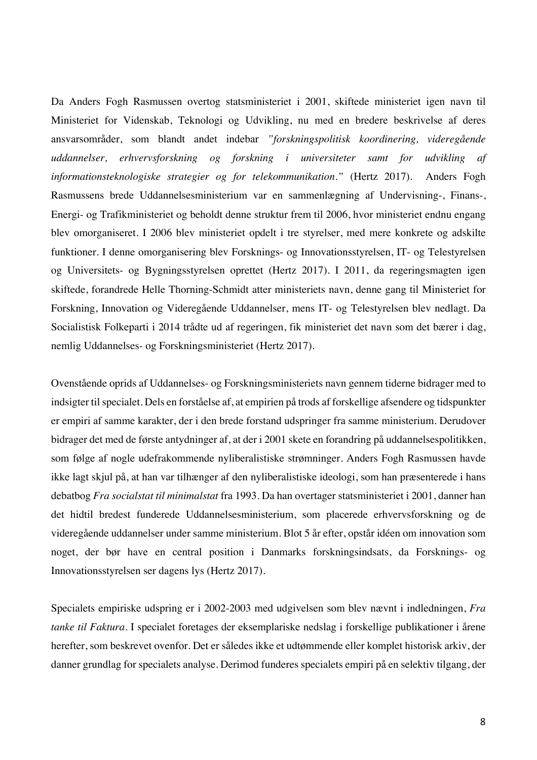Da Anders Fogh Rasmussen overtog statsministeriet i 2001, skiftede ministeriet igen navn til Ministeriet for Videnskab, Teknologi og Udvikling, nu med en bredere beskrivelse af deres ansvarsområder, som blandt andet indebar *"forskningspolitisk koordinering, videregående uddannelser, erhvervsforskning og forskning i universiteter samt for udvikling af informationsteknologiske strategier og for telekommunikation."* (Hertz 2017). Anders Fogh Rasmussens brede Uddannelsesministerium var en sammenlægning af Undervisning-, Finans-, Energi- og Trafikministeriet og beholdt denne struktur frem til 2006, hvor ministeriet endnu engang blev omorganiseret. I 2006 blev ministeriet opdelt i tre styrelser, med mere konkrete og adskilte funktioner. I denne omorganisering blev Forsknings- og Innovationsstyrelsen, IT- og Telestyrelsen og Universitets- og Bygningsstyrelsen oprettet (Hertz 2017). I 2011, da regeringsmagten igen skiftede, forandrede Helle Thorning-Schmidt atter ministeriets navn, denne gang til Ministeriet for Forskning, Innovation og Videregående Uddannelser, mens IT- og Telestyrelsen blev nedlagt. Da Socialistisk Folkeparti i 2014 trådte ud af regeringen, fik ministeriet det navn som det bærer i dag, nemlig Uddannelses- og Forskningsministeriet (Hertz 2017).

Ovenstående oprids af Uddannelses- og Forskningsministeriets navn gennem tiderne bidrager med to indsigter til specialet. Dels en forståelse af, at empirien på trods af forskellige afsendere og tidspunkter er empiri af samme karakter, der i den brede forstand udspringer fra samme ministerium. Derudover bidrager det med de første antydninger af, at der i 2001 skete en forandring på uddannelsespolitikken, som følge af nogle udefrakommende nyliberalistiske strømninger. Anders Fogh Rasmussen havde ikke lagt skjul på, at han var tilhænger af den nyliberalistiske ideologi, som han præsenterede i hans debatbog *Fra socialstat til minimalstat* fra 1993. Da han overtager statsministeriet i 2001, danner han det hidtil bredest funderede Uddannelsesministerium, som placerede erhvervsforskning og de videregående uddannelser under samme ministerium. Blot 5 år efter, opstår idéen om innovation som noget, der bør have en central position i Danmarks forskningsindsats, da Forsknings- og Innovationsstyrelsen ser dagens lys (Hertz 2017).

Specialets empiriske udspring er i 2002-2003 med udgivelsen som blev nævnt i indledningen, *Fra tanke til Faktura*. I specialet foretages der eksemplariske nedslag i forskellige publikationer i årene herefter, som beskrevet ovenfor. Det er således ikke et udtømmende eller komplet historisk arkiv, der danner grundlag for specialets analyse. Derimod funderes specialets empiri på en selektiv tilgang, der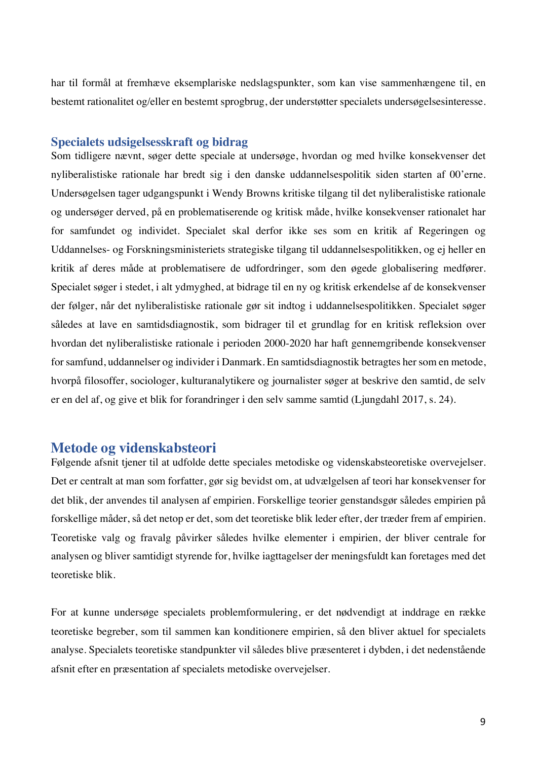har til formål at fremhæve eksemplariske nedslagspunkter, som kan vise sammenhængene til, en bestemt rationalitet og/eller en bestemt sprogbrug, der understøtter specialets undersøgelsesinteresse.

## **Specialets udsigelsesskraft og bidrag**

Som tidligere nævnt, søger dette speciale at undersøge, hvordan og med hvilke konsekvenser det nyliberalistiske rationale har bredt sig i den danske uddannelsespolitik siden starten af 00'erne. Undersøgelsen tager udgangspunkt i Wendy Browns kritiske tilgang til det nyliberalistiske rationale og undersøger derved, på en problematiserende og kritisk måde, hvilke konsekvenser rationalet har for samfundet og individet. Specialet skal derfor ikke ses som en kritik af Regeringen og Uddannelses- og Forskningsministeriets strategiske tilgang til uddannelsespolitikken, og ej heller en kritik af deres måde at problematisere de udfordringer, som den øgede globalisering medfører. Specialet søger i stedet, i alt ydmyghed, at bidrage til en ny og kritisk erkendelse af de konsekvenser der følger, når det nyliberalistiske rationale gør sit indtog i uddannelsespolitikken. Specialet søger således at lave en samtidsdiagnostik, som bidrager til et grundlag for en kritisk refleksion over hvordan det nyliberalistiske rationale i perioden 2000-2020 har haft gennemgribende konsekvenser for samfund, uddannelser og individer i Danmark. En samtidsdiagnostik betragtes her som en metode, hvorpå filosoffer, sociologer, kulturanalytikere og journalister søger at beskrive den samtid, de selv er en del af, og give et blik for forandringer i den selv samme samtid (Ljungdahl 2017, s. 24).

## **Metode og videnskabsteori**

Følgende afsnit tjener til at udfolde dette speciales metodiske og videnskabsteoretiske overvejelser. Det er centralt at man som forfatter, gør sig bevidst om, at udvælgelsen af teori har konsekvenser for det blik, der anvendes til analysen af empirien. Forskellige teorier genstandsgør således empirien på forskellige måder, så det netop er det, som det teoretiske blik leder efter, der træder frem af empirien. Teoretiske valg og fravalg påvirker således hvilke elementer i empirien, der bliver centrale for analysen og bliver samtidigt styrende for, hvilke iagttagelser der meningsfuldt kan foretages med det teoretiske blik.

For at kunne undersøge specialets problemformulering, er det nødvendigt at inddrage en række teoretiske begreber, som til sammen kan konditionere empirien, så den bliver aktuel for specialets analyse. Specialets teoretiske standpunkter vil således blive præsenteret i dybden, i det nedenstående afsnit efter en præsentation af specialets metodiske overvejelser.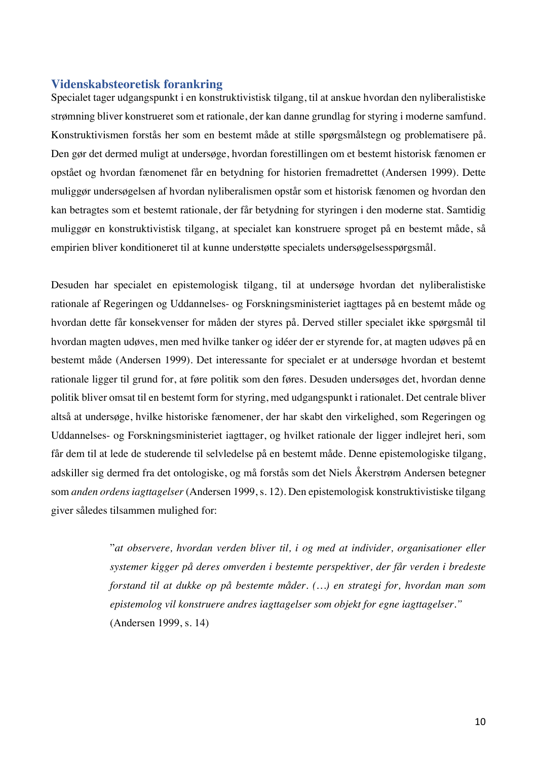## **Videnskabsteoretisk forankring**

Specialet tager udgangspunkt i en konstruktivistisk tilgang, til at anskue hvordan den nyliberalistiske strømning bliver konstrueret som et rationale, der kan danne grundlag for styring i moderne samfund. Konstruktivismen forstås her som en bestemt måde at stille spørgsmålstegn og problematisere på. Den gør det dermed muligt at undersøge, hvordan forestillingen om et bestemt historisk fænomen er opstået og hvordan fænomenet får en betydning for historien fremadrettet (Andersen 1999). Dette muliggør undersøgelsen af hvordan nyliberalismen opstår som et historisk fænomen og hvordan den kan betragtes som et bestemt rationale, der får betydning for styringen i den moderne stat. Samtidig muliggør en konstruktivistisk tilgang, at specialet kan konstruere sproget på en bestemt måde, så empirien bliver konditioneret til at kunne understøtte specialets undersøgelsesspørgsmål.

Desuden har specialet en epistemologisk tilgang, til at undersøge hvordan det nyliberalistiske rationale af Regeringen og Uddannelses- og Forskningsministeriet iagttages på en bestemt måde og hvordan dette får konsekvenser for måden der styres på. Derved stiller specialet ikke spørgsmål til hvordan magten udøves, men med hvilke tanker og idéer der er styrende for, at magten udøves på en bestemt måde (Andersen 1999). Det interessante for specialet er at undersøge hvordan et bestemt rationale ligger til grund for, at føre politik som den føres. Desuden undersøges det, hvordan denne politik bliver omsat til en bestemt form for styring, med udgangspunkt i rationalet. Det centrale bliver altså at undersøge, hvilke historiske fænomener, der har skabt den virkelighed, som Regeringen og Uddannelses- og Forskningsministeriet iagttager, og hvilket rationale der ligger indlejret heri, som får dem til at lede de studerende til selvledelse på en bestemt måde. Denne epistemologiske tilgang, adskiller sig dermed fra det ontologiske, og må forstås som det Niels Åkerstrøm Andersen betegner som *anden ordens iagttagelser* (Andersen 1999, s. 12). Den epistemologisk konstruktivistiske tilgang giver således tilsammen mulighed for:

> "*at observere, hvordan verden bliver til, i og med at individer, organisationer eller systemer kigger på deres omverden i bestemte perspektiver, der får verden i bredeste forstand til at dukke op på bestemte måder. (…) en strategi for, hvordan man som epistemolog vil konstruere andres iagttagelser som objekt for egne iagttagelser."*  (Andersen 1999, s. 14)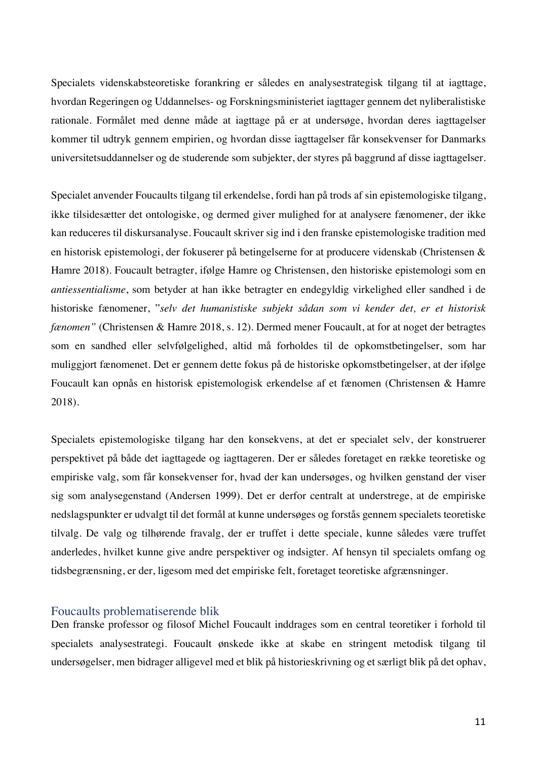Specialets videnskabsteoretiske forankring er således en analysestrategisk tilgang til at iagttage, hvordan Regeringen og Uddannelses- og Forskningsministeriet iagttager gennem det nyliberalistiske rationale. Formålet med denne måde at iagttage på er at undersøge, hvordan deres iagttagelser kommer til udtryk gennem empirien, og hvordan disse iagttagelser får konsekvenser for Danmarks universitetsuddannelser og de studerende som subjekter, der styres på baggrund af disse iagttagelser.

Specialet anvender Foucaults tilgang til erkendelse, fordi han på trods af sin epistemologiske tilgang, ikke tilsidesætter det ontologiske, og dermed giver mulighed for at analysere fænomener, der ikke kan reduceres til diskursanalyse. Foucault skriver sig ind i den franske epistemologiske tradition med en historisk epistemologi, der fokuserer på betingelserne for at producere videnskab (Christensen & Hamre 2018). Foucault betragter, ifølge Hamre og Christensen, den historiske epistemologi som en *antiessentialisme*, som betyder at han ikke betragter en endegyldig virkelighed eller sandhed i de historiske fænomener, "*selv det humanistiske subjekt sådan som vi kender det, er et historisk fænomen"* (Christensen & Hamre 2018, s. 12). Dermed mener Foucault, at for at noget der betragtes som en sandhed eller selvfølgelighed, altid må forholdes til de opkomstbetingelser, som har muliggjort fænomenet. Det er gennem dette fokus på de historiske opkomstbetingelser, at der ifølge Foucault kan opnås en historisk epistemologisk erkendelse af et fænomen (Christensen & Hamre 2018).

Specialets epistemologiske tilgang har den konsekvens, at det er specialet selv, der konstruerer perspektivet på både det iagttagede og iagttageren. Der er således foretaget en række teoretiske og empiriske valg, som får konsekvenser for, hvad der kan undersøges, og hvilken genstand der viser sig som analysegenstand (Andersen 1999). Det er derfor centralt at understrege, at de empiriske nedslagspunkter er udvalgt til det formål at kunne undersøges og forstås gennem specialets teoretiske tilvalg. De valg og tilhørende fravalg, der er truffet i dette speciale, kunne således være truffet anderledes, hvilket kunne give andre perspektiver og indsigter. Af hensyn til specialets omfang og tidsbegrænsning, er der, ligesom med det empiriske felt, foretaget teoretiske afgrænsninger.

## Foucaults problematiserende blik

Den franske professor og filosof Michel Foucault inddrages som en central teoretiker i forhold til specialets analysestrategi. Foucault ønskede ikke at skabe en stringent metodisk tilgang til undersøgelser, men bidrager alligevel med et blik på historieskrivning og et særligt blik på det ophav,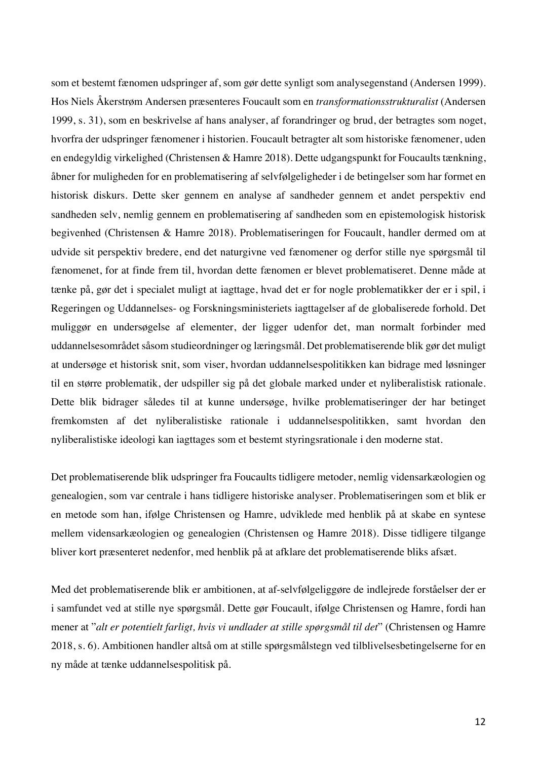som et bestemt fænomen udspringer af, som gør dette synligt som analysegenstand (Andersen 1999). Hos Niels Åkerstrøm Andersen præsenteres Foucault som en *transformationsstrukturalist* (Andersen 1999, s. 31), som en beskrivelse af hans analyser, af forandringer og brud, der betragtes som noget, hvorfra der udspringer fænomener i historien. Foucault betragter alt som historiske fænomener, uden en endegyldig virkelighed (Christensen & Hamre 2018). Dette udgangspunkt for Foucaults tænkning, åbner for muligheden for en problematisering af selvfølgeligheder i de betingelser som har formet en historisk diskurs. Dette sker gennem en analyse af sandheder gennem et andet perspektiv end sandheden selv, nemlig gennem en problematisering af sandheden som en epistemologisk historisk begivenhed (Christensen & Hamre 2018). Problematiseringen for Foucault, handler dermed om at udvide sit perspektiv bredere, end det naturgivne ved fænomener og derfor stille nye spørgsmål til fænomenet, for at finde frem til, hvordan dette fænomen er blevet problematiseret. Denne måde at tænke på, gør det i specialet muligt at iagttage, hvad det er for nogle problematikker der er i spil, i Regeringen og Uddannelses- og Forskningsministeriets iagttagelser af de globaliserede forhold. Det muliggør en undersøgelse af elementer, der ligger udenfor det, man normalt forbinder med uddannelsesområdet såsom studieordninger og læringsmål. Det problematiserende blik gør det muligt at undersøge et historisk snit, som viser, hvordan uddannelsespolitikken kan bidrage med løsninger til en større problematik, der udspiller sig på det globale marked under et nyliberalistisk rationale. Dette blik bidrager således til at kunne undersøge, hvilke problematiseringer der har betinget fremkomsten af det nyliberalistiske rationale i uddannelsespolitikken, samt hvordan den nyliberalistiske ideologi kan iagttages som et bestemt styringsrationale i den moderne stat.

Det problematiserende blik udspringer fra Foucaults tidligere metoder, nemlig vidensarkæologien og genealogien, som var centrale i hans tidligere historiske analyser. Problematiseringen som et blik er en metode som han, ifølge Christensen og Hamre, udviklede med henblik på at skabe en syntese mellem vidensarkæologien og genealogien (Christensen og Hamre 2018). Disse tidligere tilgange bliver kort præsenteret nedenfor, med henblik på at afklare det problematiserende bliks afsæt.

Med det problematiserende blik er ambitionen, at af-selvfølgeliggøre de indlejrede forståelser der er i samfundet ved at stille nye spørgsmål. Dette gør Foucault, ifølge Christensen og Hamre, fordi han mener at "*alt er potentielt farligt, hvis vi undlader at stille spørgsmål til det*" (Christensen og Hamre 2018, s. 6). Ambitionen handler altså om at stille spørgsmålstegn ved tilblivelsesbetingelserne for en ny måde at tænke uddannelsespolitisk på.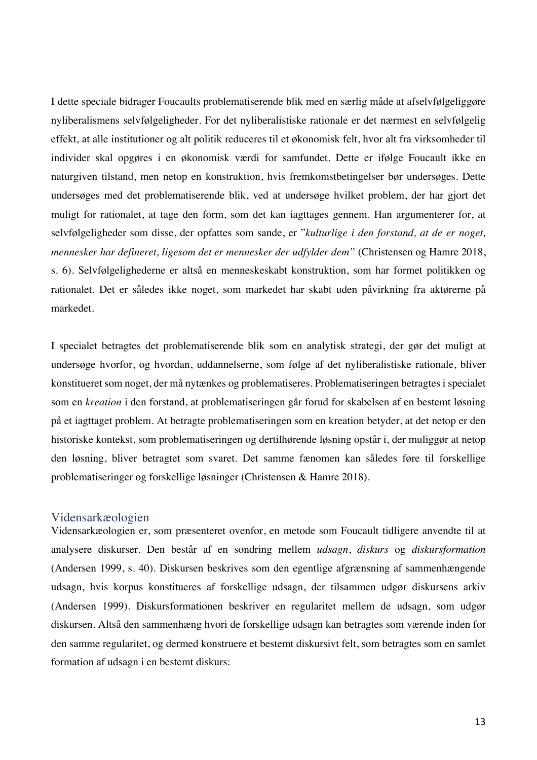I dette speciale bidrager Foucaults problematiserende blik med en særlig måde at afselvfølgeliggøre nyliberalismens selvfølgeligheder. For det nyliberalistiske rationale er det nærmest en selvfølgelig effekt, at alle institutioner og alt politik reduceres til et økonomisk felt, hvor alt fra virksomheder til individer skal opgøres i en økonomisk værdi for samfundet. Dette er ifølge Foucault ikke en naturgiven tilstand, men netop en konstruktion, hvis fremkomstbetingelser bør undersøges. Dette undersøges med det problematiserende blik, ved at undersøge hvilket problem, der har gjort det muligt for rationalet, at tage den form, som det kan iagttages gennem. Han argumenterer for, at selvfølgeligheder som disse, der opfattes som sande, er "*kulturlige i den forstand, at de er noget, mennesker har defineret, ligesom det er mennesker der udfylder dem"* (Christensen og Hamre 2018, s. 6). Selvfølgelighederne er altså en menneskeskabt konstruktion, som har formet politikken og rationalet. Det er således ikke noget, som markedet har skabt uden påvirkning fra aktørerne på markedet.

I specialet betragtes det problematiserende blik som en analytisk strategi, der gør det muligt at undersøge hvorfor, og hvordan, uddannelserne, som følge af det nyliberalistiske rationale, bliver konstitueret som noget, der må nytænkes og problematiseres. Problematiseringen betragtes i specialet som en *kreation* i den forstand, at problematiseringen går forud for skabelsen af en bestemt løsning på et iagttaget problem. At betragte problematiseringen som en kreation betyder, at det netop er den historiske kontekst, som problematiseringen og dertilhørende løsning opstår i, der muliggør at netop den løsning, bliver betragtet som svaret. Det samme fænomen kan således føre til forskellige problematiseringer og forskellige løsninger (Christensen & Hamre 2018).

#### Vidensarkæologien

Vidensarkæologien er, som præsenteret ovenfor, en metode som Foucault tidligere anvendte til at analysere diskurser. Den består af en sondring mellem *udsagn*, *diskurs* og *diskursformation* (Andersen 1999, s. 40). Diskursen beskrives som den egentlige afgrænsning af sammenhængende udsagn, hvis korpus konstitueres af forskellige udsagn, der tilsammen udgør diskursens arkiv (Andersen 1999). Diskursformationen beskriver en regularitet mellem de udsagn, som udgør diskursen. Altså den sammenhæng hvori de forskellige udsagn kan betragtes som værende inden for den samme regularitet, og dermed konstruere et bestemt diskursivt felt, som betragtes som en samlet formation af udsagn i en bestemt diskurs: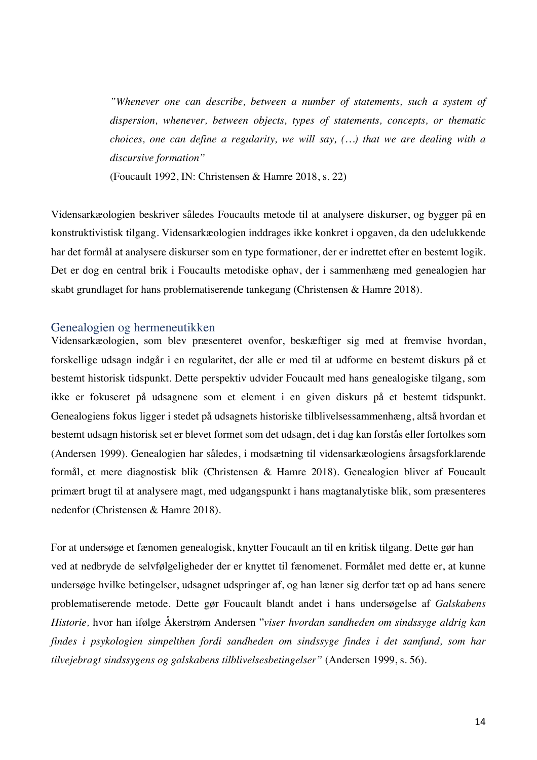*"Whenever one can describe, between a number of statements, such a system of dispersion, whenever, between objects, types of statements, concepts, or thematic choices, one can define a regularity, we will say, (…) that we are dealing with a discursive formation"*

(Foucault 1992, IN: Christensen & Hamre 2018, s. 22)

Vidensarkæologien beskriver således Foucaults metode til at analysere diskurser, og bygger på en konstruktivistisk tilgang. Vidensarkæologien inddrages ikke konkret i opgaven, da den udelukkende har det formål at analysere diskurser som en type formationer, der er indrettet efter en bestemt logik. Det er dog en central brik i Foucaults metodiske ophav, der i sammenhæng med genealogien har skabt grundlaget for hans problematiserende tankegang (Christensen & Hamre 2018).

### Genealogien og hermeneutikken

Vidensarkæologien, som blev præsenteret ovenfor, beskæftiger sig med at fremvise hvordan, forskellige udsagn indgår i en regularitet, der alle er med til at udforme en bestemt diskurs på et bestemt historisk tidspunkt. Dette perspektiv udvider Foucault med hans genealogiske tilgang, som ikke er fokuseret på udsagnene som et element i en given diskurs på et bestemt tidspunkt. Genealogiens fokus ligger i stedet på udsagnets historiske tilblivelsessammenhæng, altså hvordan et bestemt udsagn historisk set er blevet formet som det udsagn, det i dag kan forstås eller fortolkes som (Andersen 1999). Genealogien har således, i modsætning til vidensarkæologiens årsagsforklarende formål, et mere diagnostisk blik (Christensen & Hamre 2018). Genealogien bliver af Foucault primært brugt til at analysere magt, med udgangspunkt i hans magtanalytiske blik, som præsenteres nedenfor (Christensen & Hamre 2018).

For at undersøge et fænomen genealogisk, knytter Foucault an til en kritisk tilgang. Dette gør han ved at nedbryde de selvfølgeligheder der er knyttet til fænomenet. Formålet med dette er, at kunne undersøge hvilke betingelser, udsagnet udspringer af, og han læner sig derfor tæt op ad hans senere problematiserende metode. Dette gør Foucault blandt andet i hans undersøgelse af *Galskabens Historie,* hvor han ifølge Åkerstrøm Andersen "*viser hvordan sandheden om sindssyge aldrig kan findes i psykologien simpelthen fordi sandheden om sindssyge findes i det samfund, som har tilvejebragt sindssygens og galskabens tilblivelsesbetingelser"* (Andersen 1999, s. 56).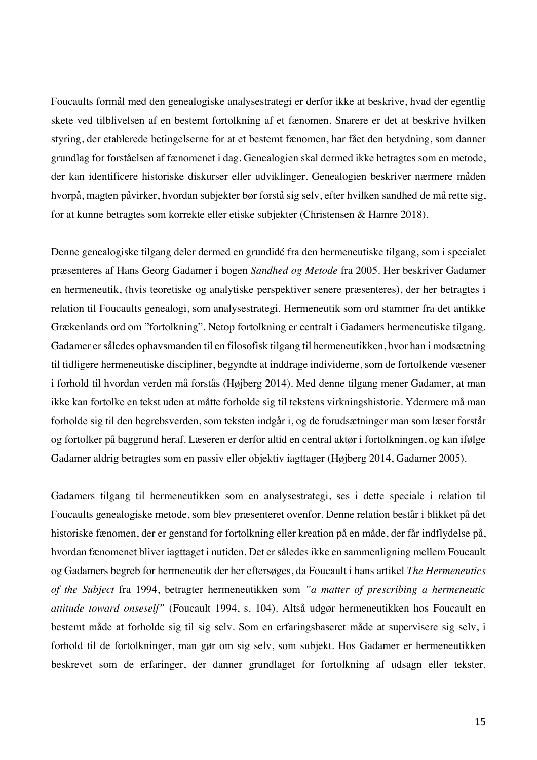Foucaults formål med den genealogiske analysestrategi er derfor ikke at beskrive, hvad der egentlig skete ved tilblivelsen af en bestemt fortolkning af et fænomen. Snarere er det at beskrive hvilken styring, der etablerede betingelserne for at et bestemt fænomen, har fået den betydning, som danner grundlag for forståelsen af fænomenet i dag. Genealogien skal dermed ikke betragtes som en metode, der kan identificere historiske diskurser eller udviklinger. Genealogien beskriver nærmere måden hvorpå, magten påvirker, hvordan subjekter bør forstå sig selv, efter hvilken sandhed de må rette sig, for at kunne betragtes som korrekte eller etiske subjekter (Christensen & Hamre 2018).

Denne genealogiske tilgang deler dermed en grundidé fra den hermeneutiske tilgang, som i specialet præsenteres af Hans Georg Gadamer i bogen *Sandhed og Metode* fra 2005. Her beskriver Gadamer en hermeneutik, (hvis teoretiske og analytiske perspektiver senere præsenteres), der her betragtes i relation til Foucaults genealogi, som analysestrategi. Hermeneutik som ord stammer fra det antikke Grækenlands ord om "fortolkning". Netop fortolkning er centralt i Gadamers hermeneutiske tilgang. Gadamer er således ophavsmanden til en filosofisk tilgang til hermeneutikken, hvor han i modsætning til tidligere hermeneutiske discipliner, begyndte at inddrage individerne, som de fortolkende væsener i forhold til hvordan verden må forstås (Højberg 2014). Med denne tilgang mener Gadamer, at man ikke kan fortolke en tekst uden at måtte forholde sig til tekstens virkningshistorie. Ydermere må man forholde sig til den begrebsverden, som teksten indgår i, og de forudsætninger man som læser forstår og fortolker på baggrund heraf. Læseren er derfor altid en central aktør i fortolkningen, og kan ifølge Gadamer aldrig betragtes som en passiv eller objektiv iagttager (Højberg 2014, Gadamer 2005).

Gadamers tilgang til hermeneutikken som en analysestrategi, ses i dette speciale i relation til Foucaults genealogiske metode, som blev præsenteret ovenfor. Denne relation består i blikket på det historiske fænomen, der er genstand for fortolkning eller kreation på en måde, der får indflydelse på, hvordan fænomenet bliver iagttaget i nutiden. Det er således ikke en sammenligning mellem Foucault og Gadamers begreb for hermeneutik der her eftersøges, da Foucault i hans artikel *The Hermeneutics of the Subject* fra 1994, betragter hermeneutikken som *"a matter of prescribing a hermeneutic attitude toward onseself"* (Foucault 1994, s. 104). Altså udgør hermeneutikken hos Foucault en bestemt måde at forholde sig til sig selv. Som en erfaringsbaseret måde at supervisere sig selv, i forhold til de fortolkninger, man gør om sig selv, som subjekt. Hos Gadamer er hermeneutikken beskrevet som de erfaringer, der danner grundlaget for fortolkning af udsagn eller tekster.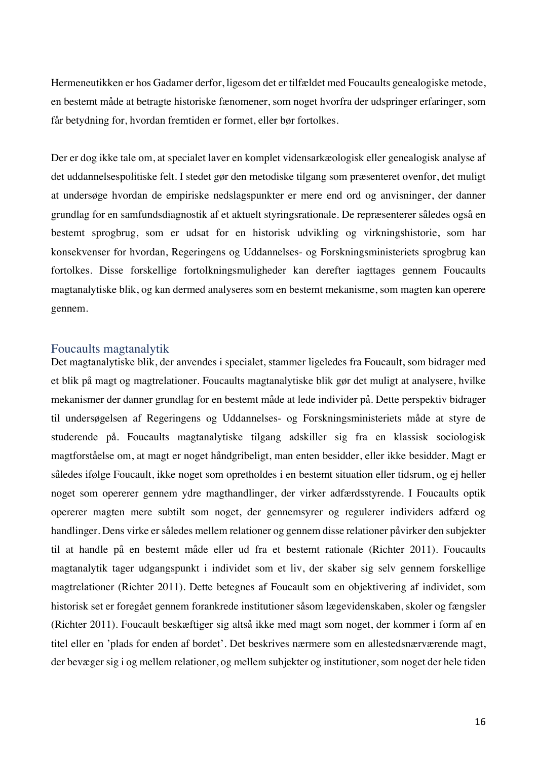Hermeneutikken er hos Gadamer derfor, ligesom det er tilfældet med Foucaults genealogiske metode, en bestemt måde at betragte historiske fænomener, som noget hvorfra der udspringer erfaringer, som får betydning for, hvordan fremtiden er formet, eller bør fortolkes.

Der er dog ikke tale om, at specialet laver en komplet vidensarkæologisk eller genealogisk analyse af det uddannelsespolitiske felt. I stedet gør den metodiske tilgang som præsenteret ovenfor, det muligt at undersøge hvordan de empiriske nedslagspunkter er mere end ord og anvisninger, der danner grundlag for en samfundsdiagnostik af et aktuelt styringsrationale. De repræsenterer således også en bestemt sprogbrug, som er udsat for en historisk udvikling og virkningshistorie, som har konsekvenser for hvordan, Regeringens og Uddannelses- og Forskningsministeriets sprogbrug kan fortolkes. Disse forskellige fortolkningsmuligheder kan derefter iagttages gennem Foucaults magtanalytiske blik, og kan dermed analyseres som en bestemt mekanisme, som magten kan operere gennem.

### Foucaults magtanalytik

Det magtanalytiske blik, der anvendes i specialet, stammer ligeledes fra Foucault, som bidrager med et blik på magt og magtrelationer. Foucaults magtanalytiske blik gør det muligt at analysere, hvilke mekanismer der danner grundlag for en bestemt måde at lede individer på. Dette perspektiv bidrager til undersøgelsen af Regeringens og Uddannelses- og Forskningsministeriets måde at styre de studerende på. Foucaults magtanalytiske tilgang adskiller sig fra en klassisk sociologisk magtforståelse om, at magt er noget håndgribeligt, man enten besidder, eller ikke besidder. Magt er således ifølge Foucault, ikke noget som opretholdes i en bestemt situation eller tidsrum, og ej heller noget som opererer gennem ydre magthandlinger, der virker adfærdsstyrende. I Foucaults optik opererer magten mere subtilt som noget, der gennemsyrer og regulerer individers adfærd og handlinger. Dens virke er således mellem relationer og gennem disse relationer påvirker den subjekter til at handle på en bestemt måde eller ud fra et bestemt rationale (Richter 2011). Foucaults magtanalytik tager udgangspunkt i individet som et liv, der skaber sig selv gennem forskellige magtrelationer (Richter 2011). Dette betegnes af Foucault som en objektivering af individet, som historisk set er foregået gennem forankrede institutioner såsom lægevidenskaben, skoler og fængsler (Richter 2011). Foucault beskæftiger sig altså ikke med magt som noget, der kommer i form af en titel eller en 'plads for enden af bordet'. Det beskrives nærmere som en allestedsnærværende magt, der bevæger sig i og mellem relationer, og mellem subjekter og institutioner, som noget der hele tiden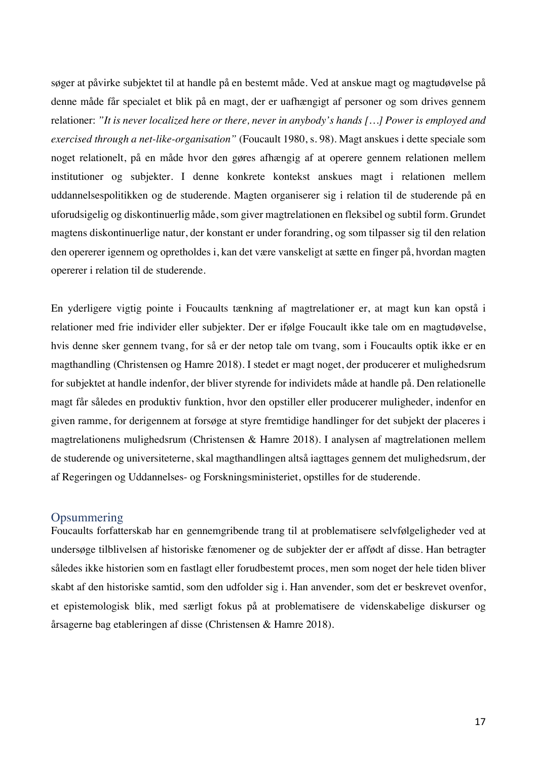søger at påvirke subjektet til at handle på en bestemt måde. Ved at anskue magt og magtudøvelse på denne måde får specialet et blik på en magt, der er uafhængigt af personer og som drives gennem relationer: *"It is never localized here or there, never in anybody's hands […] Power is employed and exercised through a net-like-organisation"* (Foucault 1980, s. 98). Magt anskues i dette speciale som noget relationelt, på en måde hvor den gøres afhængig af at operere gennem relationen mellem institutioner og subjekter. I denne konkrete kontekst anskues magt i relationen mellem uddannelsespolitikken og de studerende. Magten organiserer sig i relation til de studerende på en uforudsigelig og diskontinuerlig måde, som giver magtrelationen en fleksibel og subtil form. Grundet magtens diskontinuerlige natur, der konstant er under forandring, og som tilpasser sig til den relation den opererer igennem og opretholdes i, kan det være vanskeligt at sætte en finger på, hvordan magten opererer i relation til de studerende.

En yderligere vigtig pointe i Foucaults tænkning af magtrelationer er, at magt kun kan opstå i relationer med frie individer eller subjekter. Der er ifølge Foucault ikke tale om en magtudøvelse, hvis denne sker gennem tvang, for så er der netop tale om tvang, som i Foucaults optik ikke er en magthandling (Christensen og Hamre 2018). I stedet er magt noget, der producerer et mulighedsrum for subjektet at handle indenfor, der bliver styrende for individets måde at handle på. Den relationelle magt får således en produktiv funktion, hvor den opstiller eller producerer muligheder, indenfor en given ramme, for derigennem at forsøge at styre fremtidige handlinger for det subjekt der placeres i magtrelationens mulighedsrum (Christensen & Hamre 2018). I analysen af magtrelationen mellem de studerende og universiteterne, skal magthandlingen altså iagttages gennem det mulighedsrum, der af Regeringen og Uddannelses- og Forskningsministeriet, opstilles for de studerende.

## **Opsummering**

Foucaults forfatterskab har en gennemgribende trang til at problematisere selvfølgeligheder ved at undersøge tilblivelsen af historiske fænomener og de subjekter der er affødt af disse. Han betragter således ikke historien som en fastlagt eller forudbestemt proces, men som noget der hele tiden bliver skabt af den historiske samtid, som den udfolder sig i. Han anvender, som det er beskrevet ovenfor, et epistemologisk blik, med særligt fokus på at problematisere de videnskabelige diskurser og årsagerne bag etableringen af disse (Christensen & Hamre 2018).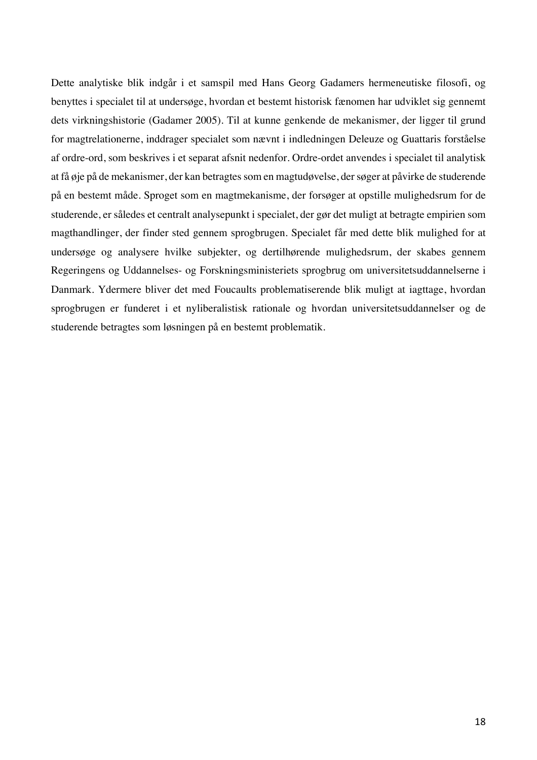Dette analytiske blik indgår i et samspil med Hans Georg Gadamers hermeneutiske filosofi, og benyttes i specialet til at undersøge, hvordan et bestemt historisk fænomen har udviklet sig gennemt dets virkningshistorie (Gadamer 2005). Til at kunne genkende de mekanismer, der ligger til grund for magtrelationerne, inddrager specialet som nævnt i indledningen Deleuze og Guattaris forståelse af ordre-ord, som beskrives i et separat afsnit nedenfor. Ordre-ordet anvendes i specialet til analytisk at få øje på de mekanismer, der kan betragtes som en magtudøvelse, der søger at påvirke de studerende på en bestemt måde. Sproget som en magtmekanisme, der forsøger at opstille mulighedsrum for de studerende, er således et centralt analysepunkt i specialet, der gør det muligt at betragte empirien som magthandlinger, der finder sted gennem sprogbrugen. Specialet får med dette blik mulighed for at undersøge og analysere hvilke subjekter, og dertilhørende mulighedsrum, der skabes gennem Regeringens og Uddannelses- og Forskningsministeriets sprogbrug om universitetsuddannelserne i Danmark. Ydermere bliver det med Foucaults problematiserende blik muligt at iagttage, hvordan sprogbrugen er funderet i et nyliberalistisk rationale og hvordan universitetsuddannelser og de studerende betragtes som løsningen på en bestemt problematik.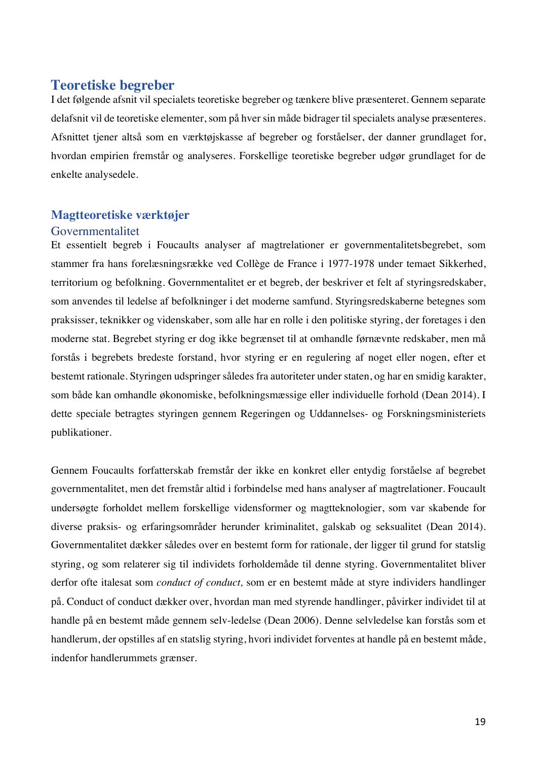## **Teoretiske begreber**

I det følgende afsnit vil specialets teoretiske begreber og tænkere blive præsenteret. Gennem separate delafsnit vil de teoretiske elementer, som på hver sin måde bidrager til specialets analyse præsenteres. Afsnittet tjener altså som en værktøjskasse af begreber og forståelser, der danner grundlaget for, hvordan empirien fremstår og analyseres. Forskellige teoretiske begreber udgør grundlaget for de enkelte analysedele.

## **Magtteoretiske værktøjer**

## Governmentalitet

Et essentielt begreb i Foucaults analyser af magtrelationer er governmentalitetsbegrebet, som stammer fra hans forelæsningsrække ved Collège de France i 1977-1978 under temaet Sikkerhed, territorium og befolkning. Governmentalitet er et begreb, der beskriver et felt af styringsredskaber, som anvendes til ledelse af befolkninger i det moderne samfund. Styringsredskaberne betegnes som praksisser, teknikker og videnskaber, som alle har en rolle i den politiske styring, der foretages i den moderne stat. Begrebet styring er dog ikke begrænset til at omhandle førnævnte redskaber, men må forstås i begrebets bredeste forstand, hvor styring er en regulering af noget eller nogen, efter et bestemt rationale. Styringen udspringer således fra autoriteter under staten, og har en smidig karakter, som både kan omhandle økonomiske, befolkningsmæssige eller individuelle forhold (Dean 2014). I dette speciale betragtes styringen gennem Regeringen og Uddannelses- og Forskningsministeriets publikationer.

Gennem Foucaults forfatterskab fremstår der ikke en konkret eller entydig forståelse af begrebet governmentalitet, men det fremstår altid i forbindelse med hans analyser af magtrelationer. Foucault undersøgte forholdet mellem forskellige vidensformer og magtteknologier, som var skabende for diverse praksis- og erfaringsområder herunder kriminalitet, galskab og seksualitet (Dean 2014). Governmentalitet dækker således over en bestemt form for rationale, der ligger til grund for statslig styring, og som relaterer sig til individets forholdemåde til denne styring. Governmentalitet bliver derfor ofte italesat som *conduct of conduct,* som er en bestemt måde at styre individers handlinger på. Conduct of conduct dækker over, hvordan man med styrende handlinger, påvirker individet til at handle på en bestemt måde gennem selv-ledelse (Dean 2006). Denne selvledelse kan forstås som et handlerum, der opstilles af en statslig styring, hvori individet forventes at handle på en bestemt måde, indenfor handlerummets grænser.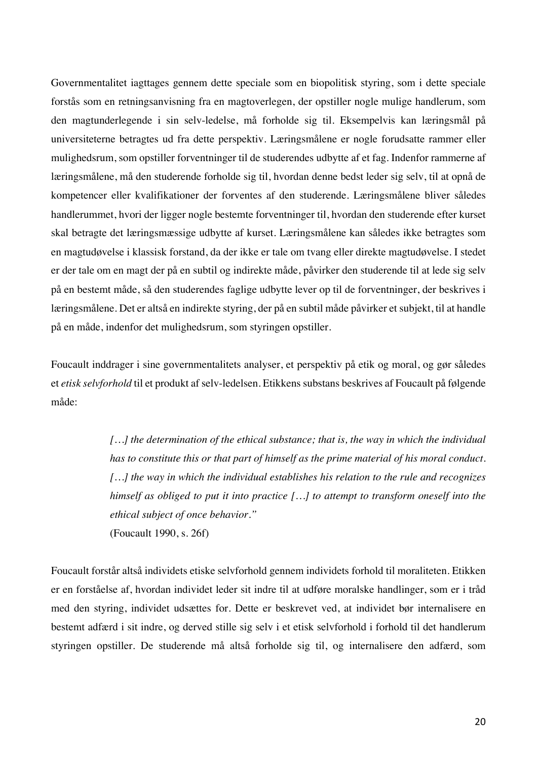Governmentalitet iagttages gennem dette speciale som en biopolitisk styring, som i dette speciale forstås som en retningsanvisning fra en magtoverlegen, der opstiller nogle mulige handlerum, som den magtunderlegende i sin selv-ledelse, må forholde sig til. Eksempelvis kan læringsmål på universiteterne betragtes ud fra dette perspektiv. Læringsmålene er nogle forudsatte rammer eller mulighedsrum, som opstiller forventninger til de studerendes udbytte af et fag. Indenfor rammerne af læringsmålene, må den studerende forholde sig til, hvordan denne bedst leder sig selv, til at opnå de kompetencer eller kvalifikationer der forventes af den studerende. Læringsmålene bliver således handlerummet, hvori der ligger nogle bestemte forventninger til, hvordan den studerende efter kurset skal betragte det læringsmæssige udbytte af kurset. Læringsmålene kan således ikke betragtes som en magtudøvelse i klassisk forstand, da der ikke er tale om tvang eller direkte magtudøvelse. I stedet er der tale om en magt der på en subtil og indirekte måde, påvirker den studerende til at lede sig selv på en bestemt måde, så den studerendes faglige udbytte lever op til de forventninger, der beskrives i læringsmålene. Det er altså en indirekte styring, der på en subtil måde påvirker et subjekt, til at handle på en måde, indenfor det mulighedsrum, som styringen opstiller.

Foucault inddrager i sine governmentalitets analyser, et perspektiv på etik og moral, og gør således et *etisk selvforhold* til et produkt af selv-ledelsen. Etikkens substans beskrives af Foucault på følgende måde:

> *[…] the determination of the ethical substance; that is, the way in which the individual has to constitute this or that part of himself as the prime material of his moral conduct. […] the way in which the individual establishes his relation to the rule and recognizes himself as obliged to put it into practice […] to attempt to transform oneself into the ethical subject of once behavior."*

(Foucault 1990, s. 26f)

Foucault forstår altså individets etiske selvforhold gennem individets forhold til moraliteten. Etikken er en forståelse af, hvordan individet leder sit indre til at udføre moralske handlinger, som er i tråd med den styring, individet udsættes for. Dette er beskrevet ved, at individet bør internalisere en bestemt adfærd i sit indre, og derved stille sig selv i et etisk selvforhold i forhold til det handlerum styringen opstiller. De studerende må altså forholde sig til, og internalisere den adfærd, som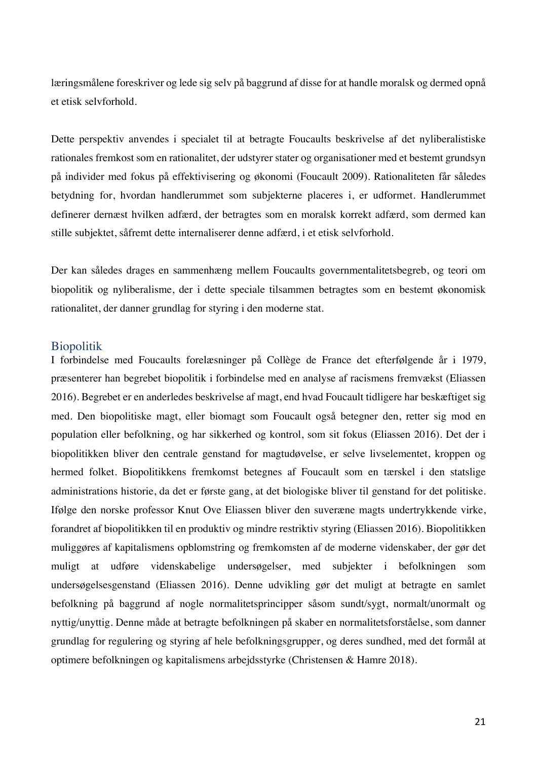læringsmålene foreskriver og lede sig selv på baggrund af disse for at handle moralsk og dermed opnå et etisk selvforhold.

Dette perspektiv anvendes i specialet til at betragte Foucaults beskrivelse af det nyliberalistiske rationales fremkost som en rationalitet, der udstyrer stater og organisationer med et bestemt grundsyn på individer med fokus på effektivisering og økonomi (Foucault 2009). Rationaliteten får således betydning for, hvordan handlerummet som subjekterne placeres i, er udformet. Handlerummet definerer dernæst hvilken adfærd, der betragtes som en moralsk korrekt adfærd, som dermed kan stille subjektet, såfremt dette internaliserer denne adfærd, i et etisk selvforhold.

Der kan således drages en sammenhæng mellem Foucaults governmentalitetsbegreb, og teori om biopolitik og nyliberalisme, der i dette speciale tilsammen betragtes som en bestemt økonomisk rationalitet, der danner grundlag for styring i den moderne stat.

#### Biopolitik

I forbindelse med Foucaults forelæsninger på Collège de France det efterfølgende år i 1979, præsenterer han begrebet biopolitik i forbindelse med en analyse af racismens fremvækst (Eliassen 2016). Begrebet er en anderledes beskrivelse af magt, end hvad Foucault tidligere har beskæftiget sig med. Den biopolitiske magt, eller biomagt som Foucault også betegner den, retter sig mod en population eller befolkning, og har sikkerhed og kontrol, som sit fokus (Eliassen 2016). Det der i biopolitikken bliver den centrale genstand for magtudøvelse, er selve livselementet, kroppen og hermed folket. Biopolitikkens fremkomst betegnes af Foucault som en tærskel i den statslige administrations historie, da det er første gang, at det biologiske bliver til genstand for det politiske. Ifølge den norske professor Knut Ove Eliassen bliver den suveræne magts undertrykkende virke, forandret af biopolitikken til en produktiv og mindre restriktiv styring (Eliassen 2016). Biopolitikken muliggøres af kapitalismens opblomstring og fremkomsten af de moderne videnskaber, der gør det muligt at udføre videnskabelige undersøgelser, med subjekter i befolkningen som undersøgelsesgenstand (Eliassen 2016). Denne udvikling gør det muligt at betragte en samlet befolkning på baggrund af nogle normalitetsprincipper såsom sundt/sygt, normalt/unormalt og nyttig/unyttig. Denne måde at betragte befolkningen på skaber en normalitetsforståelse, som danner grundlag for regulering og styring af hele befolkningsgrupper, og deres sundhed, med det formål at optimere befolkningen og kapitalismens arbejdsstyrke (Christensen & Hamre 2018).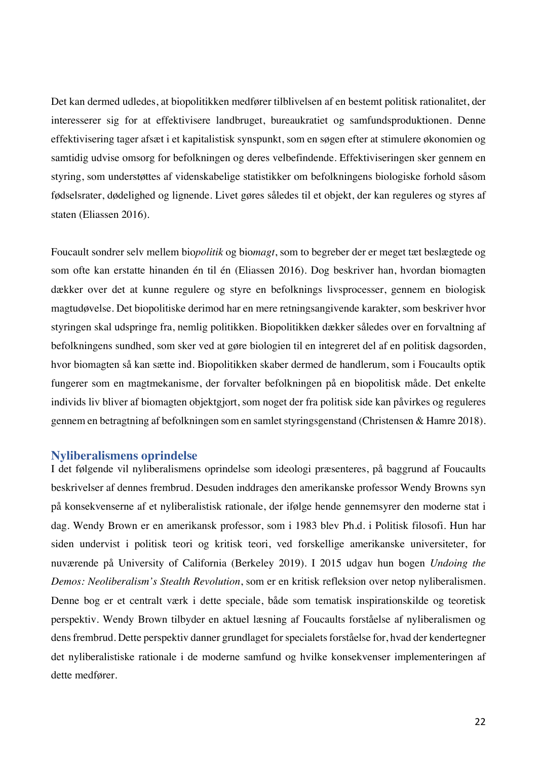Det kan dermed udledes, at biopolitikken medfører tilblivelsen af en bestemt politisk rationalitet, der interesserer sig for at effektivisere landbruget, bureaukratiet og samfundsproduktionen. Denne effektivisering tager afsæt i et kapitalistisk synspunkt, som en søgen efter at stimulere økonomien og samtidig udvise omsorg for befolkningen og deres velbefindende. Effektiviseringen sker gennem en styring, som understøttes af videnskabelige statistikker om befolkningens biologiske forhold såsom fødselsrater, dødelighed og lignende. Livet gøres således til et objekt, der kan reguleres og styres af staten (Eliassen 2016).

Foucault sondrer selv mellem bio*politik* og bio*magt*, som to begreber der er meget tæt beslægtede og som ofte kan erstatte hinanden én til én (Eliassen 2016). Dog beskriver han, hvordan biomagten dækker over det at kunne regulere og styre en befolknings livsprocesser, gennem en biologisk magtudøvelse. Det biopolitiske derimod har en mere retningsangivende karakter, som beskriver hvor styringen skal udspringe fra, nemlig politikken. Biopolitikken dækker således over en forvaltning af befolkningens sundhed, som sker ved at gøre biologien til en integreret del af en politisk dagsorden, hvor biomagten så kan sætte ind. Biopolitikken skaber dermed de handlerum, som i Foucaults optik fungerer som en magtmekanisme, der forvalter befolkningen på en biopolitisk måde. Det enkelte individs liv bliver af biomagten objektgjort, som noget der fra politisk side kan påvirkes og reguleres gennem en betragtning af befolkningen som en samlet styringsgenstand (Christensen & Hamre 2018).

#### **Nyliberalismens oprindelse**

I det følgende vil nyliberalismens oprindelse som ideologi præsenteres, på baggrund af Foucaults beskrivelser af dennes frembrud. Desuden inddrages den amerikanske professor Wendy Browns syn på konsekvenserne af et nyliberalistisk rationale, der ifølge hende gennemsyrer den moderne stat i dag. Wendy Brown er en amerikansk professor, som i 1983 blev Ph.d. i Politisk filosofi. Hun har siden undervist i politisk teori og kritisk teori, ved forskellige amerikanske universiteter, for nuværende på University of California (Berkeley 2019). I 2015 udgav hun bogen *Undoing the Demos: Neoliberalism's Stealth Revolution*, som er en kritisk refleksion over netop nyliberalismen. Denne bog er et centralt værk i dette speciale, både som tematisk inspirationskilde og teoretisk perspektiv. Wendy Brown tilbyder en aktuel læsning af Foucaults forståelse af nyliberalismen og dens frembrud. Dette perspektiv danner grundlaget for specialets forståelse for, hvad der kendertegner det nyliberalistiske rationale i de moderne samfund og hvilke konsekvenser implementeringen af dette medfører.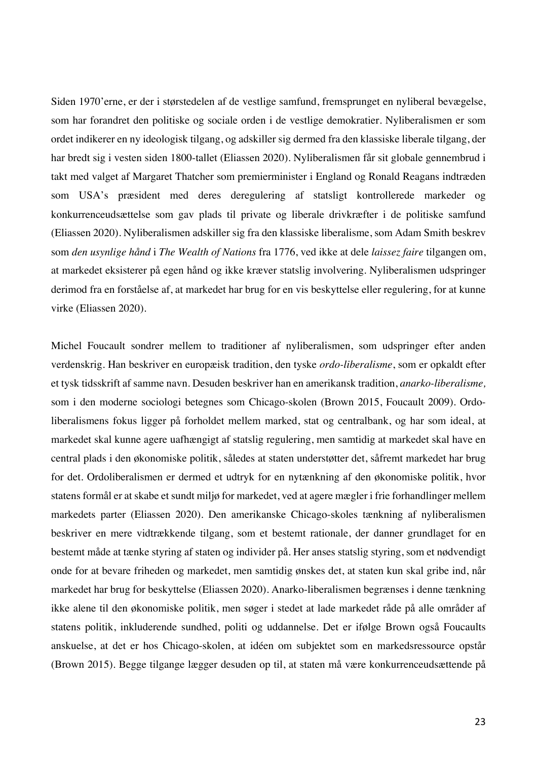Siden 1970'erne, er der i størstedelen af de vestlige samfund, fremsprunget en nyliberal bevægelse, som har forandret den politiske og sociale orden i de vestlige demokratier. Nyliberalismen er som ordet indikerer en ny ideologisk tilgang, og adskiller sig dermed fra den klassiske liberale tilgang, der har bredt sig i vesten siden 1800-tallet (Eliassen 2020). Nyliberalismen får sit globale gennembrud i takt med valget af Margaret Thatcher som premierminister i England og Ronald Reagans indtræden som USA's præsident med deres deregulering af statsligt kontrollerede markeder og konkurrenceudsættelse som gav plads til private og liberale drivkræfter i de politiske samfund (Eliassen 2020). Nyliberalismen adskiller sig fra den klassiske liberalisme, som Adam Smith beskrev som *den usynlige hånd* i *The Wealth of Nations* fra 1776, ved ikke at dele *laissez faire* tilgangen om, at markedet eksisterer på egen hånd og ikke kræver statslig involvering. Nyliberalismen udspringer derimod fra en forståelse af, at markedet har brug for en vis beskyttelse eller regulering, for at kunne virke (Eliassen 2020).

Michel Foucault sondrer mellem to traditioner af nyliberalismen, som udspringer efter anden verdenskrig. Han beskriver en europæisk tradition, den tyske *ordo-liberalisme*, som er opkaldt efter et tysk tidsskrift af samme navn. Desuden beskriver han en amerikansk tradition, *anarko-liberalisme,*  som i den moderne sociologi betegnes som Chicago-skolen (Brown 2015, Foucault 2009). Ordoliberalismens fokus ligger på forholdet mellem marked, stat og centralbank, og har som ideal, at markedet skal kunne agere uafhængigt af statslig regulering, men samtidig at markedet skal have en central plads i den økonomiske politik, således at staten understøtter det, såfremt markedet har brug for det. Ordoliberalismen er dermed et udtryk for en nytænkning af den økonomiske politik, hvor statens formål er at skabe et sundt miljø for markedet, ved at agere mægler i frie forhandlinger mellem markedets parter (Eliassen 2020). Den amerikanske Chicago-skoles tænkning af nyliberalismen beskriver en mere vidtrækkende tilgang, som et bestemt rationale, der danner grundlaget for en bestemt måde at tænke styring af staten og individer på. Her anses statslig styring, som et nødvendigt onde for at bevare friheden og markedet, men samtidig ønskes det, at staten kun skal gribe ind, når markedet har brug for beskyttelse (Eliassen 2020). Anarko-liberalismen begrænses i denne tænkning ikke alene til den økonomiske politik, men søger i stedet at lade markedet råde på alle områder af statens politik, inkluderende sundhed, politi og uddannelse. Det er ifølge Brown også Foucaults anskuelse, at det er hos Chicago-skolen, at idéen om subjektet som en markedsressource opstår (Brown 2015). Begge tilgange lægger desuden op til, at staten må være konkurrenceudsættende på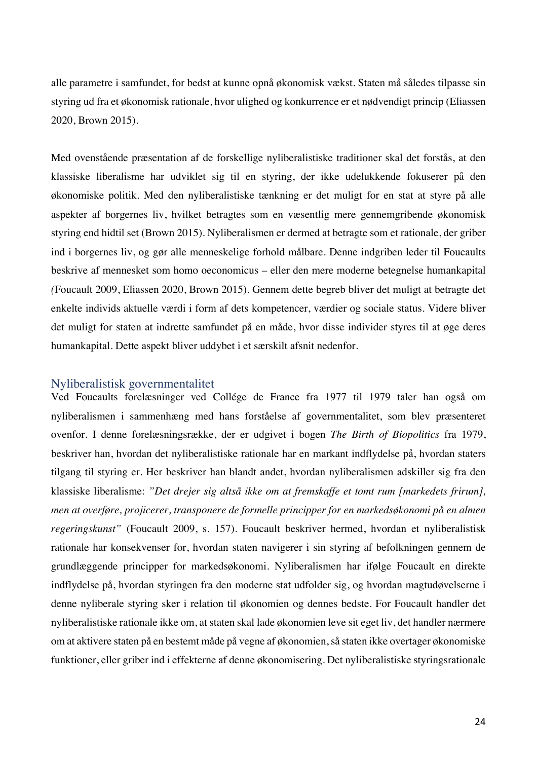alle parametre i samfundet, for bedst at kunne opnå økonomisk vækst. Staten må således tilpasse sin styring ud fra et økonomisk rationale, hvor ulighed og konkurrence er et nødvendigt princip (Eliassen 2020, Brown 2015).

Med ovenstående præsentation af de forskellige nyliberalistiske traditioner skal det forstås, at den klassiske liberalisme har udviklet sig til en styring, der ikke udelukkende fokuserer på den økonomiske politik. Med den nyliberalistiske tænkning er det muligt for en stat at styre på alle aspekter af borgernes liv, hvilket betragtes som en væsentlig mere gennemgribende økonomisk styring end hidtil set (Brown 2015). Nyliberalismen er dermed at betragte som et rationale, der griber ind i borgernes liv, og gør alle menneskelige forhold målbare. Denne indgriben leder til Foucaults beskrive af mennesket som homo oeconomicus – eller den mere moderne betegnelse humankapital *(*Foucault 2009, Eliassen 2020, Brown 2015)*.* Gennem dette begreb bliver det muligt at betragte det enkelte individs aktuelle værdi i form af dets kompetencer, værdier og sociale status. Videre bliver det muligt for staten at indrette samfundet på en måde, hvor disse individer styres til at øge deres humankapital. Dette aspekt bliver uddybet i et særskilt afsnit nedenfor.

### Nyliberalistisk governmentalitet

Ved Foucaults forelæsninger ved Collége de France fra 1977 til 1979 taler han også om nyliberalismen i sammenhæng med hans forståelse af governmentalitet, som blev præsenteret ovenfor. I denne forelæsningsrække, der er udgivet i bogen *The Birth of Biopolitics* fra 1979, beskriver han, hvordan det nyliberalistiske rationale har en markant indflydelse på, hvordan staters tilgang til styring er. Her beskriver han blandt andet, hvordan nyliberalismen adskiller sig fra den klassiske liberalisme: *"Det drejer sig altså ikke om at fremskaffe et tomt rum [markedets frirum], men at overføre, projicerer, transponere de formelle principper for en markedsøkonomi på en almen regeringskunst"* (Foucault 2009, s. 157). Foucault beskriver hermed, hvordan et nyliberalistisk rationale har konsekvenser for, hvordan staten navigerer i sin styring af befolkningen gennem de grundlæggende principper for markedsøkonomi. Nyliberalismen har ifølge Foucault en direkte indflydelse på, hvordan styringen fra den moderne stat udfolder sig, og hvordan magtudøvelserne i denne nyliberale styring sker i relation til økonomien og dennes bedste. For Foucault handler det nyliberalistiske rationale ikke om, at staten skal lade økonomien leve sit eget liv, det handler nærmere om at aktivere staten på en bestemt måde på vegne af økonomien, så staten ikke overtager økonomiske funktioner, eller griber ind i effekterne af denne økonomisering. Det nyliberalistiske styringsrationale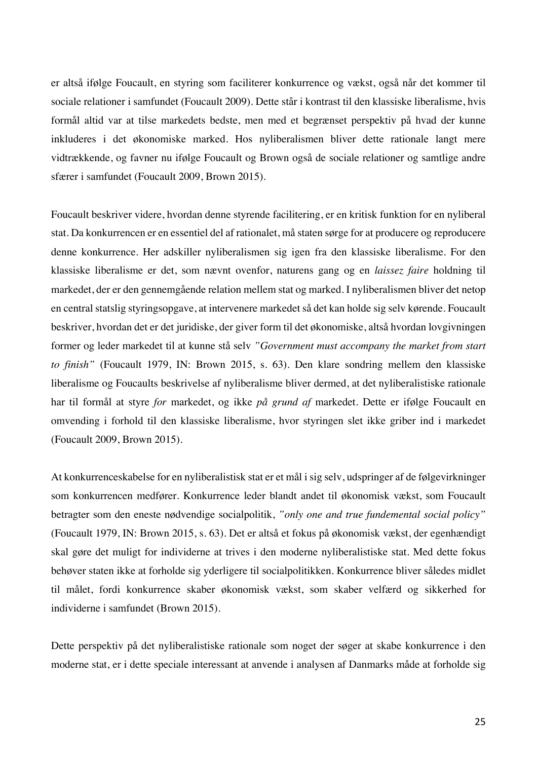er altså ifølge Foucault, en styring som faciliterer konkurrence og vækst, også når det kommer til sociale relationer i samfundet (Foucault 2009). Dette står i kontrast til den klassiske liberalisme, hvis formål altid var at tilse markedets bedste, men med et begrænset perspektiv på hvad der kunne inkluderes i det økonomiske marked. Hos nyliberalismen bliver dette rationale langt mere vidtrækkende, og favner nu ifølge Foucault og Brown også de sociale relationer og samtlige andre sfærer i samfundet (Foucault 2009, Brown 2015).

Foucault beskriver videre, hvordan denne styrende facilitering, er en kritisk funktion for en nyliberal stat. Da konkurrencen er en essentiel del af rationalet, må staten sørge for at producere og reproducere denne konkurrence. Her adskiller nyliberalismen sig igen fra den klassiske liberalisme. For den klassiske liberalisme er det, som nævnt ovenfor, naturens gang og en *laissez faire* holdning til markedet, der er den gennemgående relation mellem stat og marked. I nyliberalismen bliver det netop en central statslig styringsopgave, at intervenere markedet så det kan holde sig selv kørende. Foucault beskriver, hvordan det er det juridiske, der giver form til det økonomiske, altså hvordan lovgivningen former og leder markedet til at kunne stå selv *"Government must accompany the market from start to finish"* (Foucault 1979, IN: Brown 2015, s. 63). Den klare sondring mellem den klassiske liberalisme og Foucaults beskrivelse af nyliberalisme bliver dermed, at det nyliberalistiske rationale har til formål at styre *for* markedet, og ikke *på grund af* markedet. Dette er ifølge Foucault en omvending i forhold til den klassiske liberalisme, hvor styringen slet ikke griber ind i markedet (Foucault 2009, Brown 2015).

At konkurrenceskabelse for en nyliberalistisk stat er et mål i sig selv, udspringer af de følgevirkninger som konkurrencen medfører. Konkurrence leder blandt andet til økonomisk vækst, som Foucault betragter som den eneste nødvendige socialpolitik, *"only one and true fundemental social policy"* (Foucault 1979, IN: Brown 2015, s. 63). Det er altså et fokus på økonomisk vækst, der egenhændigt skal gøre det muligt for individerne at trives i den moderne nyliberalistiske stat. Med dette fokus behøver staten ikke at forholde sig yderligere til socialpolitikken. Konkurrence bliver således midlet til målet, fordi konkurrence skaber økonomisk vækst, som skaber velfærd og sikkerhed for individerne i samfundet (Brown 2015).

Dette perspektiv på det nyliberalistiske rationale som noget der søger at skabe konkurrence i den moderne stat, er i dette speciale interessant at anvende i analysen af Danmarks måde at forholde sig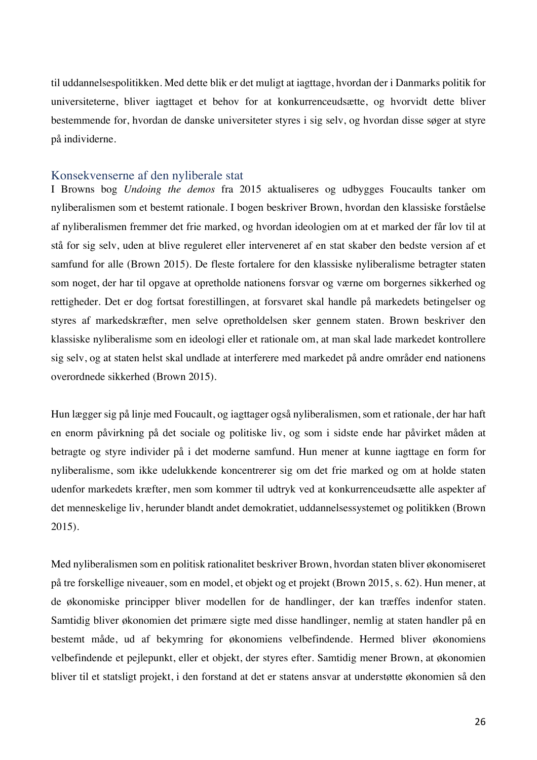til uddannelsespolitikken. Med dette blik er det muligt at iagttage, hvordan der i Danmarks politik for universiteterne, bliver iagttaget et behov for at konkurrenceudsætte, og hvorvidt dette bliver bestemmende for, hvordan de danske universiteter styres i sig selv, og hvordan disse søger at styre på individerne.

## Konsekvenserne af den nyliberale stat

I Browns bog *Undoing the demos* fra 2015 aktualiseres og udbygges Foucaults tanker om nyliberalismen som et bestemt rationale. I bogen beskriver Brown, hvordan den klassiske forståelse af nyliberalismen fremmer det frie marked, og hvordan ideologien om at et marked der får lov til at stå for sig selv, uden at blive reguleret eller interveneret af en stat skaber den bedste version af et samfund for alle (Brown 2015). De fleste fortalere for den klassiske nyliberalisme betragter staten som noget, der har til opgave at opretholde nationens forsvar og værne om borgernes sikkerhed og rettigheder. Det er dog fortsat forestillingen, at forsvaret skal handle på markedets betingelser og styres af markedskræfter, men selve opretholdelsen sker gennem staten. Brown beskriver den klassiske nyliberalisme som en ideologi eller et rationale om, at man skal lade markedet kontrollere sig selv, og at staten helst skal undlade at interferere med markedet på andre områder end nationens overordnede sikkerhed (Brown 2015).

Hun lægger sig på linje med Foucault, og iagttager også nyliberalismen, som et rationale, der har haft en enorm påvirkning på det sociale og politiske liv, og som i sidste ende har påvirket måden at betragte og styre individer på i det moderne samfund. Hun mener at kunne iagttage en form for nyliberalisme, som ikke udelukkende koncentrerer sig om det frie marked og om at holde staten udenfor markedets kræfter, men som kommer til udtryk ved at konkurrenceudsætte alle aspekter af det menneskelige liv, herunder blandt andet demokratiet, uddannelsessystemet og politikken (Brown 2015).

Med nyliberalismen som en politisk rationalitet beskriver Brown, hvordan staten bliver økonomiseret på tre forskellige niveauer, som en model, et objekt og et projekt (Brown 2015, s. 62). Hun mener, at de økonomiske principper bliver modellen for de handlinger, der kan træffes indenfor staten. Samtidig bliver økonomien det primære sigte med disse handlinger, nemlig at staten handler på en bestemt måde, ud af bekymring for økonomiens velbefindende. Hermed bliver økonomiens velbefindende et pejlepunkt, eller et objekt, der styres efter. Samtidig mener Brown, at økonomien bliver til et statsligt projekt, i den forstand at det er statens ansvar at understøtte økonomien så den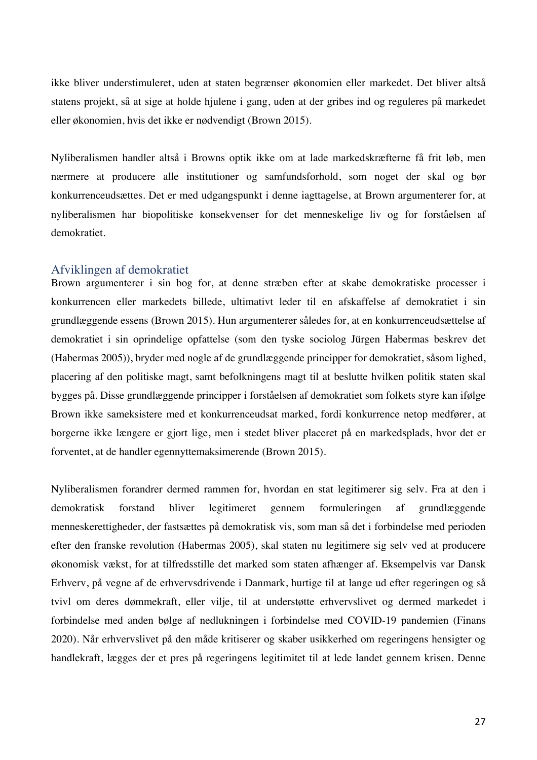ikke bliver understimuleret, uden at staten begrænser økonomien eller markedet. Det bliver altså statens projekt, så at sige at holde hjulene i gang, uden at der gribes ind og reguleres på markedet eller økonomien, hvis det ikke er nødvendigt (Brown 2015).

Nyliberalismen handler altså i Browns optik ikke om at lade markedskræfterne få frit løb, men nærmere at producere alle institutioner og samfundsforhold, som noget der skal og bør konkurrenceudsættes. Det er med udgangspunkt i denne iagttagelse, at Brown argumenterer for, at nyliberalismen har biopolitiske konsekvenser for det menneskelige liv og for forståelsen af demokratiet.

#### Afviklingen af demokratiet

Brown argumenterer i sin bog for, at denne stræben efter at skabe demokratiske processer i konkurrencen eller markedets billede, ultimativt leder til en afskaffelse af demokratiet i sin grundlæggende essens (Brown 2015). Hun argumenterer således for, at en konkurrenceudsættelse af demokratiet i sin oprindelige opfattelse (som den tyske sociolog Jürgen Habermas beskrev det (Habermas 2005)), bryder med nogle af de grundlæggende principper for demokratiet, såsom lighed, placering af den politiske magt, samt befolkningens magt til at beslutte hvilken politik staten skal bygges på. Disse grundlæggende principper i forståelsen af demokratiet som folkets styre kan ifølge Brown ikke sameksistere med et konkurrenceudsat marked, fordi konkurrence netop medfører, at borgerne ikke længere er gjort lige, men i stedet bliver placeret på en markedsplads, hvor det er forventet, at de handler egennyttemaksimerende (Brown 2015).

Nyliberalismen forandrer dermed rammen for, hvordan en stat legitimerer sig selv. Fra at den i demokratisk forstand bliver legitimeret gennem formuleringen af grundlæggende menneskerettigheder, der fastsættes på demokratisk vis, som man så det i forbindelse med perioden efter den franske revolution (Habermas 2005), skal staten nu legitimere sig selv ved at producere økonomisk vækst, for at tilfredsstille det marked som staten afhænger af. Eksempelvis var Dansk Erhverv, på vegne af de erhvervsdrivende i Danmark, hurtige til at lange ud efter regeringen og så tvivl om deres dømmekraft, eller vilje, til at understøtte erhvervslivet og dermed markedet i forbindelse med anden bølge af nedlukningen i forbindelse med COVID-19 pandemien (Finans 2020). Når erhvervslivet på den måde kritiserer og skaber usikkerhed om regeringens hensigter og handlekraft, lægges der et pres på regeringens legitimitet til at lede landet gennem krisen. Denne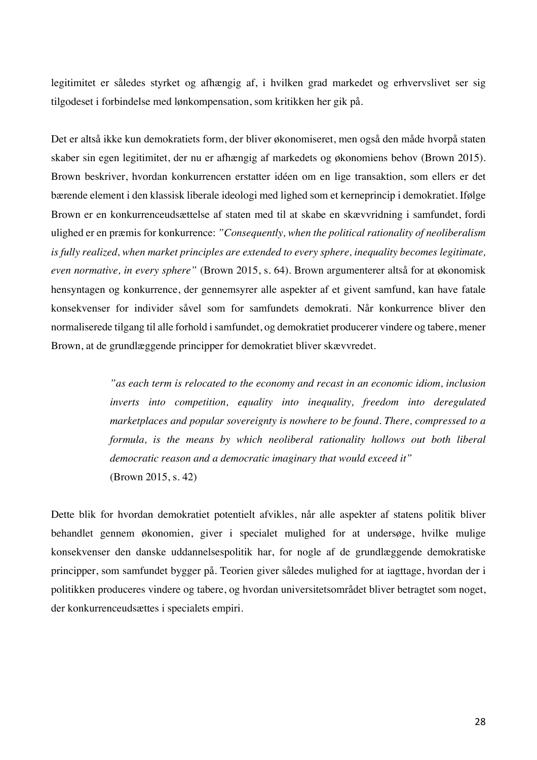legitimitet er således styrket og afhængig af, i hvilken grad markedet og erhvervslivet ser sig tilgodeset i forbindelse med lønkompensation, som kritikken her gik på.

Det er altså ikke kun demokratiets form, der bliver økonomiseret, men også den måde hvorpå staten skaber sin egen legitimitet, der nu er afhængig af markedets og økonomiens behov (Brown 2015). Brown beskriver, hvordan konkurrencen erstatter idéen om en lige transaktion, som ellers er det bærende element i den klassisk liberale ideologi med lighed som et kerneprincip i demokratiet. Ifølge Brown er en konkurrenceudsættelse af staten med til at skabe en skævvridning i samfundet, fordi ulighed er en præmis for konkurrence: *"Consequently, when the political rationality of neoliberalism is fully realized, when market principles are extended to every sphere, inequality becomes legitimate, even normative, in every sphere"* (Brown 2015, s. 64). Brown argumenterer altså for at økonomisk hensyntagen og konkurrence, der gennemsyrer alle aspekter af et givent samfund, kan have fatale konsekvenser for individer såvel som for samfundets demokrati. Når konkurrence bliver den normaliserede tilgang til alle forhold i samfundet, og demokratiet producerer vindere og tabere, mener Brown, at de grundlæggende principper for demokratiet bliver skævvredet.

> *"as each term is relocated to the economy and recast in an economic idiom, inclusion inverts into competition, equality into inequality, freedom into deregulated marketplaces and popular sovereignty is nowhere to be found. There, compressed to a formula, is the means by which neoliberal rationality hollows out both liberal democratic reason and a democratic imaginary that would exceed it"* (Brown 2015, s. 42)

Dette blik for hvordan demokratiet potentielt afvikles, når alle aspekter af statens politik bliver behandlet gennem økonomien, giver i specialet mulighed for at undersøge, hvilke mulige konsekvenser den danske uddannelsespolitik har, for nogle af de grundlæggende demokratiske principper, som samfundet bygger på. Teorien giver således mulighed for at iagttage, hvordan der i politikken produceres vindere og tabere, og hvordan universitetsområdet bliver betragtet som noget, der konkurrenceudsættes i specialets empiri.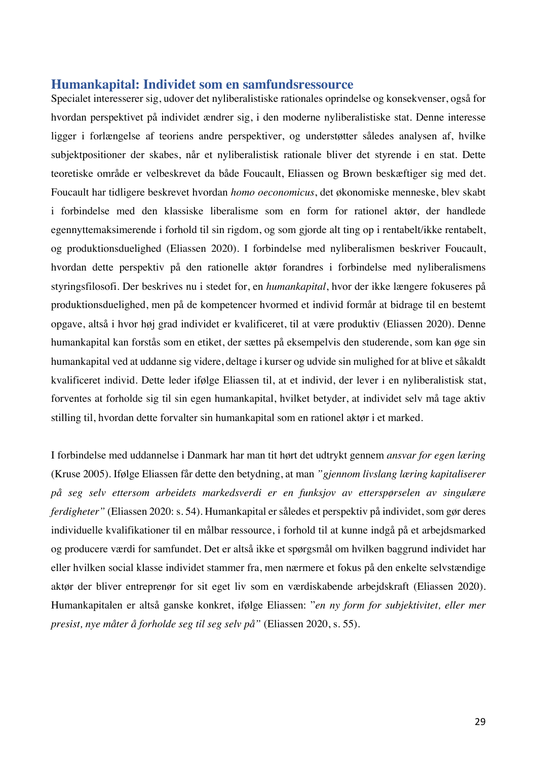## **Humankapital: Individet som en samfundsressource**

Specialet interesserer sig, udover det nyliberalistiske rationales oprindelse og konsekvenser, også for hvordan perspektivet på individet ændrer sig, i den moderne nyliberalistiske stat. Denne interesse ligger i forlængelse af teoriens andre perspektiver, og understøtter således analysen af, hvilke subjektpositioner der skabes, når et nyliberalistisk rationale bliver det styrende i en stat. Dette teoretiske område er velbeskrevet da både Foucault, Eliassen og Brown beskæftiger sig med det. Foucault har tidligere beskrevet hvordan *homo oeconomicus*, det økonomiske menneske, blev skabt i forbindelse med den klassiske liberalisme som en form for rationel aktør, der handlede egennyttemaksimerende i forhold til sin rigdom, og som gjorde alt ting op i rentabelt/ikke rentabelt, og produktionsduelighed (Eliassen 2020). I forbindelse med nyliberalismen beskriver Foucault, hvordan dette perspektiv på den rationelle aktør forandres i forbindelse med nyliberalismens styringsfilosofi. Der beskrives nu i stedet for, en *humankapital*, hvor der ikke længere fokuseres på produktionsduelighed, men på de kompetencer hvormed et individ formår at bidrage til en bestemt opgave, altså i hvor høj grad individet er kvalificeret, til at være produktiv (Eliassen 2020). Denne humankapital kan forstås som en etiket, der sættes på eksempelvis den studerende, som kan øge sin humankapital ved at uddanne sig videre, deltage i kurser og udvide sin mulighed for at blive et såkaldt kvalificeret individ. Dette leder ifølge Eliassen til, at et individ, der lever i en nyliberalistisk stat, forventes at forholde sig til sin egen humankapital, hvilket betyder, at individet selv må tage aktiv stilling til, hvordan dette forvalter sin humankapital som en rationel aktør i et marked.

I forbindelse med uddannelse i Danmark har man tit hørt det udtrykt gennem *ansvar for egen læring* (Kruse 2005). Ifølge Eliassen får dette den betydning, at man *"gjennom livslang læring kapitaliserer på seg selv ettersom arbeidets markedsverdi er en funksjov av etterspørselen av singulære ferdigheter"* (Eliassen 2020: s. 54). Humankapital er således et perspektiv på individet, som gør deres individuelle kvalifikationer til en målbar ressource, i forhold til at kunne indgå på et arbejdsmarked og producere værdi for samfundet. Det er altså ikke et spørgsmål om hvilken baggrund individet har eller hvilken social klasse individet stammer fra, men nærmere et fokus på den enkelte selvstændige aktør der bliver entreprenør for sit eget liv som en værdiskabende arbejdskraft (Eliassen 2020). Humankapitalen er altså ganske konkret, ifølge Eliassen: "*en ny form for subjektivitet, eller mer presist, nye måter å forholde seg til seg selv på"* (Eliassen 2020, s. 55).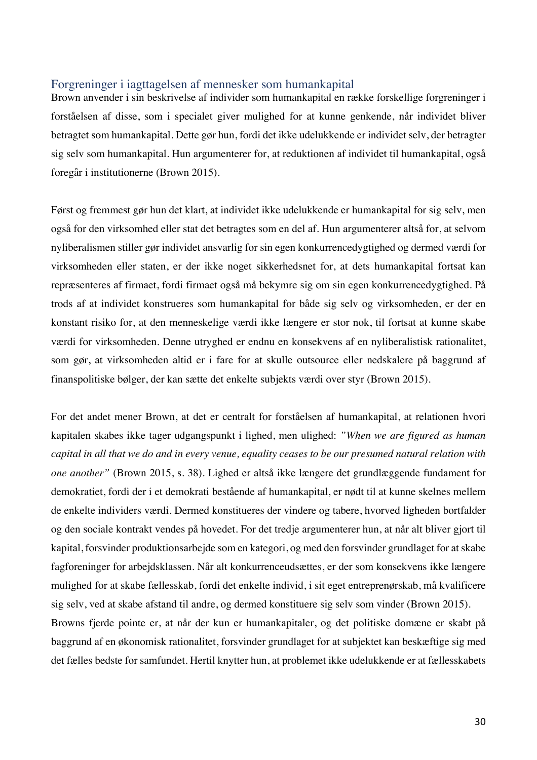## Forgreninger i iagttagelsen af mennesker som humankapital

Brown anvender i sin beskrivelse af individer som humankapital en række forskellige forgreninger i forståelsen af disse, som i specialet giver mulighed for at kunne genkende, når individet bliver betragtet som humankapital. Dette gør hun, fordi det ikke udelukkende er individet selv, der betragter sig selv som humankapital. Hun argumenterer for, at reduktionen af individet til humankapital, også foregår i institutionerne (Brown 2015).

Først og fremmest gør hun det klart, at individet ikke udelukkende er humankapital for sig selv, men også for den virksomhed eller stat det betragtes som en del af. Hun argumenterer altså for, at selvom nyliberalismen stiller gør individet ansvarlig for sin egen konkurrencedygtighed og dermed værdi for virksomheden eller staten, er der ikke noget sikkerhedsnet for, at dets humankapital fortsat kan repræsenteres af firmaet, fordi firmaet også må bekymre sig om sin egen konkurrencedygtighed. På trods af at individet konstrueres som humankapital for både sig selv og virksomheden, er der en konstant risiko for, at den menneskelige værdi ikke længere er stor nok, til fortsat at kunne skabe værdi for virksomheden. Denne utryghed er endnu en konsekvens af en nyliberalistisk rationalitet, som gør, at virksomheden altid er i fare for at skulle outsource eller nedskalere på baggrund af finanspolitiske bølger, der kan sætte det enkelte subjekts værdi over styr (Brown 2015).

For det andet mener Brown, at det er centralt for forståelsen af humankapital, at relationen hvori kapitalen skabes ikke tager udgangspunkt i lighed, men ulighed: *"When we are figured as human capital in all that we do and in every venue, equality ceases to be our presumed natural relation with one another"* (Brown 2015, s. 38). Lighed er altså ikke længere det grundlæggende fundament for demokratiet, fordi der i et demokrati bestående af humankapital, er nødt til at kunne skelnes mellem de enkelte individers værdi. Dermed konstitueres der vindere og tabere, hvorved ligheden bortfalder og den sociale kontrakt vendes på hovedet. For det tredje argumenterer hun, at når alt bliver gjort til kapital, forsvinder produktionsarbejde som en kategori, og med den forsvinder grundlaget for at skabe fagforeninger for arbejdsklassen. Når alt konkurrenceudsættes, er der som konsekvens ikke længere mulighed for at skabe fællesskab, fordi det enkelte individ, i sit eget entreprenørskab, må kvalificere sig selv, ved at skabe afstand til andre, og dermed konstituere sig selv som vinder (Brown 2015). Browns fjerde pointe er, at når der kun er humankapitaler, og det politiske domæne er skabt på baggrund af en økonomisk rationalitet, forsvinder grundlaget for at subjektet kan beskæftige sig med det fælles bedste for samfundet. Hertil knytter hun, at problemet ikke udelukkende er at fællesskabets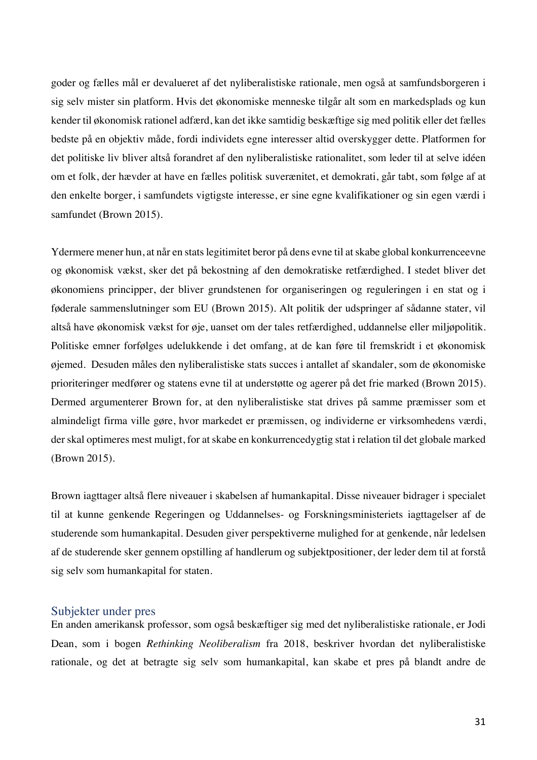goder og fælles mål er devalueret af det nyliberalistiske rationale, men også at samfundsborgeren i sig selv mister sin platform. Hvis det økonomiske menneske tilgår alt som en markedsplads og kun kender til økonomisk rationel adfærd, kan det ikke samtidig beskæftige sig med politik eller det fælles bedste på en objektiv måde, fordi individets egne interesser altid overskygger dette. Platformen for det politiske liv bliver altså forandret af den nyliberalistiske rationalitet, som leder til at selve idéen om et folk, der hævder at have en fælles politisk suverænitet, et demokrati, går tabt, som følge af at den enkelte borger, i samfundets vigtigste interesse, er sine egne kvalifikationer og sin egen værdi i samfundet (Brown 2015).

Ydermere mener hun, at når en stats legitimitet beror på dens evne til at skabe global konkurrenceevne og økonomisk vækst, sker det på bekostning af den demokratiske retfærdighed. I stedet bliver det økonomiens principper, der bliver grundstenen for organiseringen og reguleringen i en stat og i føderale sammenslutninger som EU (Brown 2015). Alt politik der udspringer af sådanne stater, vil altså have økonomisk vækst for øje, uanset om der tales retfærdighed, uddannelse eller miljøpolitik. Politiske emner forfølges udelukkende i det omfang, at de kan føre til fremskridt i et økonomisk øjemed. Desuden måles den nyliberalistiske stats succes i antallet af skandaler, som de økonomiske prioriteringer medfører og statens evne til at understøtte og agerer på det frie marked (Brown 2015). Dermed argumenterer Brown for, at den nyliberalistiske stat drives på samme præmisser som et almindeligt firma ville gøre, hvor markedet er præmissen, og individerne er virksomhedens værdi, der skal optimeres mest muligt, for at skabe en konkurrencedygtig stat i relation til det globale marked (Brown 2015).

Brown iagttager altså flere niveauer i skabelsen af humankapital. Disse niveauer bidrager i specialet til at kunne genkende Regeringen og Uddannelses- og Forskningsministeriets iagttagelser af de studerende som humankapital. Desuden giver perspektiverne mulighed for at genkende, når ledelsen af de studerende sker gennem opstilling af handlerum og subjektpositioner, der leder dem til at forstå sig selv som humankapital for staten.

## Subjekter under pres

En anden amerikansk professor, som også beskæftiger sig med det nyliberalistiske rationale, er Jodi Dean, som i bogen *Rethinking Neoliberalism* fra 2018, beskriver hvordan det nyliberalistiske rationale, og det at betragte sig selv som humankapital, kan skabe et pres på blandt andre de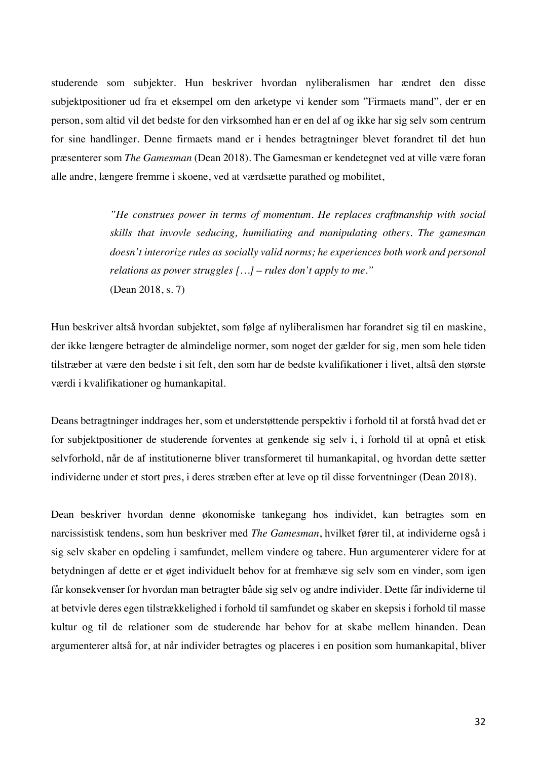studerende som subjekter. Hun beskriver hvordan nyliberalismen har ændret den disse subjektpositioner ud fra et eksempel om den arketype vi kender som "Firmaets mand", der er en person, som altid vil det bedste for den virksomhed han er en del af og ikke har sig selv som centrum for sine handlinger. Denne firmaets mand er i hendes betragtninger blevet forandret til det hun præsenterer som *The Gamesman* (Dean 2018). The Gamesman er kendetegnet ved at ville være foran alle andre, længere fremme i skoene, ved at værdsætte parathed og mobilitet,

> *"He construes power in terms of momentum. He replaces craftmanship with social skills that invovle seducing, humiliating and manipulating others. The gamesman doesn't interorize rules as socially valid norms; he experiences both work and personal relations as power struggles […] – rules don't apply to me."* (Dean 2018, s. 7)

Hun beskriver altså hvordan subjektet, som følge af nyliberalismen har forandret sig til en maskine, der ikke længere betragter de almindelige normer, som noget der gælder for sig, men som hele tiden tilstræber at være den bedste i sit felt, den som har de bedste kvalifikationer i livet, altså den største værdi i kvalifikationer og humankapital.

Deans betragtninger inddrages her, som et understøttende perspektiv i forhold til at forstå hvad det er for subjektpositioner de studerende forventes at genkende sig selv i, i forhold til at opnå et etisk selvforhold, når de af institutionerne bliver transformeret til humankapital, og hvordan dette sætter individerne under et stort pres, i deres stræben efter at leve op til disse forventninger (Dean 2018).

Dean beskriver hvordan denne økonomiske tankegang hos individet, kan betragtes som en narcissistisk tendens, som hun beskriver med *The Gamesman*, hvilket fører til, at individerne også i sig selv skaber en opdeling i samfundet, mellem vindere og tabere. Hun argumenterer videre for at betydningen af dette er et øget individuelt behov for at fremhæve sig selv som en vinder, som igen får konsekvenser for hvordan man betragter både sig selv og andre individer. Dette får individerne til at betvivle deres egen tilstrækkelighed i forhold til samfundet og skaber en skepsis i forhold til masse kultur og til de relationer som de studerende har behov for at skabe mellem hinanden. Dean argumenterer altså for, at når individer betragtes og placeres i en position som humankapital, bliver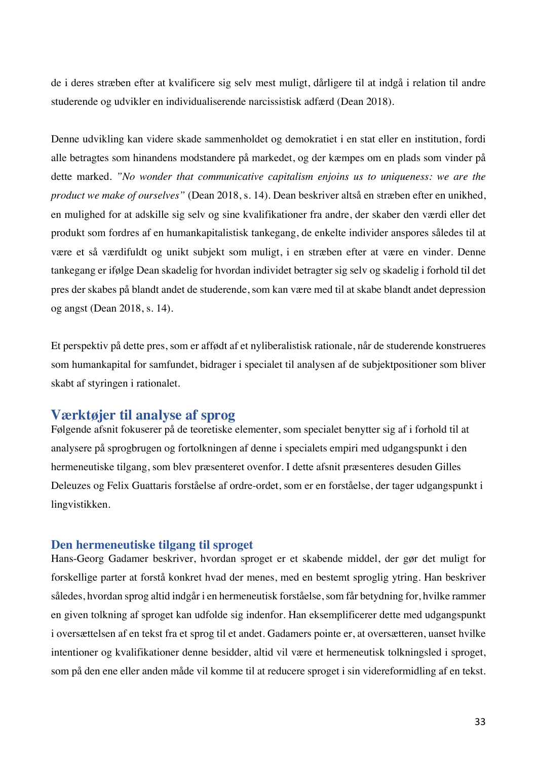de i deres stræben efter at kvalificere sig selv mest muligt, dårligere til at indgå i relation til andre studerende og udvikler en individualiserende narcissistisk adfærd (Dean 2018).

Denne udvikling kan videre skade sammenholdet og demokratiet i en stat eller en institution, fordi alle betragtes som hinandens modstandere på markedet, og der kæmpes om en plads som vinder på dette marked. *"No wonder that communicative capitalism enjoins us to uniqueness: we are the product we make of ourselves"* (Dean 2018, s. 14). Dean beskriver altså en stræben efter en unikhed, en mulighed for at adskille sig selv og sine kvalifikationer fra andre, der skaber den værdi eller det produkt som fordres af en humankapitalistisk tankegang, de enkelte individer anspores således til at være et så værdifuldt og unikt subjekt som muligt, i en stræben efter at være en vinder. Denne tankegang er ifølge Dean skadelig for hvordan individet betragter sig selv og skadelig i forhold til det pres der skabes på blandt andet de studerende, som kan være med til at skabe blandt andet depression og angst (Dean 2018, s. 14).

Et perspektiv på dette pres, som er affødt af et nyliberalistisk rationale, når de studerende konstrueres som humankapital for samfundet, bidrager i specialet til analysen af de subjektpositioner som bliver skabt af styringen i rationalet.

## **Værktøjer til analyse af sprog**

Følgende afsnit fokuserer på de teoretiske elementer, som specialet benytter sig af i forhold til at analysere på sprogbrugen og fortolkningen af denne i specialets empiri med udgangspunkt i den hermeneutiske tilgang, som blev præsenteret ovenfor. I dette afsnit præsenteres desuden Gilles Deleuzes og Felix Guattaris forståelse af ordre-ordet, som er en forståelse, der tager udgangspunkt i lingvistikken.

## **Den hermeneutiske tilgang til sproget**

Hans-Georg Gadamer beskriver, hvordan sproget er et skabende middel, der gør det muligt for forskellige parter at forstå konkret hvad der menes, med en bestemt sproglig ytring. Han beskriver således, hvordan sprog altid indgår i en hermeneutisk forståelse, som får betydning for, hvilke rammer en given tolkning af sproget kan udfolde sig indenfor. Han eksemplificerer dette med udgangspunkt i oversættelsen af en tekst fra et sprog til et andet. Gadamers pointe er, at oversætteren, uanset hvilke intentioner og kvalifikationer denne besidder, altid vil være et hermeneutisk tolkningsled i sproget, som på den ene eller anden måde vil komme til at reducere sproget i sin videreformidling af en tekst.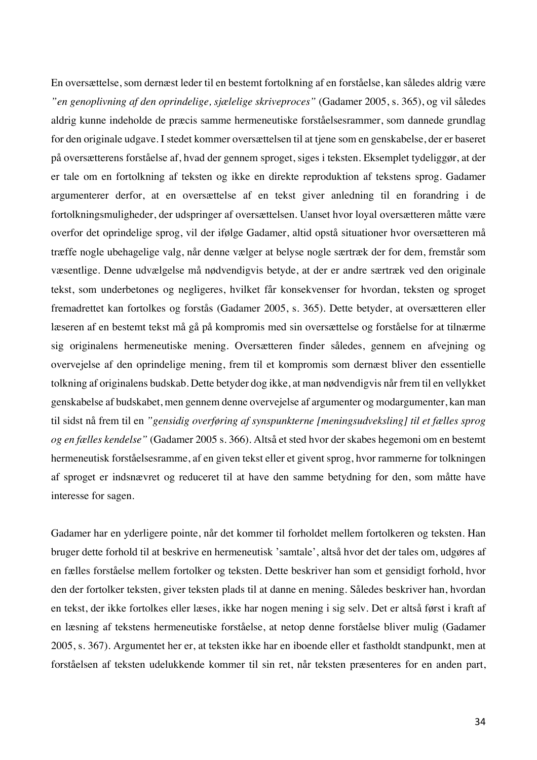En oversættelse, som dernæst leder til en bestemt fortolkning af en forståelse, kan således aldrig være *"en genoplivning af den oprindelige, sjælelige skriveproces"* (Gadamer 2005, s. 365), og vil således aldrig kunne indeholde de præcis samme hermeneutiske forståelsesrammer, som dannede grundlag for den originale udgave. I stedet kommer oversættelsen til at tjene som en genskabelse, der er baseret på oversætterens forståelse af, hvad der gennem sproget, siges i teksten. Eksemplet tydeliggør, at der er tale om en fortolkning af teksten og ikke en direkte reproduktion af tekstens sprog. Gadamer argumenterer derfor, at en oversættelse af en tekst giver anledning til en forandring i de fortolkningsmuligheder, der udspringer af oversættelsen. Uanset hvor loyal oversætteren måtte være overfor det oprindelige sprog, vil der ifølge Gadamer, altid opstå situationer hvor oversætteren må træffe nogle ubehagelige valg, når denne vælger at belyse nogle særtræk der for dem, fremstår som væsentlige. Denne udvælgelse må nødvendigvis betyde, at der er andre særtræk ved den originale tekst, som underbetones og negligeres, hvilket får konsekvenser for hvordan, teksten og sproget fremadrettet kan fortolkes og forstås (Gadamer 2005, s. 365). Dette betyder, at oversætteren eller læseren af en bestemt tekst må gå på kompromis med sin oversættelse og forståelse for at tilnærme sig originalens hermeneutiske mening. Oversætteren finder således, gennem en afvejning og overvejelse af den oprindelige mening, frem til et kompromis som dernæst bliver den essentielle tolkning af originalens budskab. Dette betyder dog ikke, at man nødvendigvis når frem til en vellykket genskabelse af budskabet, men gennem denne overvejelse af argumenter og modargumenter, kan man til sidst nå frem til en *"gensidig overføring af synspunkterne [meningsudveksling] til et fælles sprog og en fælles kendelse"* (Gadamer 2005 s. 366). Altså et sted hvor der skabes hegemoni om en bestemt hermeneutisk forståelsesramme, af en given tekst eller et givent sprog, hvor rammerne for tolkningen af sproget er indsnævret og reduceret til at have den samme betydning for den, som måtte have interesse for sagen.

Gadamer har en yderligere pointe, når det kommer til forholdet mellem fortolkeren og teksten. Han bruger dette forhold til at beskrive en hermeneutisk 'samtale', altså hvor det der tales om, udgøres af en fælles forståelse mellem fortolker og teksten. Dette beskriver han som et gensidigt forhold, hvor den der fortolker teksten, giver teksten plads til at danne en mening. Således beskriver han, hvordan en tekst, der ikke fortolkes eller læses, ikke har nogen mening i sig selv. Det er altså først i kraft af en læsning af tekstens hermeneutiske forståelse, at netop denne forståelse bliver mulig (Gadamer 2005, s. 367). Argumentet her er, at teksten ikke har en iboende eller et fastholdt standpunkt, men at forståelsen af teksten udelukkende kommer til sin ret, når teksten præsenteres for en anden part,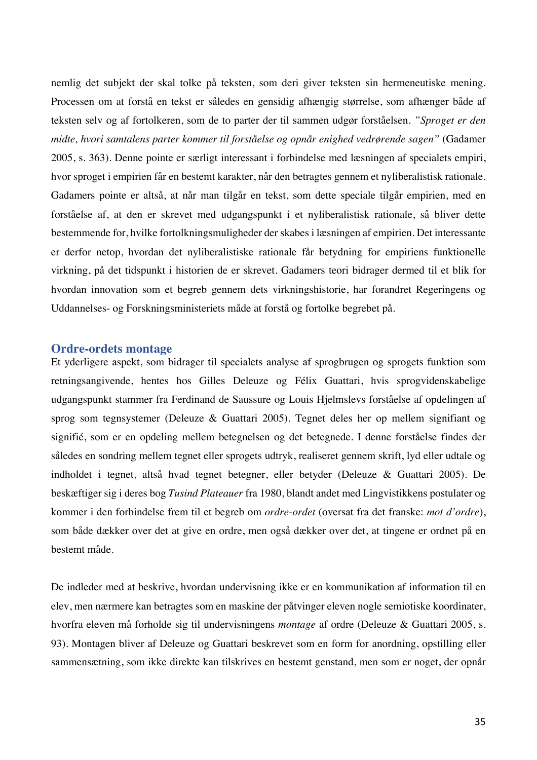nemlig det subjekt der skal tolke på teksten, som deri giver teksten sin hermeneutiske mening. Processen om at forstå en tekst er således en gensidig afhængig størrelse, som afhænger både af teksten selv og af fortolkeren, som de to parter der til sammen udgør forståelsen. *"Sproget er den midte, hvori samtalens parter kommer til forståelse og opnår enighed vedrørende sagen"* (Gadamer 2005, s. 363). Denne pointe er særligt interessant i forbindelse med læsningen af specialets empiri, hvor sproget i empirien får en bestemt karakter, når den betragtes gennem et nyliberalistisk rationale. Gadamers pointe er altså, at når man tilgår en tekst, som dette speciale tilgår empirien, med en forståelse af, at den er skrevet med udgangspunkt i et nyliberalistisk rationale, så bliver dette bestemmende for, hvilke fortolkningsmuligheder der skabes i læsningen af empirien. Det interessante er derfor netop, hvordan det nyliberalistiske rationale får betydning for empiriens funktionelle virkning, på det tidspunkt i historien de er skrevet. Gadamers teori bidrager dermed til et blik for hvordan innovation som et begreb gennem dets virkningshistorie, har forandret Regeringens og Uddannelses- og Forskningsministeriets måde at forstå og fortolke begrebet på.

#### **Ordre-ordets montage**

Et yderligere aspekt, som bidrager til specialets analyse af sprogbrugen og sprogets funktion som retningsangivende, hentes hos Gilles Deleuze og Félix Guattari, hvis sprogvidenskabelige udgangspunkt stammer fra Ferdinand de Saussure og Louis Hjelmslevs forståelse af opdelingen af sprog som tegnsystemer (Deleuze & Guattari 2005). Tegnet deles her op mellem signifiant og signifié, som er en opdeling mellem betegnelsen og det betegnede. I denne forståelse findes der således en sondring mellem tegnet eller sprogets udtryk, realiseret gennem skrift, lyd eller udtale og indholdet i tegnet, altså hvad tegnet betegner, eller betyder (Deleuze & Guattari 2005). De beskæftiger sig i deres bog *Tusind Plateauer* fra 1980, blandt andet med Lingvistikkens postulater og kommer i den forbindelse frem til et begreb om *ordre-ordet* (oversat fra det franske: *mot d'ordre*), som både dækker over det at give en ordre, men også dækker over det, at tingene er ordnet på en bestemt måde.

De indleder med at beskrive, hvordan undervisning ikke er en kommunikation af information til en elev, men nærmere kan betragtes som en maskine der påtvinger eleven nogle semiotiske koordinater, hvorfra eleven må forholde sig til undervisningens *montage* af ordre (Deleuze & Guattari 2005, s. 93). Montagen bliver af Deleuze og Guattari beskrevet som en form for anordning, opstilling eller sammensætning, som ikke direkte kan tilskrives en bestemt genstand, men som er noget, der opnår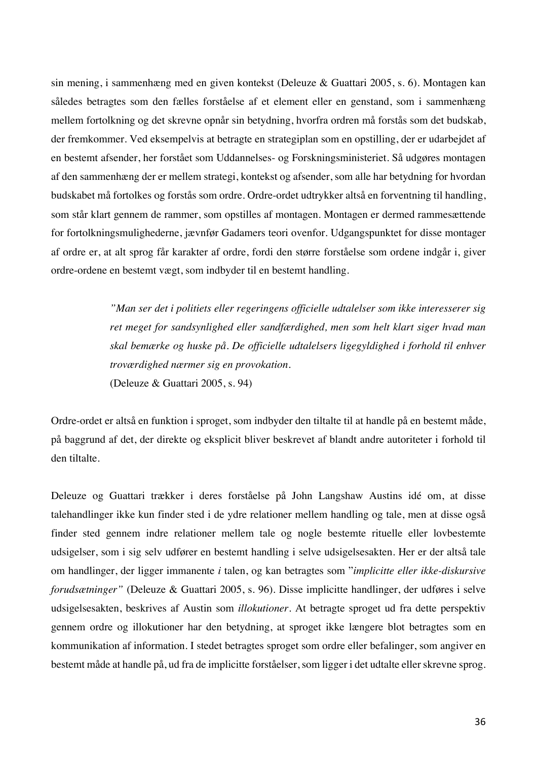sin mening, i sammenhæng med en given kontekst (Deleuze & Guattari 2005, s. 6). Montagen kan således betragtes som den fælles forståelse af et element eller en genstand, som i sammenhæng mellem fortolkning og det skrevne opnår sin betydning, hvorfra ordren må forstås som det budskab, der fremkommer. Ved eksempelvis at betragte en strategiplan som en opstilling, der er udarbejdet af en bestemt afsender, her forstået som Uddannelses- og Forskningsministeriet. Så udgøres montagen af den sammenhæng der er mellem strategi, kontekst og afsender, som alle har betydning for hvordan budskabet må fortolkes og forstås som ordre. Ordre-ordet udtrykker altså en forventning til handling, som står klart gennem de rammer, som opstilles af montagen. Montagen er dermed rammesættende for fortolkningsmulighederne, jævnfør Gadamers teori ovenfor. Udgangspunktet for disse montager af ordre er, at alt sprog får karakter af ordre, fordi den større forståelse som ordene indgår i, giver ordre-ordene en bestemt vægt, som indbyder til en bestemt handling.

> *"Man ser det i politiets eller regeringens officielle udtalelser som ikke interesserer sig ret meget for sandsynlighed eller sandfærdighed, men som helt klart siger hvad man skal bemærke og huske på. De officielle udtalelsers ligegyldighed i forhold til enhver troværdighed nærmer sig en provokation.* (Deleuze & Guattari 2005, s. 94)

Ordre-ordet er altså en funktion i sproget, som indbyder den tiltalte til at handle på en bestemt måde, på baggrund af det, der direkte og eksplicit bliver beskrevet af blandt andre autoriteter i forhold til den tiltalte.

Deleuze og Guattari trækker i deres forståelse på John Langshaw Austins idé om, at disse talehandlinger ikke kun finder sted i de ydre relationer mellem handling og tale, men at disse også finder sted gennem indre relationer mellem tale og nogle bestemte rituelle eller lovbestemte udsigelser, som i sig selv udfører en bestemt handling i selve udsigelsesakten. Her er der altså tale om handlinger, der ligger immanente *i* talen, og kan betragtes som "*implicitte eller ikke-diskursive forudsætninger"* (Deleuze & Guattari 2005, s. 96). Disse implicitte handlinger, der udføres i selve udsigelsesakten, beskrives af Austin som *illokutioner.* At betragte sproget ud fra dette perspektiv gennem ordre og illokutioner har den betydning, at sproget ikke længere blot betragtes som en kommunikation af information. I stedet betragtes sproget som ordre eller befalinger, som angiver en bestemt måde at handle på, ud fra de implicitte forståelser, som ligger i det udtalte eller skrevne sprog.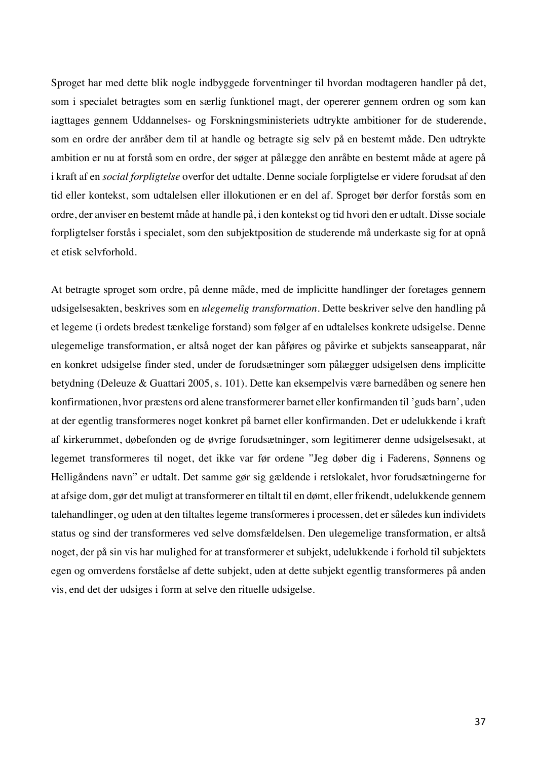Sproget har med dette blik nogle indbyggede forventninger til hvordan modtageren handler på det, som i specialet betragtes som en særlig funktionel magt, der opererer gennem ordren og som kan iagttages gennem Uddannelses- og Forskningsministeriets udtrykte ambitioner for de studerende, som en ordre der anråber dem til at handle og betragte sig selv på en bestemt måde. Den udtrykte ambition er nu at forstå som en ordre, der søger at pålægge den anråbte en bestemt måde at agere på i kraft af en *social forpligtelse* overfor det udtalte. Denne sociale forpligtelse er videre forudsat af den tid eller kontekst, som udtalelsen eller illokutionen er en del af. Sproget bør derfor forstås som en ordre, der anviser en bestemt måde at handle på, i den kontekst og tid hvori den er udtalt. Disse sociale forpligtelser forstås i specialet, som den subjektposition de studerende må underkaste sig for at opnå et etisk selvforhold.

At betragte sproget som ordre, på denne måde, med de implicitte handlinger der foretages gennem udsigelsesakten, beskrives som en *ulegemelig transformation*. Dette beskriver selve den handling på et legeme (i ordets bredest tænkelige forstand) som følger af en udtalelses konkrete udsigelse. Denne ulegemelige transformation, er altså noget der kan påføres og påvirke et subjekts sanseapparat, når en konkret udsigelse finder sted, under de forudsætninger som pålægger udsigelsen dens implicitte betydning (Deleuze & Guattari 2005, s. 101). Dette kan eksempelvis være barnedåben og senere hen konfirmationen, hvor præstens ord alene transformerer barnet eller konfirmanden til 'guds barn', uden at der egentlig transformeres noget konkret på barnet eller konfirmanden. Det er udelukkende i kraft af kirkerummet, døbefonden og de øvrige forudsætninger, som legitimerer denne udsigelsesakt, at legemet transformeres til noget, det ikke var før ordene "Jeg døber dig i Faderens, Sønnens og Helligåndens navn" er udtalt. Det samme gør sig gældende i retslokalet, hvor forudsætningerne for at afsige dom, gør det muligt at transformerer en tiltalt til en dømt, eller frikendt, udelukkende gennem talehandlinger, og uden at den tiltaltes legeme transformeres i processen, det er således kun individets status og sind der transformeres ved selve domsfældelsen. Den ulegemelige transformation, er altså noget, der på sin vis har mulighed for at transformerer et subjekt, udelukkende i forhold til subjektets egen og omverdens forståelse af dette subjekt, uden at dette subjekt egentlig transformeres på anden vis, end det der udsiges i form at selve den rituelle udsigelse.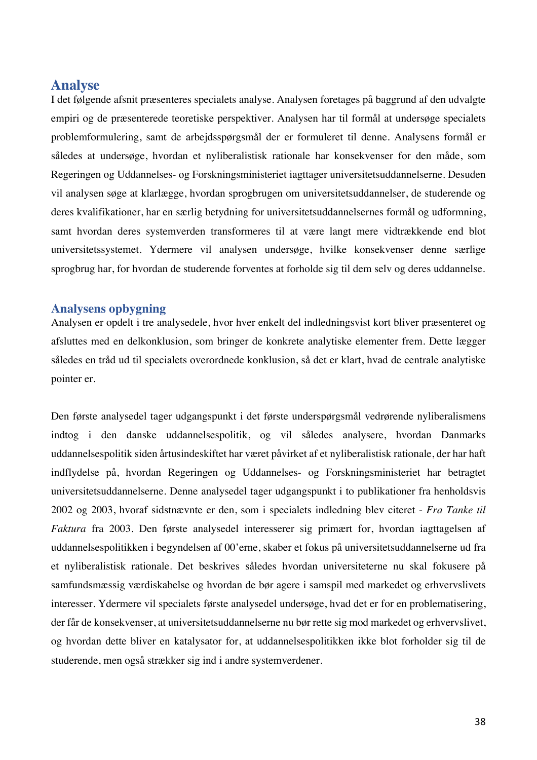# **Analyse**

I det følgende afsnit præsenteres specialets analyse. Analysen foretages på baggrund af den udvalgte empiri og de præsenterede teoretiske perspektiver. Analysen har til formål at undersøge specialets problemformulering, samt de arbejdsspørgsmål der er formuleret til denne. Analysens formål er således at undersøge, hvordan et nyliberalistisk rationale har konsekvenser for den måde, som Regeringen og Uddannelses- og Forskningsministeriet iagttager universitetsuddannelserne. Desuden vil analysen søge at klarlægge, hvordan sprogbrugen om universitetsuddannelser, de studerende og deres kvalifikationer, har en særlig betydning for universitetsuddannelsernes formål og udformning, samt hvordan deres systemverden transformeres til at være langt mere vidtrækkende end blot universitetssystemet. Ydermere vil analysen undersøge, hvilke konsekvenser denne særlige sprogbrug har, for hvordan de studerende forventes at forholde sig til dem selv og deres uddannelse.

## **Analysens opbygning**

Analysen er opdelt i tre analysedele, hvor hver enkelt del indledningsvist kort bliver præsenteret og afsluttes med en delkonklusion, som bringer de konkrete analytiske elementer frem. Dette lægger således en tråd ud til specialets overordnede konklusion, så det er klart, hvad de centrale analytiske pointer er.

Den første analysedel tager udgangspunkt i det første underspørgsmål vedrørende nyliberalismens indtog i den danske uddannelsespolitik, og vil således analysere, hvordan Danmarks uddannelsespolitik siden årtusindeskiftet har været påvirket af et nyliberalistisk rationale, der har haft indflydelse på, hvordan Regeringen og Uddannelses- og Forskningsministeriet har betragtet universitetsuddannelserne. Denne analysedel tager udgangspunkt i to publikationer fra henholdsvis 2002 og 2003, hvoraf sidstnævnte er den, som i specialets indledning blev citeret - *Fra Tanke til Faktura* fra 2003. Den første analysedel interesserer sig primært for, hvordan iagttagelsen af uddannelsespolitikken i begyndelsen af 00'erne, skaber et fokus på universitetsuddannelserne ud fra et nyliberalistisk rationale. Det beskrives således hvordan universiteterne nu skal fokusere på samfundsmæssig værdiskabelse og hvordan de bør agere i samspil med markedet og erhvervslivets interesser. Ydermere vil specialets første analysedel undersøge, hvad det er for en problematisering, der får de konsekvenser, at universitetsuddannelserne nu bør rette sig mod markedet og erhvervslivet, og hvordan dette bliver en katalysator for, at uddannelsespolitikken ikke blot forholder sig til de studerende, men også strækker sig ind i andre systemverdener.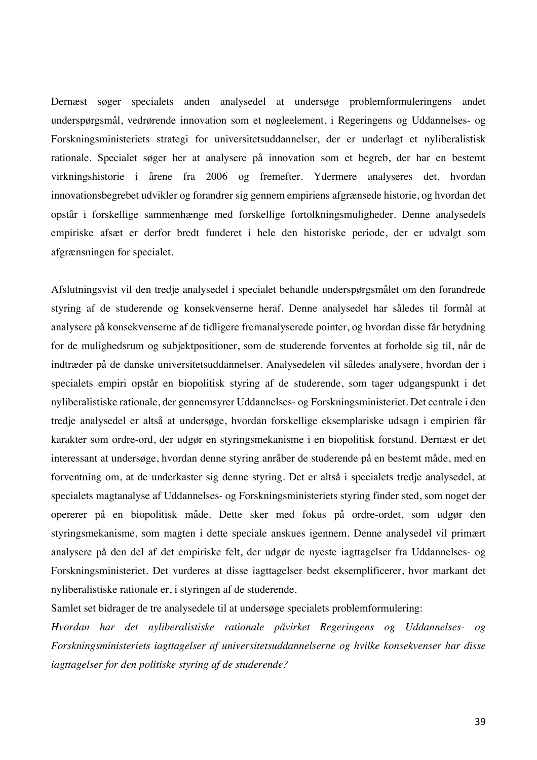Dernæst søger specialets anden analysedel at undersøge problemformuleringens andet underspørgsmål, vedrørende innovation som et nøgleelement, i Regeringens og Uddannelses- og Forskningsministeriets strategi for universitetsuddannelser, der er underlagt et nyliberalistisk rationale. Specialet søger her at analysere på innovation som et begreb, der har en bestemt virkningshistorie i årene fra 2006 og fremefter. Ydermere analyseres det, hvordan innovationsbegrebet udvikler og forandrer sig gennem empiriens afgrænsede historie, og hvordan det opstår i forskellige sammenhænge med forskellige fortolkningsmuligheder. Denne analysedels empiriske afsæt er derfor bredt funderet i hele den historiske periode, der er udvalgt som afgrænsningen for specialet.

Afslutningsvist vil den tredje analysedel i specialet behandle underspørgsmålet om den forandrede styring af de studerende og konsekvenserne heraf. Denne analysedel har således til formål at analysere på konsekvenserne af de tidligere fremanalyserede pointer, og hvordan disse får betydning for de mulighedsrum og subjektpositioner, som de studerende forventes at forholde sig til, når de indtræder på de danske universitetsuddannelser. Analysedelen vil således analysere, hvordan der i specialets empiri opstår en biopolitisk styring af de studerende, som tager udgangspunkt i det nyliberalistiske rationale, der gennemsyrer Uddannelses- og Forskningsministeriet. Det centrale i den tredje analysedel er altså at undersøge, hvordan forskellige eksemplariske udsagn i empirien får karakter som ordre-ord, der udgør en styringsmekanisme i en biopolitisk forstand. Dernæst er det interessant at undersøge, hvordan denne styring anråber de studerende på en bestemt måde, med en forventning om, at de underkaster sig denne styring. Det er altså i specialets tredje analysedel, at specialets magtanalyse af Uddannelses- og Forskningsministeriets styring finder sted, som noget der opererer på en biopolitisk måde. Dette sker med fokus på ordre-ordet, som udgør den styringsmekanisme, som magten i dette speciale anskues igennem. Denne analysedel vil primært analysere på den del af det empiriske felt, der udgør de nyeste iagttagelser fra Uddannelses- og Forskningsministeriet. Det vurderes at disse iagttagelser bedst eksemplificerer, hvor markant det nyliberalistiske rationale er, i styringen af de studerende.

Samlet set bidrager de tre analysedele til at undersøge specialets problemformulering:

*Hvordan har det nyliberalistiske rationale påvirket Regeringens og Uddannelses- og Forskningsministeriets iagttagelser af universitetsuddannelserne og hvilke konsekvenser har disse iagttagelser for den politiske styring af de studerende?*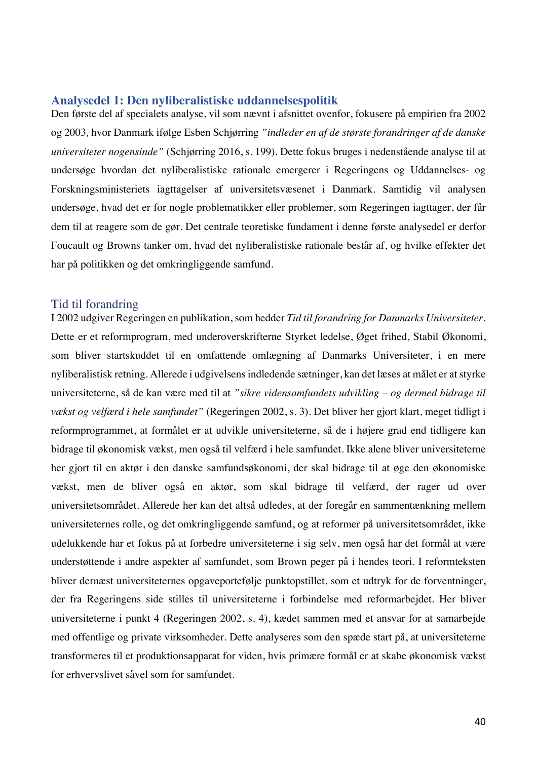#### **Analysedel 1: Den nyliberalistiske uddannelsespolitik**

Den første del af specialets analyse, vil som nævnt i afsnittet ovenfor, fokusere på empirien fra 2002 og 2003*,* hvor Danmark ifølge Esben Schjørring *"indleder en af de største forandringer af de danske universiteter nogensinde"* (Schjørring 2016, s. 199). Dette fokus bruges i nedenstående analyse til at undersøge hvordan det nyliberalistiske rationale emergerer i Regeringens og Uddannelses- og Forskningsministeriets iagttagelser af universitetsvæsenet i Danmark. Samtidig vil analysen undersøge, hvad det er for nogle problematikker eller problemer, som Regeringen iagttager, der får dem til at reagere som de gør. Det centrale teoretiske fundament i denne første analysedel er derfor Foucault og Browns tanker om, hvad det nyliberalistiske rationale består af, og hvilke effekter det har på politikken og det omkringliggende samfund.

## Tid til forandring

I 2002 udgiver Regeringen en publikation, som hedder *Tid til forandring for Danmarks Universiteter*. Dette er et reformprogram, med underoverskrifterne Styrket ledelse, Øget frihed, Stabil Økonomi, som bliver startskuddet til en omfattende omlægning af Danmarks Universiteter, i en mere nyliberalistisk retning. Allerede i udgivelsens indledende sætninger, kan det læses at målet er at styrke universiteterne, så de kan være med til at *"sikre vidensamfundets udvikling – og dermed bidrage til vækst og velfærd i hele samfundet"* (Regeringen 2002, s. 3). Det bliver her gjort klart, meget tidligt i reformprogrammet, at formålet er at udvikle universiteterne, så de i højere grad end tidligere kan bidrage til økonomisk vækst, men også til velfærd i hele samfundet. Ikke alene bliver universiteterne her gjort til en aktør i den danske samfundsøkonomi, der skal bidrage til at øge den økonomiske vækst, men de bliver også en aktør, som skal bidrage til velfærd, der rager ud over universitetsområdet. Allerede her kan det altså udledes, at der foregår en sammentænkning mellem universiteternes rolle, og det omkringliggende samfund, og at reformer på universitetsområdet, ikke udelukkende har et fokus på at forbedre universiteterne i sig selv, men også har det formål at være understøttende i andre aspekter af samfundet, som Brown peger på i hendes teori. I reformteksten bliver dernæst universiteternes opgaveportefølje punktopstillet, som et udtryk for de forventninger, der fra Regeringens side stilles til universiteterne i forbindelse med reformarbejdet. Her bliver universiteterne i punkt 4 (Regeringen 2002, s. 4), kædet sammen med et ansvar for at samarbejde med offentlige og private virksomheder. Dette analyseres som den spæde start på, at universiteterne transformeres til et produktionsapparat for viden, hvis primære formål er at skabe økonomisk vækst for erhvervslivet såvel som for samfundet.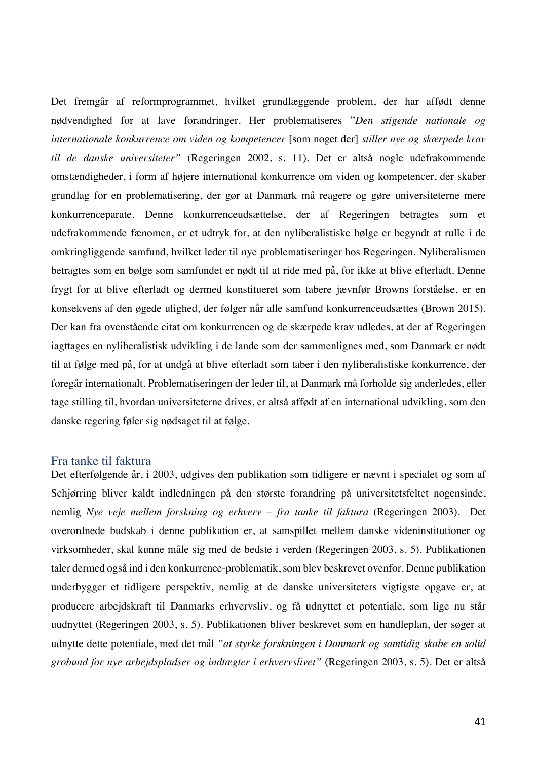Det fremgår af reformprogrammet, hvilket grundlæggende problem, der har affødt denne nødvendighed for at lave forandringer. Her problematiseres "*Den stigende nationale og internationale konkurrence om viden og kompetencer* [som noget der] *stiller nye og skærpede krav til de danske universiteter"* (Regeringen 2002, s. 11). Det er altså nogle udefrakommende omstændigheder, i form af højere international konkurrence om viden og kompetencer, der skaber grundlag for en problematisering, der gør at Danmark må reagere og gøre universiteterne mere konkurrenceparate. Denne konkurrenceudsættelse, der af Regeringen betragtes som et udefrakommende fænomen, er et udtryk for, at den nyliberalistiske bølge er begyndt at rulle i de omkringliggende samfund, hvilket leder til nye problematiseringer hos Regeringen. Nyliberalismen betragtes som en bølge som samfundet er nødt til at ride med på, for ikke at blive efterladt. Denne frygt for at blive efterladt og dermed konstitueret som tabere jævnfør Browns forståelse, er en konsekvens af den øgede ulighed, der følger når alle samfund konkurrenceudsættes (Brown 2015). Der kan fra ovenstående citat om konkurrencen og de skærpede krav udledes, at der af Regeringen iagttages en nyliberalistisk udvikling i de lande som der sammenlignes med, som Danmark er nødt til at følge med på, for at undgå at blive efterladt som taber i den nyliberalistiske konkurrence, der foregår internationalt. Problematiseringen der leder til, at Danmark må forholde sig anderledes, eller tage stilling til, hvordan universiteterne drives, er altså affødt af en international udvikling, som den danske regering føler sig nødsaget til at følge.

## Fra tanke til faktura

Det efterfølgende år, i 2003, udgives den publikation som tidligere er nævnt i specialet og som af Schjørring bliver kaldt indledningen på den største forandring på universitetsfeltet nogensinde, nemlig *Nye veje mellem forskning og erhverv – fra tanke til faktura* (Regeringen 2003). Det overordnede budskab i denne publikation er, at samspillet mellem danske videninstitutioner og virksomheder, skal kunne måle sig med de bedste i verden (Regeringen 2003, s. 5). Publikationen taler dermed også ind i den konkurrence-problematik, som blev beskrevet ovenfor. Denne publikation underbygger et tidligere perspektiv, nemlig at de danske universiteters vigtigste opgave er, at producere arbejdskraft til Danmarks erhvervsliv, og få udnyttet et potentiale, som lige nu står uudnyttet (Regeringen 2003, s. 5). Publikationen bliver beskrevet som en handleplan, der søger at udnytte dette potentiale, med det mål *"at styrke forskningen i Danmark og samtidig skabe en solid grobund for nye arbejdspladser og indtægter i erhvervslivet"* (Regeringen 2003, s. 5). Det er altså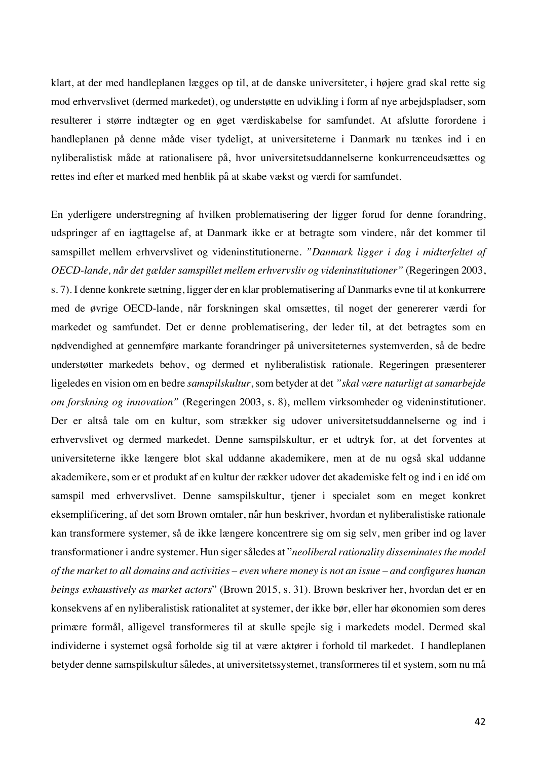klart, at der med handleplanen lægges op til, at de danske universiteter, i højere grad skal rette sig mod erhvervslivet (dermed markedet), og understøtte en udvikling i form af nye arbejdspladser, som resulterer i større indtægter og en øget værdiskabelse for samfundet. At afslutte forordene i handleplanen på denne måde viser tydeligt, at universiteterne i Danmark nu tænkes ind i en nyliberalistisk måde at rationalisere på, hvor universitetsuddannelserne konkurrenceudsættes og rettes ind efter et marked med henblik på at skabe vækst og værdi for samfundet.

En yderligere understregning af hvilken problematisering der ligger forud for denne forandring, udspringer af en iagttagelse af, at Danmark ikke er at betragte som vindere, når det kommer til samspillet mellem erhvervslivet og videninstitutionerne. *"Danmark ligger i dag i midterfeltet af OECD-lande, når det gælder samspillet mellem erhvervsliv og videninstitutioner"* (Regeringen 2003, s. 7). I denne konkrete sætning, ligger der en klar problematisering af Danmarks evne til at konkurrere med de øvrige OECD-lande, når forskningen skal omsættes, til noget der genererer værdi for markedet og samfundet. Det er denne problematisering, der leder til, at det betragtes som en nødvendighed at gennemføre markante forandringer på universiteternes systemverden, så de bedre understøtter markedets behov, og dermed et nyliberalistisk rationale. Regeringen præsenterer ligeledes en vision om en bedre *samspilskultur*, som betyder at det *"skal være naturligt at samarbejde om forskning og innovation"* (Regeringen 2003, s. 8), mellem virksomheder og videninstitutioner. Der er altså tale om en kultur, som strækker sig udover universitetsuddannelserne og ind i erhvervslivet og dermed markedet. Denne samspilskultur, er et udtryk for, at det forventes at universiteterne ikke længere blot skal uddanne akademikere, men at de nu også skal uddanne akademikere, som er et produkt af en kultur der rækker udover det akademiske felt og ind i en idé om samspil med erhvervslivet. Denne samspilskultur, tjener i specialet som en meget konkret eksemplificering, af det som Brown omtaler, når hun beskriver, hvordan et nyliberalistiske rationale kan transformere systemer, så de ikke længere koncentrere sig om sig selv, men griber ind og laver transformationer i andre systemer. Hun siger således at "*neoliberal rationality disseminates the model of the market to all domains and activities – even where money is not an issue – and configures human beings exhaustively as market actors*" (Brown 2015, s. 31). Brown beskriver her, hvordan det er en konsekvens af en nyliberalistisk rationalitet at systemer, der ikke bør, eller har økonomien som deres primære formål, alligevel transformeres til at skulle spejle sig i markedets model. Dermed skal individerne i systemet også forholde sig til at være aktører i forhold til markedet. I handleplanen betyder denne samspilskultur således, at universitetssystemet, transformeres til et system, som nu må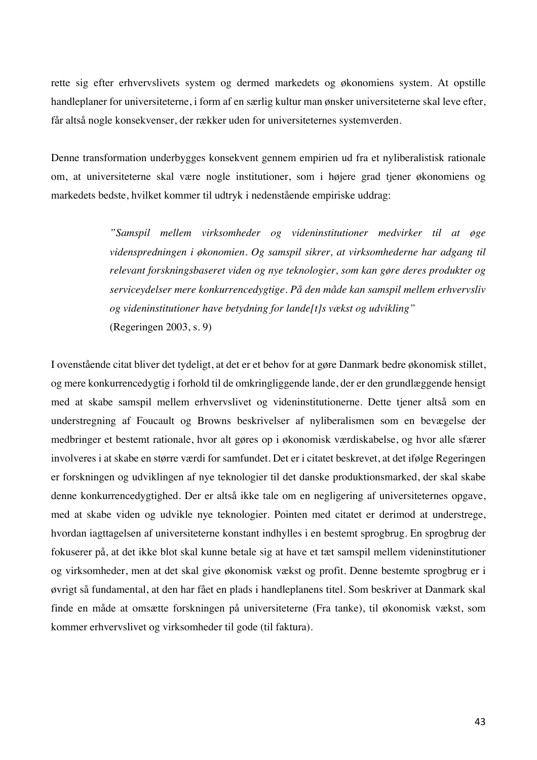rette sig efter erhvervslivets system og dermed markedets og økonomiens system. At opstille handleplaner for universiteterne, i form af en særlig kultur man ønsker universiteterne skal leve efter, får altså nogle konsekvenser, der rækker uden for universiteternes systemverden.

Denne transformation underbygges konsekvent gennem empirien ud fra et nyliberalistisk rationale om, at universiteterne skal være nogle institutioner, som i højere grad tjener økonomiens og markedets bedste, hvilket kommer til udtryk i nedenstående empiriske uddrag:

> *"Samspil mellem virksomheder og videninstitutioner medvirker til at øge videnspredningen i økonomien. Og samspil sikrer, at virksomhederne har adgang til relevant forskningsbaseret viden og nye teknologier, som kan gøre deres produkter og serviceydelser mere konkurrencedygtige. På den måde kan samspil mellem erhvervsliv og videninstitutioner have betydning for lande[t]s vækst og udvikling"* (Regeringen 2003, s. 9)

I ovenstående citat bliver det tydeligt, at det er et behov for at gøre Danmark bedre økonomisk stillet, og mere konkurrencedygtig i forhold til de omkringliggende lande, der er den grundlæggende hensigt med at skabe samspil mellem erhvervslivet og videninstitutionerne. Dette tjener altså som en understregning af Foucault og Browns beskrivelser af nyliberalismen som en bevægelse der medbringer et bestemt rationale, hvor alt gøres op i økonomisk værdiskabelse, og hvor alle sfærer involveres i at skabe en større værdi for samfundet. Det er i citatet beskrevet, at det ifølge Regeringen er forskningen og udviklingen af nye teknologier til det danske produktionsmarked, der skal skabe denne konkurrencedygtighed. Der er altså ikke tale om en negligering af universiteternes opgave, med at skabe viden og udvikle nye teknologier. Pointen med citatet er derimod at understrege, hvordan iagttagelsen af universiteterne konstant indhylles i en bestemt sprogbrug. En sprogbrug der fokuserer på, at det ikke blot skal kunne betale sig at have et tæt samspil mellem videninstitutioner og virksomheder, men at det skal give økonomisk vækst og profit. Denne bestemte sprogbrug er i øvrigt så fundamental, at den har fået en plads i handleplanens titel. Som beskriver at Danmark skal finde en måde at omsætte forskningen på universiteterne (Fra tanke), til økonomisk vækst, som kommer erhvervslivet og virksomheder til gode (til faktura).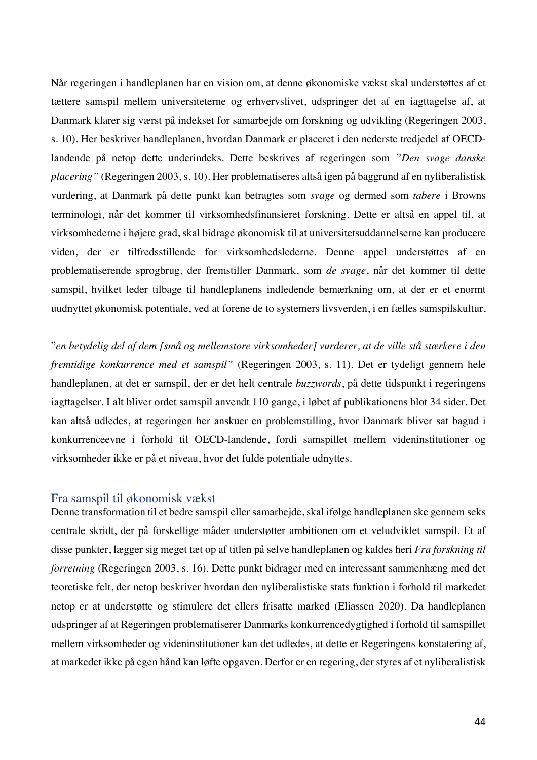Når regeringen i handleplanen har en vision om, at denne økonomiske vækst skal understøttes af et tættere samspil mellem universiteterne og erhvervslivet, udspringer det af en iagttagelse af, at Danmark klarer sig værst på indekset for samarbejde om forskning og udvikling (Regeringen 2003, s. 10). Her beskriver handleplanen, hvordan Danmark er placeret i den nederste tredjedel af OECDlandende på netop dette underindeks. Dette beskrives af regeringen som *"Den svage danske placering"* (Regeringen 2003, s. 10). Her problematiseres altså igen på baggrund af en nyliberalistisk vurdering, at Danmark på dette punkt kan betragtes som *svage* og dermed som *tabere* i Browns terminologi, når det kommer til virksomhedsfinansieret forskning. Dette er altså en appel til, at virksomhederne i højere grad, skal bidrage økonomisk til at universitetsuddannelserne kan producere viden, der er tilfredsstillende for virksomhedslederne. Denne appel understøttes af en problematiserende sprogbrug, der fremstiller Danmark, som *de svage*, når det kommer til dette samspil, hvilket leder tilbage til handleplanens indledende bemærkning om, at der er et enormt uudnyttet økonomisk potentiale, ved at forene de to systemers livsverden, i en fælles samspilskultur,

"*en betydelig del af dem [små og mellemstore virksomheder] vurderer, at de ville stå stærkere i den fremtidige konkurrence med et samspil"* (Regeringen 2003, s. 11). Det er tydeligt gennem hele handleplanen, at det er samspil, der er det helt centrale *buzzwords*, på dette tidspunkt i regeringens iagttagelser. I alt bliver ordet samspil anvendt 110 gange, i løbet af publikationens blot 34 sider. Det kan altså udledes, at regeringen her anskuer en problemstilling, hvor Danmark bliver sat bagud i konkurrenceevne i forhold til OECD-landende, fordi samspillet mellem videninstitutioner og virksomheder ikke er på et niveau, hvor det fulde potentiale udnyttes.

## Fra samspil til økonomisk vækst

Denne transformation til et bedre samspil eller samarbejde, skal ifølge handleplanen ske gennem seks centrale skridt, der på forskellige måder understøtter ambitionen om et veludviklet samspil. Et af disse punkter, lægger sig meget tæt op af titlen på selve handleplanen og kaldes heri *Fra forskning til forretning* (Regeringen 2003, s. 16). Dette punkt bidrager med en interessant sammenhæng med det teoretiske felt, der netop beskriver hvordan den nyliberalistiske stats funktion i forhold til markedet netop er at understøtte og stimulere det ellers frisatte marked (Eliassen 2020). Da handleplanen udspringer af at Regeringen problematiserer Danmarks konkurrencedygtighed i forhold til samspillet mellem virksomheder og videninstitutioner kan det udledes, at dette er Regeringens konstatering af, at markedet ikke på egen hånd kan løfte opgaven. Derfor er en regering, der styres af et nyliberalistisk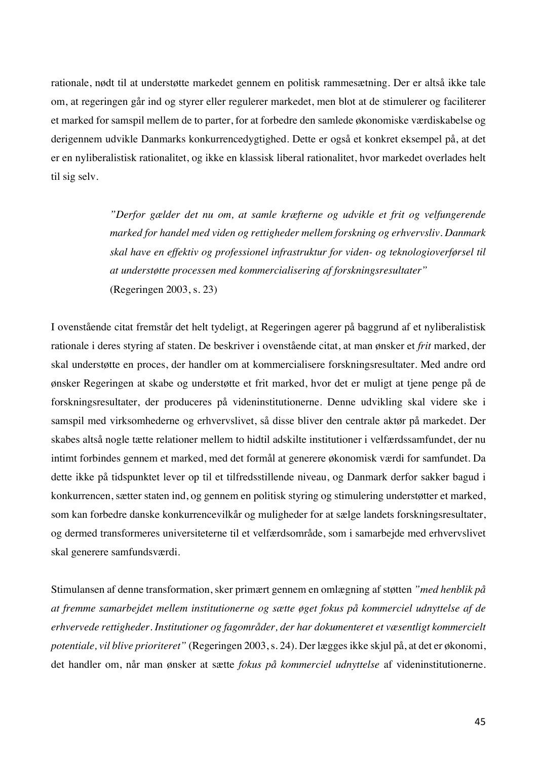rationale, nødt til at understøtte markedet gennem en politisk rammesætning. Der er altså ikke tale om, at regeringen går ind og styrer eller regulerer markedet, men blot at de stimulerer og faciliterer et marked for samspil mellem de to parter, for at forbedre den samlede økonomiske værdiskabelse og derigennem udvikle Danmarks konkurrencedygtighed. Dette er også et konkret eksempel på, at det er en nyliberalistisk rationalitet, og ikke en klassisk liberal rationalitet, hvor markedet overlades helt til sig selv.

> *"Derfor gælder det nu om, at samle kræfterne og udvikle et frit og velfungerende marked for handel med viden og rettigheder mellem forskning og erhvervsliv. Danmark skal have en effektiv og professionel infrastruktur for viden- og teknologioverførsel til at understøtte processen med kommercialisering af forskningsresultater"* (Regeringen 2003, s. 23)

I ovenstående citat fremstår det helt tydeligt, at Regeringen agerer på baggrund af et nyliberalistisk rationale i deres styring af staten. De beskriver i ovenstående citat, at man ønsker et *frit* marked, der skal understøtte en proces, der handler om at kommercialisere forskningsresultater. Med andre ord ønsker Regeringen at skabe og understøtte et frit marked, hvor det er muligt at tjene penge på de forskningsresultater, der produceres på videninstitutionerne. Denne udvikling skal videre ske i samspil med virksomhederne og erhvervslivet, så disse bliver den centrale aktør på markedet. Der skabes altså nogle tætte relationer mellem to hidtil adskilte institutioner i velfærdssamfundet, der nu intimt forbindes gennem et marked, med det formål at generere økonomisk værdi for samfundet. Da dette ikke på tidspunktet lever op til et tilfredsstillende niveau, og Danmark derfor sakker bagud i konkurrencen, sætter staten ind, og gennem en politisk styring og stimulering understøtter et marked, som kan forbedre danske konkurrencevilkår og muligheder for at sælge landets forskningsresultater, og dermed transformeres universiteterne til et velfærdsområde, som i samarbejde med erhvervslivet skal generere samfundsværdi.

Stimulansen af denne transformation, sker primært gennem en omlægning af støtten *"med henblik på at fremme samarbejdet mellem institutionerne og sætte øget fokus på kommerciel udnyttelse af de erhvervede rettigheder. Institutioner og fagområder, der har dokumenteret et væsentligt kommercielt potentiale, vil blive prioriteret"* (Regeringen 2003, s. 24). Der lægges ikke skjul på, at det er økonomi, det handler om, når man ønsker at sætte *fokus på kommerciel udnyttelse* af videninstitutionerne.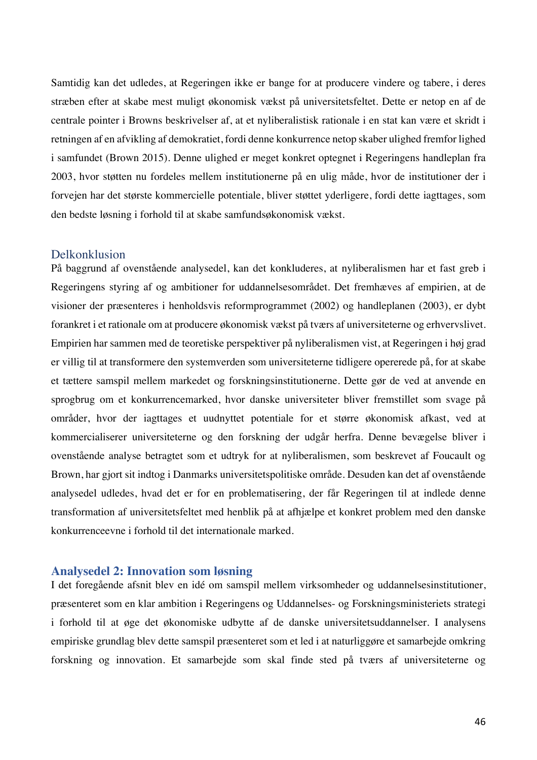Samtidig kan det udledes, at Regeringen ikke er bange for at producere vindere og tabere, i deres stræben efter at skabe mest muligt økonomisk vækst på universitetsfeltet. Dette er netop en af de centrale pointer i Browns beskrivelser af, at et nyliberalistisk rationale i en stat kan være et skridt i retningen af en afvikling af demokratiet, fordi denne konkurrence netop skaber ulighed fremfor lighed i samfundet (Brown 2015). Denne ulighed er meget konkret optegnet i Regeringens handleplan fra 2003, hvor støtten nu fordeles mellem institutionerne på en ulig måde, hvor de institutioner der i forvejen har det største kommercielle potentiale, bliver støttet yderligere, fordi dette iagttages, som den bedste løsning i forhold til at skabe samfundsøkonomisk vækst.

## Delkonklusion

På baggrund af ovenstående analysedel, kan det konkluderes, at nyliberalismen har et fast greb i Regeringens styring af og ambitioner for uddannelsesområdet. Det fremhæves af empirien, at de visioner der præsenteres i henholdsvis reformprogrammet (2002) og handleplanen (2003), er dybt forankret i et rationale om at producere økonomisk vækst på tværs af universiteterne og erhvervslivet. Empirien har sammen med de teoretiske perspektiver på nyliberalismen vist, at Regeringen i høj grad er villig til at transformere den systemverden som universiteterne tidligere opererede på, for at skabe et tættere samspil mellem markedet og forskningsinstitutionerne. Dette gør de ved at anvende en sprogbrug om et konkurrencemarked, hvor danske universiteter bliver fremstillet som svage på områder, hvor der iagttages et uudnyttet potentiale for et større økonomisk afkast, ved at kommercialiserer universiteterne og den forskning der udgår herfra. Denne bevægelse bliver i ovenstående analyse betragtet som et udtryk for at nyliberalismen, som beskrevet af Foucault og Brown, har gjort sit indtog i Danmarks universitetspolitiske område. Desuden kan det af ovenstående analysedel udledes, hvad det er for en problematisering, der får Regeringen til at indlede denne transformation af universitetsfeltet med henblik på at afhjælpe et konkret problem med den danske konkurrenceevne i forhold til det internationale marked.

#### **Analysedel 2: Innovation som løsning**

I det foregående afsnit blev en idé om samspil mellem virksomheder og uddannelsesinstitutioner, præsenteret som en klar ambition i Regeringens og Uddannelses- og Forskningsministeriets strategi i forhold til at øge det økonomiske udbytte af de danske universitetsuddannelser. I analysens empiriske grundlag blev dette samspil præsenteret som et led i at naturliggøre et samarbejde omkring forskning og innovation. Et samarbejde som skal finde sted på tværs af universiteterne og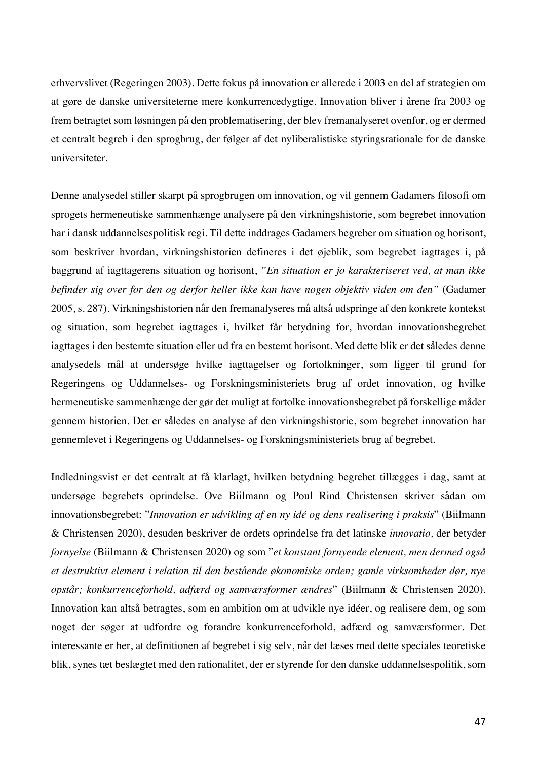erhvervslivet (Regeringen 2003). Dette fokus på innovation er allerede i 2003 en del af strategien om at gøre de danske universiteterne mere konkurrencedygtige. Innovation bliver i årene fra 2003 og frem betragtet som løsningen på den problematisering, der blev fremanalyseret ovenfor, og er dermed et centralt begreb i den sprogbrug, der følger af det nyliberalistiske styringsrationale for de danske universiteter.

Denne analysedel stiller skarpt på sprogbrugen om innovation, og vil gennem Gadamers filosofi om sprogets hermeneutiske sammenhænge analysere på den virkningshistorie, som begrebet innovation har i dansk uddannelsespolitisk regi. Til dette inddrages Gadamers begreber om situation og horisont, som beskriver hvordan, virkningshistorien defineres i det øjeblik, som begrebet iagttages i, på baggrund af iagttagerens situation og horisont, *"En situation er jo karakteriseret ved, at man ikke befinder sig over for den og derfor heller ikke kan have nogen objektiv viden om den"* (Gadamer 2005, s. 287). Virkningshistorien når den fremanalyseres må altså udspringe af den konkrete kontekst og situation, som begrebet iagttages i, hvilket får betydning for, hvordan innovationsbegrebet iagttages i den bestemte situation eller ud fra en bestemt horisont. Med dette blik er det således denne analysedels mål at undersøge hvilke iagttagelser og fortolkninger, som ligger til grund for Regeringens og Uddannelses- og Forskningsministeriets brug af ordet innovation, og hvilke hermeneutiske sammenhænge der gør det muligt at fortolke innovationsbegrebet på forskellige måder gennem historien. Det er således en analyse af den virkningshistorie, som begrebet innovation har gennemlevet i Regeringens og Uddannelses- og Forskningsministeriets brug af begrebet.

Indledningsvist er det centralt at få klarlagt, hvilken betydning begrebet tillægges i dag, samt at undersøge begrebets oprindelse. Ove Biilmann og Poul Rind Christensen skriver sådan om innovationsbegrebet: "*Innovation er udvikling af en ny idé og dens realisering i praksis*" (Biilmann & Christensen 2020), desuden beskriver de ordets oprindelse fra det latinske *innovatio,* der betyder *fornyelse* (Biilmann & Christensen 2020) og som "*et konstant fornyende element, men dermed også et destruktivt element i relation til den bestående økonomiske orden; gamle virksomheder dør, nye opstår; konkurrenceforhold, adfærd og samværsformer ændres*" (Biilmann & Christensen 2020). Innovation kan altså betragtes, som en ambition om at udvikle nye idéer, og realisere dem, og som noget der søger at udfordre og forandre konkurrenceforhold, adfærd og samværsformer. Det interessante er her, at definitionen af begrebet i sig selv, når det læses med dette speciales teoretiske blik, synes tæt beslægtet med den rationalitet, der er styrende for den danske uddannelsespolitik, som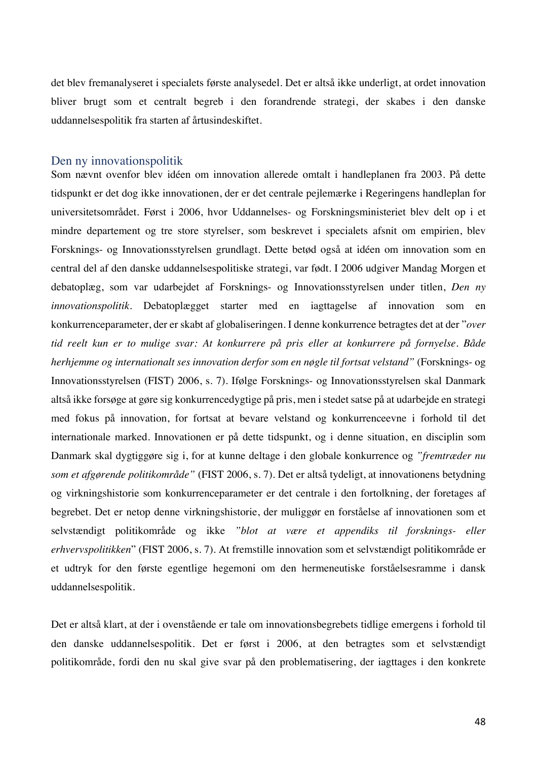det blev fremanalyseret i specialets første analysedel. Det er altså ikke underligt, at ordet innovation bliver brugt som et centralt begreb i den forandrende strategi, der skabes i den danske uddannelsespolitik fra starten af årtusindeskiftet.

#### Den ny innovationspolitik

Som nævnt ovenfor blev idéen om innovation allerede omtalt i handleplanen fra 2003. På dette tidspunkt er det dog ikke innovationen, der er det centrale pejlemærke i Regeringens handleplan for universitetsområdet. Først i 2006, hvor Uddannelses- og Forskningsministeriet blev delt op i et mindre departement og tre store styrelser, som beskrevet i specialets afsnit om empirien, blev Forsknings- og Innovationsstyrelsen grundlagt. Dette betød også at idéen om innovation som en central del af den danske uddannelsespolitiske strategi, var født. I 2006 udgiver Mandag Morgen et debatoplæg, som var udarbejdet af Forsknings- og Innovationsstyrelsen under titlen, *Den ny innovationspolitik*. Debatoplægget starter med en iagttagelse af innovation som en konkurrenceparameter, der er skabt af globaliseringen. I denne konkurrence betragtes det at der "*over tid reelt kun er to mulige svar: At konkurrere på pris eller at konkurrere på fornyelse. Både herhjemme og internationalt ses innovation derfor som en nøgle til fortsat velstand"* (Forsknings- og Innovationsstyrelsen (FIST) 2006, s. 7). Ifølge Forsknings- og Innovationsstyrelsen skal Danmark altså ikke forsøge at gøre sig konkurrencedygtige på pris, men i stedet satse på at udarbejde en strategi med fokus på innovation, for fortsat at bevare velstand og konkurrenceevne i forhold til det internationale marked. Innovationen er på dette tidspunkt, og i denne situation, en disciplin som Danmark skal dygtiggøre sig i, for at kunne deltage i den globale konkurrence og *"fremtræder nu som et afgørende politikområde"* (FIST 2006, s. 7). Det er altså tydeligt, at innovationens betydning og virkningshistorie som konkurrenceparameter er det centrale i den fortolkning, der foretages af begrebet. Det er netop denne virkningshistorie, der muliggør en forståelse af innovationen som et selvstændigt politikområde og ikke *"blot at være et appendiks til forsknings- eller erhvervspolitikken*" (FIST 2006, s. 7). At fremstille innovation som et selvstændigt politikområde er et udtryk for den første egentlige hegemoni om den hermeneutiske forståelsesramme i dansk uddannelsespolitik.

Det er altså klart, at der i ovenstående er tale om innovationsbegrebets tidlige emergens i forhold til den danske uddannelsespolitik. Det er først i 2006, at den betragtes som et selvstændigt politikområde, fordi den nu skal give svar på den problematisering, der iagttages i den konkrete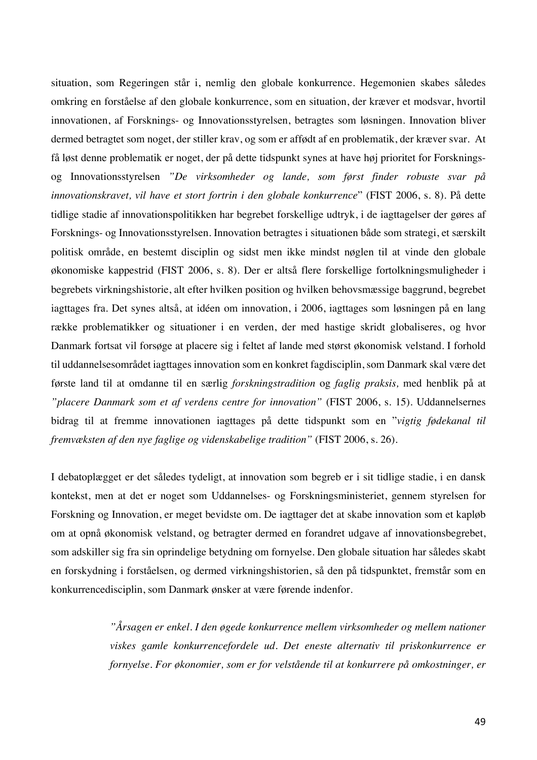situation, som Regeringen står i, nemlig den globale konkurrence. Hegemonien skabes således omkring en forståelse af den globale konkurrence, som en situation, der kræver et modsvar, hvortil innovationen, af Forsknings- og Innovationsstyrelsen, betragtes som løsningen. Innovation bliver dermed betragtet som noget, der stiller krav, og som er affødt af en problematik, der kræver svar. At få løst denne problematik er noget, der på dette tidspunkt synes at have høj prioritet for Forskningsog Innovationsstyrelsen *"De virksomheder og lande, som først finder robuste svar på innovationskravet, vil have et stort fortrin i den globale konkurrence*" (FIST 2006, s. 8). På dette tidlige stadie af innovationspolitikken har begrebet forskellige udtryk, i de iagttagelser der gøres af Forsknings- og Innovationsstyrelsen. Innovation betragtes i situationen både som strategi, et særskilt politisk område, en bestemt disciplin og sidst men ikke mindst nøglen til at vinde den globale økonomiske kappestrid (FIST 2006, s. 8). Der er altså flere forskellige fortolkningsmuligheder i begrebets virkningshistorie, alt efter hvilken position og hvilken behovsmæssige baggrund, begrebet iagttages fra. Det synes altså, at idéen om innovation, i 2006, iagttages som løsningen på en lang række problematikker og situationer i en verden, der med hastige skridt globaliseres, og hvor Danmark fortsat vil forsøge at placere sig i feltet af lande med størst økonomisk velstand. I forhold til uddannelsesområdet iagttages innovation som en konkret fagdisciplin, som Danmark skal være det første land til at omdanne til en særlig *forskningstradition* og *faglig praksis,* med henblik på at *"placere Danmark som et af verdens centre for innovation"* (FIST 2006, s. 15). Uddannelsernes bidrag til at fremme innovationen iagttages på dette tidspunkt som en "*vigtig fødekanal til fremvæksten af den nye faglige og videnskabelige tradition"* (FIST 2006, s. 26).

I debatoplægget er det således tydeligt, at innovation som begreb er i sit tidlige stadie, i en dansk kontekst, men at det er noget som Uddannelses- og Forskningsministeriet, gennem styrelsen for Forskning og Innovation, er meget bevidste om. De iagttager det at skabe innovation som et kapløb om at opnå økonomisk velstand, og betragter dermed en forandret udgave af innovationsbegrebet, som adskiller sig fra sin oprindelige betydning om fornyelse. Den globale situation har således skabt en forskydning i forståelsen, og dermed virkningshistorien, så den på tidspunktet, fremstår som en konkurrencedisciplin, som Danmark ønsker at være førende indenfor.

> *"Årsagen er enkel. I den øgede konkurrence mellem virksomheder og mellem nationer viskes gamle konkurrencefordele ud. Det eneste alternativ til priskonkurrence er fornyelse. For økonomier, som er for velstående til at konkurrere på omkostninger, er*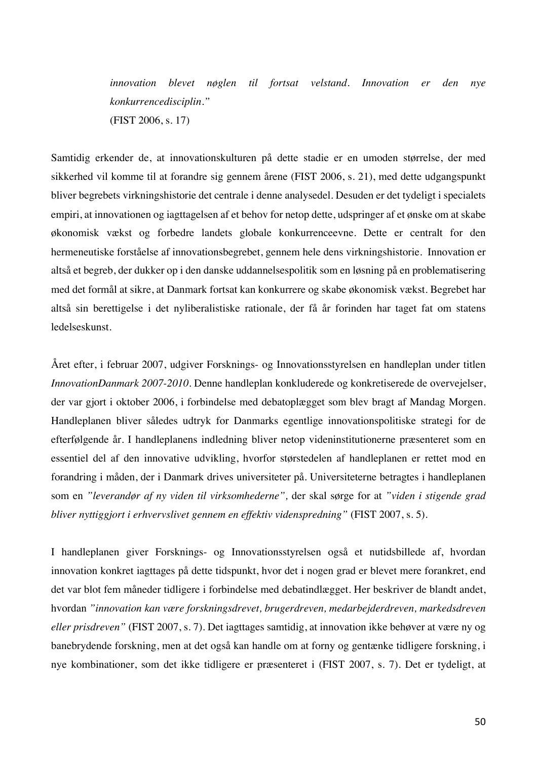*innovation blevet nøglen til fortsat velstand. Innovation er den nye konkurrencedisciplin."* (FIST 2006, s. 17)

Samtidig erkender de, at innovationskulturen på dette stadie er en umoden størrelse, der med sikkerhed vil komme til at forandre sig gennem årene (FIST 2006, s. 21), med dette udgangspunkt bliver begrebets virkningshistorie det centrale i denne analysedel. Desuden er det tydeligt i specialets empiri, at innovationen og iagttagelsen af et behov for netop dette, udspringer af et ønske om at skabe økonomisk vækst og forbedre landets globale konkurrenceevne. Dette er centralt for den hermeneutiske forståelse af innovationsbegrebet, gennem hele dens virkningshistorie. Innovation er altså et begreb, der dukker op i den danske uddannelsespolitik som en løsning på en problematisering med det formål at sikre, at Danmark fortsat kan konkurrere og skabe økonomisk vækst. Begrebet har altså sin berettigelse i det nyliberalistiske rationale, der få år forinden har taget fat om statens ledelseskunst.

Året efter, i februar 2007, udgiver Forsknings- og Innovationsstyrelsen en handleplan under titlen *InnovationDanmark 2007-2010*. Denne handleplan konkluderede og konkretiserede de overvejelser, der var gjort i oktober 2006, i forbindelse med debatoplægget som blev bragt af Mandag Morgen. Handleplanen bliver således udtryk for Danmarks egentlige innovationspolitiske strategi for de efterfølgende år. I handleplanens indledning bliver netop videninstitutionerne præsenteret som en essentiel del af den innovative udvikling, hvorfor størstedelen af handleplanen er rettet mod en forandring i måden, der i Danmark drives universiteter på. Universiteterne betragtes i handleplanen som en *"leverandør af ny viden til virksomhederne",* der skal sørge for at *"viden i stigende grad bliver nyttiggjort i erhvervslivet gennem en effektiv videnspredning"* (FIST 2007, s. 5).

I handleplanen giver Forsknings- og Innovationsstyrelsen også et nutidsbillede af, hvordan innovation konkret iagttages på dette tidspunkt, hvor det i nogen grad er blevet mere forankret, end det var blot fem måneder tidligere i forbindelse med debatindlægget. Her beskriver de blandt andet, hvordan *"innovation kan være forskningsdrevet, brugerdreven, medarbejderdreven, markedsdreven eller prisdreven"* (FIST 2007, s. 7). Det iagttages samtidig, at innovation ikke behøver at være ny og banebrydende forskning, men at det også kan handle om at forny og gentænke tidligere forskning, i nye kombinationer, som det ikke tidligere er præsenteret i (FIST 2007, s. 7). Det er tydeligt, at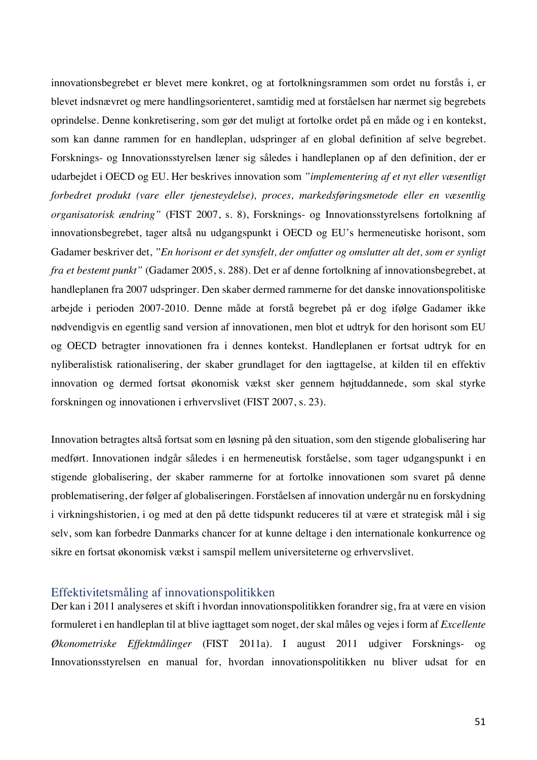innovationsbegrebet er blevet mere konkret, og at fortolkningsrammen som ordet nu forstås i, er blevet indsnævret og mere handlingsorienteret, samtidig med at forståelsen har nærmet sig begrebets oprindelse. Denne konkretisering, som gør det muligt at fortolke ordet på en måde og i en kontekst, som kan danne rammen for en handleplan, udspringer af en global definition af selve begrebet. Forsknings- og Innovationsstyrelsen læner sig således i handleplanen op af den definition, der er udarbejdet i OECD og EU. Her beskrives innovation som *"implementering af et nyt eller væsentligt forbedret produkt (vare eller tjenesteydelse), proces, markedsføringsmetode eller en væsentlig organisatorisk ændring"* (FIST 2007, s. 8), Forsknings- og Innovationsstyrelsens fortolkning af innovationsbegrebet, tager altså nu udgangspunkt i OECD og EU's hermeneutiske horisont, som Gadamer beskriver det, *"En horisont er det synsfelt, der omfatter og omslutter alt det, som er synligt fra et bestemt punkt"* (Gadamer 2005, s. 288). Det er af denne fortolkning af innovationsbegrebet, at handleplanen fra 2007 udspringer. Den skaber dermed rammerne for det danske innovationspolitiske arbejde i perioden 2007-2010. Denne måde at forstå begrebet på er dog ifølge Gadamer ikke nødvendigvis en egentlig sand version af innovationen, men blot et udtryk for den horisont som EU og OECD betragter innovationen fra i dennes kontekst. Handleplanen er fortsat udtryk for en nyliberalistisk rationalisering, der skaber grundlaget for den iagttagelse, at kilden til en effektiv innovation og dermed fortsat økonomisk vækst sker gennem højtuddannede, som skal styrke forskningen og innovationen i erhvervslivet (FIST 2007, s. 23).

Innovation betragtes altså fortsat som en løsning på den situation, som den stigende globalisering har medført. Innovationen indgår således i en hermeneutisk forståelse, som tager udgangspunkt i en stigende globalisering, der skaber rammerne for at fortolke innovationen som svaret på denne problematisering, der følger af globaliseringen. Forståelsen af innovation undergår nu en forskydning i virkningshistorien, i og med at den på dette tidspunkt reduceres til at være et strategisk mål i sig selv, som kan forbedre Danmarks chancer for at kunne deltage i den internationale konkurrence og sikre en fortsat økonomisk vækst i samspil mellem universiteterne og erhvervslivet.

### Effektivitetsmåling af innovationspolitikken

Der kan i 2011 analyseres et skift i hvordan innovationspolitikken forandrer sig, fra at være en vision formuleret i en handleplan til at blive iagttaget som noget, der skal måles og vejes i form af *Excellente Økonometriske Effektmålinger* (FIST 2011a). I august 2011 udgiver Forsknings- og Innovationsstyrelsen en manual for, hvordan innovationspolitikken nu bliver udsat for en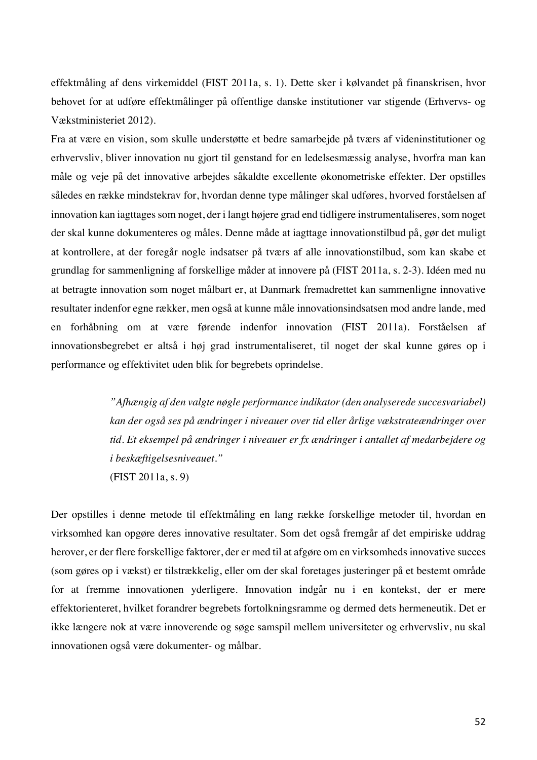effektmåling af dens virkemiddel (FIST 2011a, s. 1). Dette sker i kølvandet på finanskrisen, hvor behovet for at udføre effektmålinger på offentlige danske institutioner var stigende (Erhvervs- og Vækstministeriet 2012).

Fra at være en vision, som skulle understøtte et bedre samarbejde på tværs af videninstitutioner og erhvervsliv, bliver innovation nu gjort til genstand for en ledelsesmæssig analyse, hvorfra man kan måle og veje på det innovative arbejdes såkaldte excellente økonometriske effekter. Der opstilles således en række mindstekrav for, hvordan denne type målinger skal udføres, hvorved forståelsen af innovation kan iagttages som noget, der i langt højere grad end tidligere instrumentaliseres, som noget der skal kunne dokumenteres og måles. Denne måde at iagttage innovationstilbud på, gør det muligt at kontrollere, at der foregår nogle indsatser på tværs af alle innovationstilbud, som kan skabe et grundlag for sammenligning af forskellige måder at innovere på (FIST 2011a, s. 2-3). Idéen med nu at betragte innovation som noget målbart er, at Danmark fremadrettet kan sammenligne innovative resultater indenfor egne rækker, men også at kunne måle innovationsindsatsen mod andre lande, med en forhåbning om at være førende indenfor innovation (FIST 2011a). Forståelsen af innovationsbegrebet er altså i høj grad instrumentaliseret, til noget der skal kunne gøres op i performance og effektivitet uden blik for begrebets oprindelse.

> *"Afhængig af den valgte nøgle performance indikator (den analyserede succesvariabel) kan der også ses på ændringer i niveauer over tid eller årlige vækstrateændringer over tid. Et eksempel på ændringer i niveauer er fx ændringer i antallet af medarbejdere og i beskæftigelsesniveauet."* (FIST 2011a, s. 9)

Der opstilles i denne metode til effektmåling en lang række forskellige metoder til, hvordan en virksomhed kan opgøre deres innovative resultater. Som det også fremgår af det empiriske uddrag herover, er der flere forskellige faktorer, der er med til at afgøre om en virksomheds innovative succes (som gøres op i vækst) er tilstrækkelig, eller om der skal foretages justeringer på et bestemt område for at fremme innovationen yderligere. Innovation indgår nu i en kontekst, der er mere effektorienteret, hvilket forandrer begrebets fortolkningsramme og dermed dets hermeneutik. Det er ikke længere nok at være innoverende og søge samspil mellem universiteter og erhvervsliv, nu skal innovationen også være dokumenter- og målbar.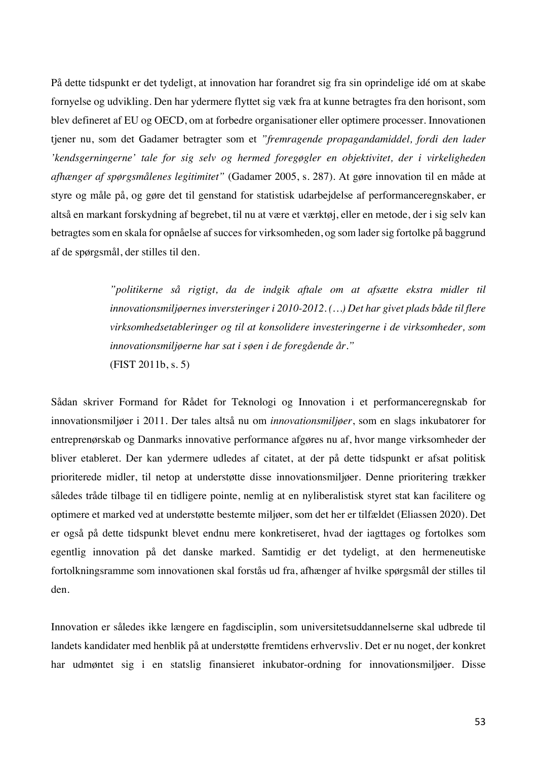På dette tidspunkt er det tydeligt, at innovation har forandret sig fra sin oprindelige idé om at skabe fornyelse og udvikling. Den har ydermere flyttet sig væk fra at kunne betragtes fra den horisont, som blev defineret af EU og OECD, om at forbedre organisationer eller optimere processer. Innovationen tjener nu, som det Gadamer betragter som et *"fremragende propagandamiddel, fordi den lader 'kendsgerningerne' tale for sig selv og hermed foregøgler en objektivitet, der i virkeligheden afhænger af spørgsmålenes legitimitet"* (Gadamer 2005, s. 287). At gøre innovation til en måde at styre og måle på, og gøre det til genstand for statistisk udarbejdelse af performanceregnskaber, er altså en markant forskydning af begrebet, til nu at være et værktøj, eller en metode, der i sig selv kan betragtes som en skala for opnåelse af succes for virksomheden, og som lader sig fortolke på baggrund af de spørgsmål, der stilles til den.

> *"politikerne så rigtigt, da de indgik aftale om at afsætte ekstra midler til innovationsmiljøernes inversteringer i 2010-2012. (…) Det har givet plads både til flere virksomhedsetableringer og til at konsolidere investeringerne i de virksomheder, som innovationsmiljøerne har sat i søen i de foregående år."*  (FIST 2011b, s. 5)

Sådan skriver Formand for Rådet for Teknologi og Innovation i et performanceregnskab for innovationsmiljøer i 2011. Der tales altså nu om *innovationsmiljøer*, som en slags inkubatorer for entreprenørskab og Danmarks innovative performance afgøres nu af, hvor mange virksomheder der bliver etableret. Der kan ydermere udledes af citatet, at der på dette tidspunkt er afsat politisk prioriterede midler, til netop at understøtte disse innovationsmiljøer. Denne prioritering trækker således tråde tilbage til en tidligere pointe, nemlig at en nyliberalistisk styret stat kan facilitere og optimere et marked ved at understøtte bestemte miljøer, som det her er tilfældet (Eliassen 2020). Det er også på dette tidspunkt blevet endnu mere konkretiseret, hvad der iagttages og fortolkes som egentlig innovation på det danske marked. Samtidig er det tydeligt, at den hermeneutiske fortolkningsramme som innovationen skal forstås ud fra, afhænger af hvilke spørgsmål der stilles til den.

Innovation er således ikke længere en fagdisciplin, som universitetsuddannelserne skal udbrede til landets kandidater med henblik på at understøtte fremtidens erhvervsliv. Det er nu noget, der konkret har udmøntet sig i en statslig finansieret inkubator-ordning for innovationsmiljøer. Disse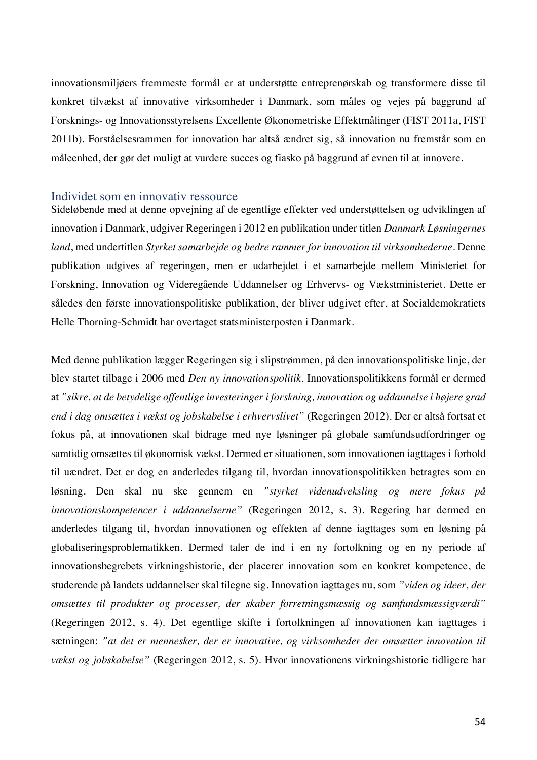innovationsmiljøers fremmeste formål er at understøtte entreprenørskab og transformere disse til konkret tilvækst af innovative virksomheder i Danmark, som måles og vejes på baggrund af Forsknings- og Innovationsstyrelsens Excellente Økonometriske Effektmålinger (FIST 2011a, FIST 2011b). Forståelsesrammen for innovation har altså ændret sig, så innovation nu fremstår som en måleenhed, der gør det muligt at vurdere succes og fiasko på baggrund af evnen til at innovere.

### Individet som en innovativ ressource

Sideløbende med at denne opvejning af de egentlige effekter ved understøttelsen og udviklingen af innovation i Danmark, udgiver Regeringen i 2012 en publikation under titlen *Danmark Løsningernes land*, med undertitlen *Styrket samarbejde og bedre rammer for innovation til virksomhederne*. Denne publikation udgives af regeringen, men er udarbejdet i et samarbejde mellem Ministeriet for Forskning, Innovation og Videregående Uddannelser og Erhvervs- og Vækstministeriet. Dette er således den første innovationspolitiske publikation, der bliver udgivet efter, at Socialdemokratiets Helle Thorning-Schmidt har overtaget statsministerposten i Danmark.

Med denne publikation lægger Regeringen sig i slipstrømmen, på den innovationspolitiske linje, der blev startet tilbage i 2006 med *Den ny innovationspolitik*. Innovationspolitikkens formål er dermed at *"sikre, at de betydelige offentlige investeringer i forskning, innovation og uddannelse i højere grad end i dag omsættes i vækst og jobskabelse i erhvervslivet"* (Regeringen 2012). Der er altså fortsat et fokus på, at innovationen skal bidrage med nye løsninger på globale samfundsudfordringer og samtidig omsættes til økonomisk vækst. Dermed er situationen, som innovationen iagttages i forhold til uændret. Det er dog en anderledes tilgang til, hvordan innovationspolitikken betragtes som en løsning. Den skal nu ske gennem en *"styrket videnudveksling og mere fokus på innovationskompetencer i uddannelserne"* (Regeringen 2012, s. 3). Regering har dermed en anderledes tilgang til, hvordan innovationen og effekten af denne iagttages som en løsning på globaliseringsproblematikken. Dermed taler de ind i en ny fortolkning og en ny periode af innovationsbegrebets virkningshistorie, der placerer innovation som en konkret kompetence, de studerende på landets uddannelser skal tilegne sig. Innovation iagttages nu, som *"viden og ideer, der omsættes til produkter og processer, der skaber forretningsmæssig og samfundsmæssigværdi"* (Regeringen 2012, s. 4). Det egentlige skifte i fortolkningen af innovationen kan iagttages i sætningen: *"at det er mennesker, der er innovative, og virksomheder der omsætter innovation til vækst og jobskabelse"* (Regeringen 2012, s. 5). Hvor innovationens virkningshistorie tidligere har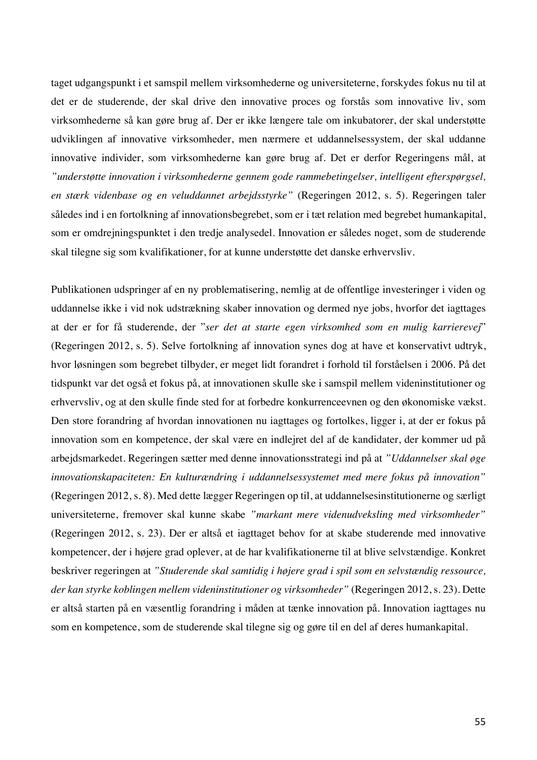taget udgangspunkt i et samspil mellem virksomhederne og universiteterne, forskydes fokus nu til at det er de studerende, der skal drive den innovative proces og forstås som innovative liv, som virksomhederne så kan gøre brug af. Der er ikke længere tale om inkubatorer, der skal understøtte udviklingen af innovative virksomheder, men nærmere et uddannelsessystem, der skal uddanne innovative individer, som virksomhederne kan gøre brug af. Det er derfor Regeringens mål, at *"understøtte innovation i virksomhederne gennem gode rammebetingelser, intelligent efterspørgsel, en stærk videnbase og en veluddannet arbejdsstyrke"* (Regeringen 2012, s. 5). Regeringen taler således ind i en fortolkning af innovationsbegrebet, som er i tæt relation med begrebet humankapital, som er omdrejningspunktet i den tredje analysedel. Innovation er således noget, som de studerende skal tilegne sig som kvalifikationer, for at kunne understøtte det danske erhvervsliv.

Publikationen udspringer af en ny problematisering, nemlig at de offentlige investeringer i viden og uddannelse ikke i vid nok udstrækning skaber innovation og dermed nye jobs, hvorfor det iagttages at der er for få studerende, der "*ser det at starte egen virksomhed som en mulig karrierevej*" (Regeringen 2012, s. 5). Selve fortolkning af innovation synes dog at have et konservativt udtryk, hvor løsningen som begrebet tilbyder, er meget lidt forandret i forhold til forståelsen i 2006. På det tidspunkt var det også et fokus på, at innovationen skulle ske i samspil mellem videninstitutioner og erhvervsliv, og at den skulle finde sted for at forbedre konkurrenceevnen og den økonomiske vækst. Den store forandring af hvordan innovationen nu iagttages og fortolkes, ligger i, at der er fokus på innovation som en kompetence, der skal være en indlejret del af de kandidater, der kommer ud på arbejdsmarkedet. Regeringen sætter med denne innovationsstrategi ind på at *"Uddannelser skal øge innovationskapaciteten: En kulturændring i uddannelsessystemet med mere fokus på innovation"*  (Regeringen 2012, s. 8). Med dette lægger Regeringen op til, at uddannelsesinstitutionerne og særligt universiteterne, fremover skal kunne skabe *"markant mere videnudveksling med virksomheder"* (Regeringen 2012, s. 23). Der er altså et iagttaget behov for at skabe studerende med innovative kompetencer, der i højere grad oplever, at de har kvalifikationerne til at blive selvstændige. Konkret beskriver regeringen at *"Studerende skal samtidig i højere grad i spil som en selvstændig ressource, der kan styrke koblingen mellem videninstitutioner og virksomheder"* (Regeringen 2012, s. 23). Dette er altså starten på en væsentlig forandring i måden at tænke innovation på. Innovation iagttages nu som en kompetence, som de studerende skal tilegne sig og gøre til en del af deres humankapital.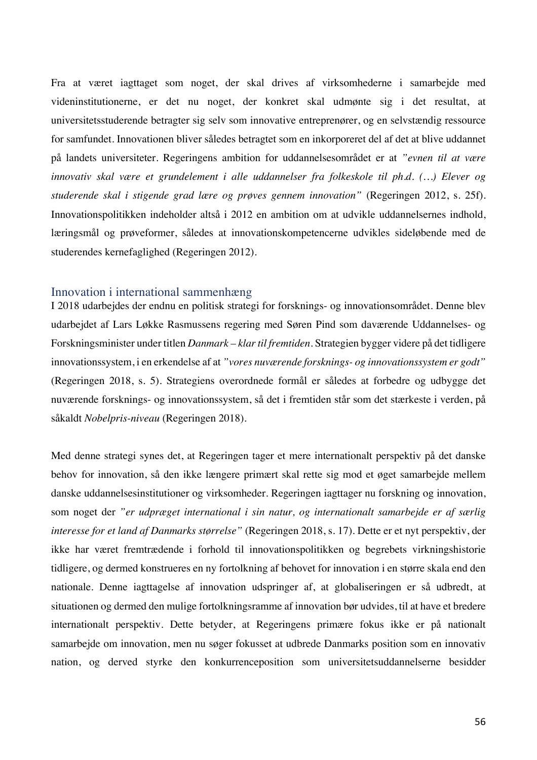Fra at været iagttaget som noget, der skal drives af virksomhederne i samarbejde med videninstitutionerne, er det nu noget, der konkret skal udmønte sig i det resultat, at universitetsstuderende betragter sig selv som innovative entreprenører, og en selvstændig ressource for samfundet. Innovationen bliver således betragtet som en inkorporeret del af det at blive uddannet på landets universiteter. Regeringens ambition for uddannelsesområdet er at *"evnen til at være innovativ skal være et grundelement i alle uddannelser fra folkeskole til ph.d. (…) Elever og studerende skal i stigende grad lære og prøves gennem innovation"* (Regeringen 2012, s. 25f). Innovationspolitikken indeholder altså i 2012 en ambition om at udvikle uddannelsernes indhold, læringsmål og prøveformer, således at innovationskompetencerne udvikles sideløbende med de studerendes kernefaglighed (Regeringen 2012).

# Innovation i international sammenhæng

I 2018 udarbejdes der endnu en politisk strategi for forsknings- og innovationsområdet. Denne blev udarbejdet af Lars Løkke Rasmussens regering med Søren Pind som daværende Uddannelses- og Forskningsminister under titlen *Danmark – klar til fremtiden*. Strategien bygger videre på det tidligere innovationssystem, i en erkendelse af at *"vores nuværende forsknings- og innovationssystem er godt"* (Regeringen 2018, s. 5). Strategiens overordnede formål er således at forbedre og udbygge det nuværende forsknings- og innovationssystem, så det i fremtiden står som det stærkeste i verden, på såkaldt *Nobelpris-niveau* (Regeringen 2018).

Med denne strategi synes det, at Regeringen tager et mere internationalt perspektiv på det danske behov for innovation, så den ikke længere primært skal rette sig mod et øget samarbejde mellem danske uddannelsesinstitutioner og virksomheder. Regeringen iagttager nu forskning og innovation, som noget der *"er udpræget international i sin natur, og internationalt samarbejde er af særlig interesse for et land af Danmarks størrelse"* (Regeringen 2018, s. 17). Dette er et nyt perspektiv, der ikke har været fremtrædende i forhold til innovationspolitikken og begrebets virkningshistorie tidligere, og dermed konstrueres en ny fortolkning af behovet for innovation i en større skala end den nationale. Denne iagttagelse af innovation udspringer af, at globaliseringen er så udbredt, at situationen og dermed den mulige fortolkningsramme af innovation bør udvides, til at have et bredere internationalt perspektiv. Dette betyder, at Regeringens primære fokus ikke er på nationalt samarbejde om innovation, men nu søger fokusset at udbrede Danmarks position som en innovativ nation, og derved styrke den konkurrenceposition som universitetsuddannelserne besidder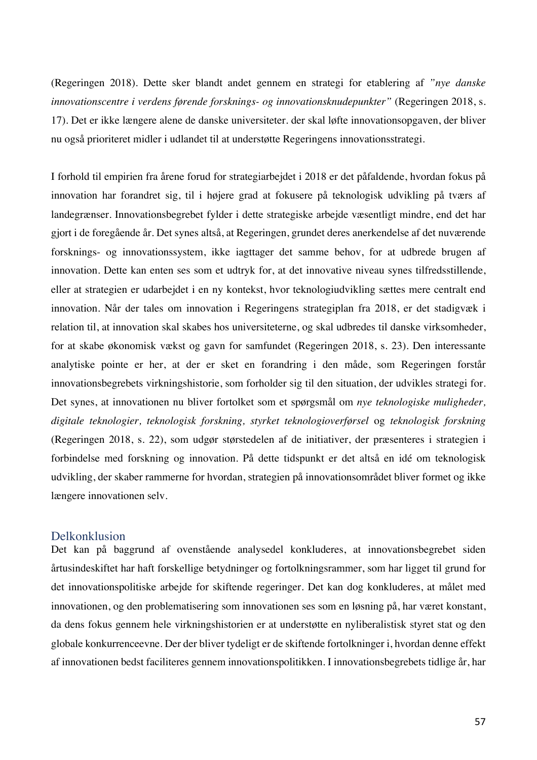(Regeringen 2018). Dette sker blandt andet gennem en strategi for etablering af *"nye danske innovationscentre i verdens førende forsknings- og innovationsknudepunkter"* (Regeringen 2018, s. 17). Det er ikke længere alene de danske universiteter. der skal løfte innovationsopgaven, der bliver nu også prioriteret midler i udlandet til at understøtte Regeringens innovationsstrategi.

I forhold til empirien fra årene forud for strategiarbejdet i 2018 er det påfaldende, hvordan fokus på innovation har forandret sig, til i højere grad at fokusere på teknologisk udvikling på tværs af landegrænser. Innovationsbegrebet fylder i dette strategiske arbejde væsentligt mindre, end det har gjort i de foregående år. Det synes altså, at Regeringen, grundet deres anerkendelse af det nuværende forsknings- og innovationssystem, ikke iagttager det samme behov, for at udbrede brugen af innovation. Dette kan enten ses som et udtryk for, at det innovative niveau synes tilfredsstillende, eller at strategien er udarbejdet i en ny kontekst, hvor teknologiudvikling sættes mere centralt end innovation. Når der tales om innovation i Regeringens strategiplan fra 2018, er det stadigvæk i relation til, at innovation skal skabes hos universiteterne, og skal udbredes til danske virksomheder, for at skabe økonomisk vækst og gavn for samfundet (Regeringen 2018, s. 23). Den interessante analytiske pointe er her, at der er sket en forandring i den måde, som Regeringen forstår innovationsbegrebets virkningshistorie, som forholder sig til den situation, der udvikles strategi for. Det synes, at innovationen nu bliver fortolket som et spørgsmål om *nye teknologiske muligheder, digitale teknologier, teknologisk forskning, styrket teknologioverførsel* og *teknologisk forskning*  (Regeringen 2018, s. 22), som udgør størstedelen af de initiativer, der præsenteres i strategien i forbindelse med forskning og innovation. På dette tidspunkt er det altså en idé om teknologisk udvikling, der skaber rammerne for hvordan, strategien på innovationsområdet bliver formet og ikke længere innovationen selv.

### Delkonklusion

Det kan på baggrund af ovenstående analysedel konkluderes, at innovationsbegrebet siden årtusindeskiftet har haft forskellige betydninger og fortolkningsrammer, som har ligget til grund for det innovationspolitiske arbejde for skiftende regeringer. Det kan dog konkluderes, at målet med innovationen, og den problematisering som innovationen ses som en løsning på, har været konstant, da dens fokus gennem hele virkningshistorien er at understøtte en nyliberalistisk styret stat og den globale konkurrenceevne. Der der bliver tydeligt er de skiftende fortolkninger i, hvordan denne effekt af innovationen bedst faciliteres gennem innovationspolitikken. I innovationsbegrebets tidlige år, har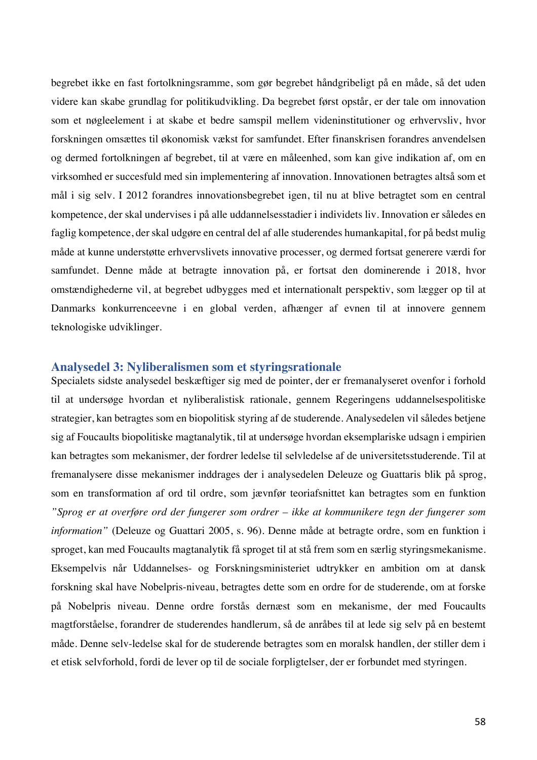begrebet ikke en fast fortolkningsramme, som gør begrebet håndgribeligt på en måde, så det uden videre kan skabe grundlag for politikudvikling. Da begrebet først opstår, er der tale om innovation som et nøgleelement i at skabe et bedre samspil mellem videninstitutioner og erhvervsliv, hvor forskningen omsættes til økonomisk vækst for samfundet. Efter finanskrisen forandres anvendelsen og dermed fortolkningen af begrebet, til at være en måleenhed, som kan give indikation af, om en virksomhed er succesfuld med sin implementering af innovation. Innovationen betragtes altså som et mål i sig selv. I 2012 forandres innovationsbegrebet igen, til nu at blive betragtet som en central kompetence, der skal undervises i på alle uddannelsesstadier i individets liv. Innovation er således en faglig kompetence, der skal udgøre en central del af alle studerendes humankapital, for på bedst mulig måde at kunne understøtte erhvervslivets innovative processer, og dermed fortsat generere værdi for samfundet. Denne måde at betragte innovation på, er fortsat den dominerende i 2018, hvor omstændighederne vil, at begrebet udbygges med et internationalt perspektiv, som lægger op til at Danmarks konkurrenceevne i en global verden, afhænger af evnen til at innovere gennem teknologiske udviklinger.

#### **Analysedel 3: Nyliberalismen som et styringsrationale**

Specialets sidste analysedel beskæftiger sig med de pointer, der er fremanalyseret ovenfor i forhold til at undersøge hvordan et nyliberalistisk rationale, gennem Regeringens uddannelsespolitiske strategier, kan betragtes som en biopolitisk styring af de studerende. Analysedelen vil således betjene sig af Foucaults biopolitiske magtanalytik, til at undersøge hvordan eksemplariske udsagn i empirien kan betragtes som mekanismer, der fordrer ledelse til selvledelse af de universitetsstuderende. Til at fremanalysere disse mekanismer inddrages der i analysedelen Deleuze og Guattaris blik på sprog, som en transformation af ord til ordre, som jævnfør teoriafsnittet kan betragtes som en funktion *"Sprog er at overføre ord der fungerer som ordrer – ikke at kommunikere tegn der fungerer som information"* (Deleuze og Guattari 2005, s. 96). Denne måde at betragte ordre, som en funktion i sproget, kan med Foucaults magtanalytik få sproget til at stå frem som en særlig styringsmekanisme. Eksempelvis når Uddannelses- og Forskningsministeriet udtrykker en ambition om at dansk forskning skal have Nobelpris-niveau, betragtes dette som en ordre for de studerende, om at forske på Nobelpris niveau. Denne ordre forstås dernæst som en mekanisme, der med Foucaults magtforståelse, forandrer de studerendes handlerum, så de anråbes til at lede sig selv på en bestemt måde. Denne selv-ledelse skal for de studerende betragtes som en moralsk handlen, der stiller dem i et etisk selvforhold, fordi de lever op til de sociale forpligtelser, der er forbundet med styringen.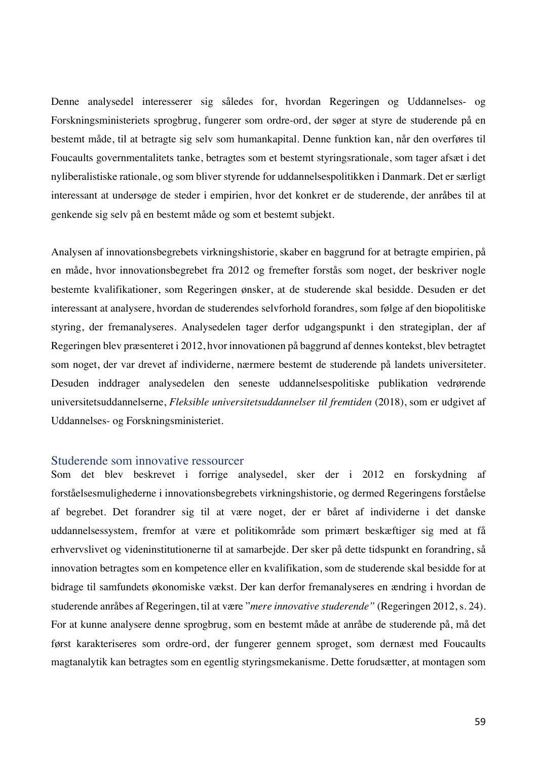Denne analysedel interesserer sig således for, hvordan Regeringen og Uddannelses- og Forskningsministeriets sprogbrug, fungerer som ordre-ord, der søger at styre de studerende på en bestemt måde, til at betragte sig selv som humankapital. Denne funktion kan, når den overføres til Foucaults governmentalitets tanke, betragtes som et bestemt styringsrationale, som tager afsæt i det nyliberalistiske rationale, og som bliver styrende for uddannelsespolitikken i Danmark. Det er særligt interessant at undersøge de steder i empirien, hvor det konkret er de studerende, der anråbes til at genkende sig selv på en bestemt måde og som et bestemt subjekt.

Analysen af innovationsbegrebets virkningshistorie, skaber en baggrund for at betragte empirien, på en måde, hvor innovationsbegrebet fra 2012 og fremefter forstås som noget, der beskriver nogle bestemte kvalifikationer, som Regeringen ønsker, at de studerende skal besidde. Desuden er det interessant at analysere, hvordan de studerendes selvforhold forandres, som følge af den biopolitiske styring, der fremanalyseres. Analysedelen tager derfor udgangspunkt i den strategiplan, der af Regeringen blev præsenteret i 2012, hvor innovationen på baggrund af dennes kontekst, blev betragtet som noget, der var drevet af individerne, nærmere bestemt de studerende på landets universiteter. Desuden inddrager analysedelen den seneste uddannelsespolitiske publikation vedrørende universitetsuddannelserne, *Fleksible universitetsuddannelser til fremtiden* (2018), som er udgivet af Uddannelses- og Forskningsministeriet.

## Studerende som innovative ressourcer

Som det blev beskrevet i forrige analysedel, sker der i 2012 en forskydning af forståelsesmulighederne i innovationsbegrebets virkningshistorie, og dermed Regeringens forståelse af begrebet. Det forandrer sig til at være noget, der er båret af individerne i det danske uddannelsessystem, fremfor at være et politikområde som primært beskæftiger sig med at få erhvervslivet og videninstitutionerne til at samarbejde. Der sker på dette tidspunkt en forandring, så innovation betragtes som en kompetence eller en kvalifikation, som de studerende skal besidde for at bidrage til samfundets økonomiske vækst. Der kan derfor fremanalyseres en ændring i hvordan de studerende anråbes af Regeringen, til at være "*mere innovative studerende"* (Regeringen 2012, s. 24). For at kunne analysere denne sprogbrug, som en bestemt måde at anråbe de studerende på, må det først karakteriseres som ordre-ord, der fungerer gennem sproget, som dernæst med Foucaults magtanalytik kan betragtes som en egentlig styringsmekanisme. Dette forudsætter, at montagen som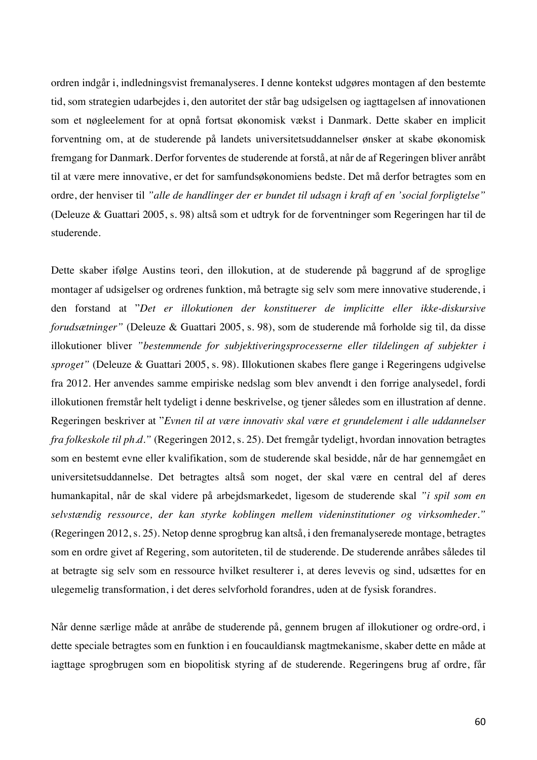ordren indgår i, indledningsvist fremanalyseres. I denne kontekst udgøres montagen af den bestemte tid, som strategien udarbejdes i, den autoritet der står bag udsigelsen og iagttagelsen af innovationen som et nøgleelement for at opnå fortsat økonomisk vækst i Danmark. Dette skaber en implicit forventning om, at de studerende på landets universitetsuddannelser ønsker at skabe økonomisk fremgang for Danmark. Derfor forventes de studerende at forstå, at når de af Regeringen bliver anråbt til at være mere innovative, er det for samfundsøkonomiens bedste. Det må derfor betragtes som en ordre, der henviser til *"alle de handlinger der er bundet til udsagn i kraft af en 'social forpligtelse"* (Deleuze & Guattari 2005, s. 98) altså som et udtryk for de forventninger som Regeringen har til de studerende.

Dette skaber ifølge Austins teori, den illokution, at de studerende på baggrund af de sproglige montager af udsigelser og ordrenes funktion, må betragte sig selv som mere innovative studerende, i den forstand at "*Det er illokutionen der konstituerer de implicitte eller ikke-diskursive forudsætninger"* (Deleuze & Guattari 2005, s. 98), som de studerende må forholde sig til, da disse illokutioner bliver *"bestemmende for subjektiveringsprocesserne eller tildelingen af subjekter i sproget"* (Deleuze & Guattari 2005, s. 98). Illokutionen skabes flere gange i Regeringens udgivelse fra 2012. Her anvendes samme empiriske nedslag som blev anvendt i den forrige analysedel, fordi illokutionen fremstår helt tydeligt i denne beskrivelse, og tjener således som en illustration af denne. Regeringen beskriver at "*Evnen til at være innovativ skal være et grundelement i alle uddannelser fra folkeskole til ph.d."* (Regeringen 2012, s. 25). Det fremgår tydeligt, hvordan innovation betragtes som en bestemt evne eller kvalifikation, som de studerende skal besidde, når de har gennemgået en universitetsuddannelse. Det betragtes altså som noget, der skal være en central del af deres humankapital, når de skal videre på arbejdsmarkedet, ligesom de studerende skal *"i spil som en selvstændig ressource, der kan styrke koblingen mellem videninstitutioner og virksomheder."* (Regeringen 2012, s. 25). Netop denne sprogbrug kan altså, i den fremanalyserede montage, betragtes som en ordre givet af Regering, som autoriteten, til de studerende. De studerende anråbes således til at betragte sig selv som en ressource hvilket resulterer i, at deres levevis og sind, udsættes for en ulegemelig transformation, i det deres selvforhold forandres, uden at de fysisk forandres.

Når denne særlige måde at anråbe de studerende på, gennem brugen af illokutioner og ordre-ord, i dette speciale betragtes som en funktion i en foucauldiansk magtmekanisme, skaber dette en måde at iagttage sprogbrugen som en biopolitisk styring af de studerende. Regeringens brug af ordre, får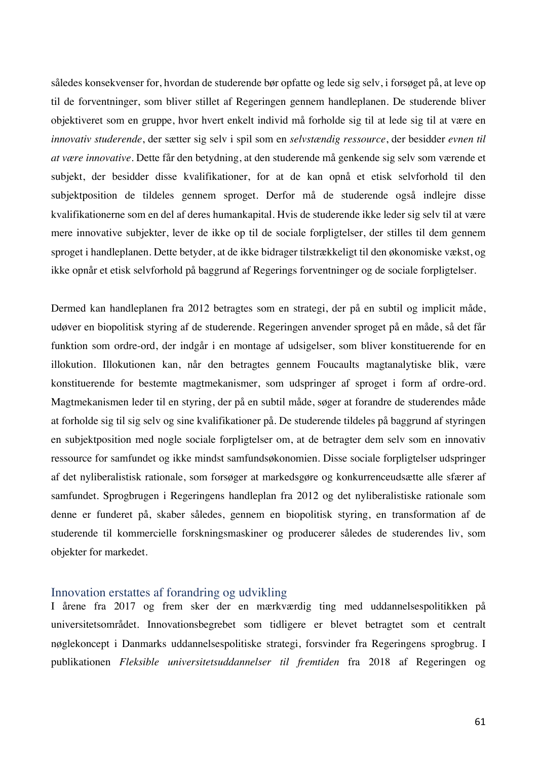således konsekvenser for, hvordan de studerende bør opfatte og lede sig selv, i forsøget på, at leve op til de forventninger, som bliver stillet af Regeringen gennem handleplanen. De studerende bliver objektiveret som en gruppe, hvor hvert enkelt individ må forholde sig til at lede sig til at være en *innovativ studerende*, der sætter sig selv i spil som en *selvstændig ressource*, der besidder *evnen til at være innovative.* Dette får den betydning, at den studerende må genkende sig selv som værende et subjekt, der besidder disse kvalifikationer, for at de kan opnå et etisk selvforhold til den subjektposition de tildeles gennem sproget. Derfor må de studerende også indlejre disse kvalifikationerne som en del af deres humankapital. Hvis de studerende ikke leder sig selv til at være mere innovative subjekter, lever de ikke op til de sociale forpligtelser, der stilles til dem gennem sproget i handleplanen. Dette betyder, at de ikke bidrager tilstrækkeligt til den økonomiske vækst, og ikke opnår et etisk selvforhold på baggrund af Regerings forventninger og de sociale forpligtelser.

Dermed kan handleplanen fra 2012 betragtes som en strategi, der på en subtil og implicit måde, udøver en biopolitisk styring af de studerende. Regeringen anvender sproget på en måde, så det får funktion som ordre-ord, der indgår i en montage af udsigelser, som bliver konstituerende for en illokution. Illokutionen kan, når den betragtes gennem Foucaults magtanalytiske blik, være konstituerende for bestemte magtmekanismer, som udspringer af sproget i form af ordre-ord. Magtmekanismen leder til en styring, der på en subtil måde, søger at forandre de studerendes måde at forholde sig til sig selv og sine kvalifikationer på. De studerende tildeles på baggrund af styringen en subjektposition med nogle sociale forpligtelser om, at de betragter dem selv som en innovativ ressource for samfundet og ikke mindst samfundsøkonomien. Disse sociale forpligtelser udspringer af det nyliberalistisk rationale, som forsøger at markedsgøre og konkurrenceudsætte alle sfærer af samfundet. Sprogbrugen i Regeringens handleplan fra 2012 og det nyliberalistiske rationale som denne er funderet på, skaber således, gennem en biopolitisk styring, en transformation af de studerende til kommercielle forskningsmaskiner og producerer således de studerendes liv, som objekter for markedet.

## Innovation erstattes af forandring og udvikling

I årene fra 2017 og frem sker der en mærkværdig ting med uddannelsespolitikken på universitetsområdet. Innovationsbegrebet som tidligere er blevet betragtet som et centralt nøglekoncept i Danmarks uddannelsespolitiske strategi, forsvinder fra Regeringens sprogbrug. I publikationen *Fleksible universitetsuddannelser til fremtiden* fra 2018 af Regeringen og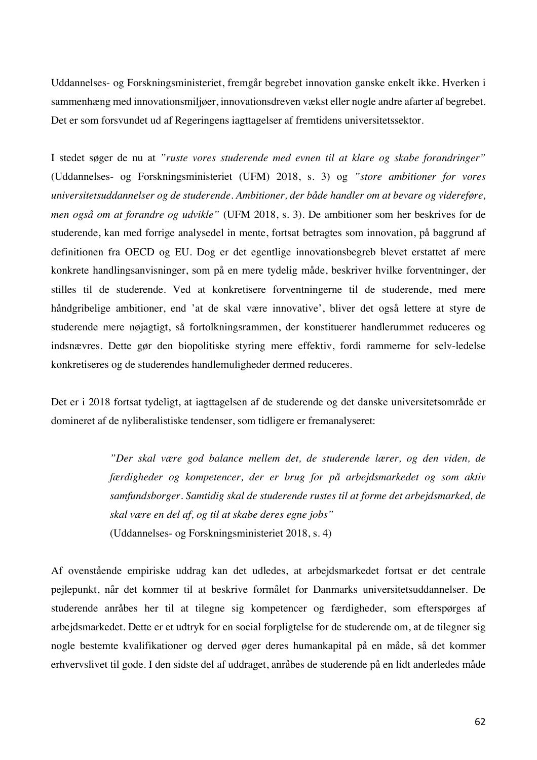Uddannelses- og Forskningsministeriet, fremgår begrebet innovation ganske enkelt ikke. Hverken i sammenhæng med innovationsmiljøer, innovationsdreven vækst eller nogle andre afarter af begrebet. Det er som forsvundet ud af Regeringens iagttagelser af fremtidens universitetssektor.

I stedet søger de nu at *"ruste vores studerende med evnen til at klare og skabe forandringer"* (Uddannelses- og Forskningsministeriet (UFM) 2018, s. 3) og *"store ambitioner for vores universitetsuddannelser og de studerende. Ambitioner, der både handler om at bevare og videreføre, men også om at forandre og udvikle"* (UFM 2018, s. 3). De ambitioner som her beskrives for de studerende, kan med forrige analysedel in mente, fortsat betragtes som innovation, på baggrund af definitionen fra OECD og EU. Dog er det egentlige innovationsbegreb blevet erstattet af mere konkrete handlingsanvisninger, som på en mere tydelig måde, beskriver hvilke forventninger, der stilles til de studerende. Ved at konkretisere forventningerne til de studerende, med mere håndgribelige ambitioner, end 'at de skal være innovative', bliver det også lettere at styre de studerende mere nøjagtigt, så fortolkningsrammen, der konstituerer handlerummet reduceres og indsnævres. Dette gør den biopolitiske styring mere effektiv, fordi rammerne for selv-ledelse konkretiseres og de studerendes handlemuligheder dermed reduceres.

Det er i 2018 fortsat tydeligt, at iagttagelsen af de studerende og det danske universitetsområde er domineret af de nyliberalistiske tendenser, som tidligere er fremanalyseret:

> *"Der skal være god balance mellem det, de studerende lærer, og den viden, de færdigheder og kompetencer, der er brug for på arbejdsmarkedet og som aktiv samfundsborger. Samtidig skal de studerende rustes til at forme det arbejdsmarked, de skal være en del af, og til at skabe deres egne jobs"* (Uddannelses- og Forskningsministeriet 2018, s. 4)

Af ovenstående empiriske uddrag kan det udledes, at arbejdsmarkedet fortsat er det centrale pejlepunkt, når det kommer til at beskrive formålet for Danmarks universitetsuddannelser. De studerende anråbes her til at tilegne sig kompetencer og færdigheder, som efterspørges af arbejdsmarkedet. Dette er et udtryk for en social forpligtelse for de studerende om, at de tilegner sig nogle bestemte kvalifikationer og derved øger deres humankapital på en måde, så det kommer erhvervslivet til gode. I den sidste del af uddraget, anråbes de studerende på en lidt anderledes måde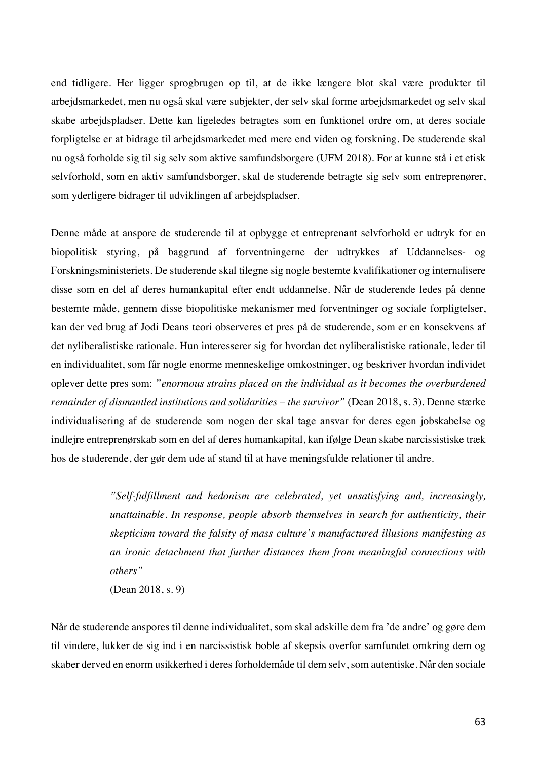end tidligere. Her ligger sprogbrugen op til, at de ikke længere blot skal være produkter til arbejdsmarkedet, men nu også skal være subjekter, der selv skal forme arbejdsmarkedet og selv skal skabe arbejdspladser. Dette kan ligeledes betragtes som en funktionel ordre om, at deres sociale forpligtelse er at bidrage til arbejdsmarkedet med mere end viden og forskning. De studerende skal nu også forholde sig til sig selv som aktive samfundsborgere (UFM 2018). For at kunne stå i et etisk selvforhold, som en aktiv samfundsborger, skal de studerende betragte sig selv som entreprenører, som yderligere bidrager til udviklingen af arbejdspladser.

Denne måde at anspore de studerende til at opbygge et entreprenant selvforhold er udtryk for en biopolitisk styring, på baggrund af forventningerne der udtrykkes af Uddannelses- og Forskningsministeriets. De studerende skal tilegne sig nogle bestemte kvalifikationer og internalisere disse som en del af deres humankapital efter endt uddannelse. Når de studerende ledes på denne bestemte måde, gennem disse biopolitiske mekanismer med forventninger og sociale forpligtelser, kan der ved brug af Jodi Deans teori observeres et pres på de studerende, som er en konsekvens af det nyliberalistiske rationale. Hun interesserer sig for hvordan det nyliberalistiske rationale, leder til en individualitet, som får nogle enorme menneskelige omkostninger, og beskriver hvordan individet oplever dette pres som: *"enormous strains placed on the individual as it becomes the overburdened remainder of dismantled institutions and solidarities – the survivor"* (Dean 2018, s. 3). Denne stærke individualisering af de studerende som nogen der skal tage ansvar for deres egen jobskabelse og indlejre entreprenørskab som en del af deres humankapital, kan ifølge Dean skabe narcissistiske træk hos de studerende, der gør dem ude af stand til at have meningsfulde relationer til andre.

> *"Self-fulfillment and hedonism are celebrated, yet unsatisfying and, increasingly, unattainable. In response, people absorb themselves in search for authenticity, their skepticism toward the falsity of mass culture's manufactured illusions manifesting as an ironic detachment that further distances them from meaningful connections with others"*

(Dean 2018, s. 9)

Når de studerende anspores til denne individualitet, som skal adskille dem fra 'de andre' og gøre dem til vindere, lukker de sig ind i en narcissistisk boble af skepsis overfor samfundet omkring dem og skaber derved en enorm usikkerhed i deres forholdemåde til dem selv, som autentiske. Når den sociale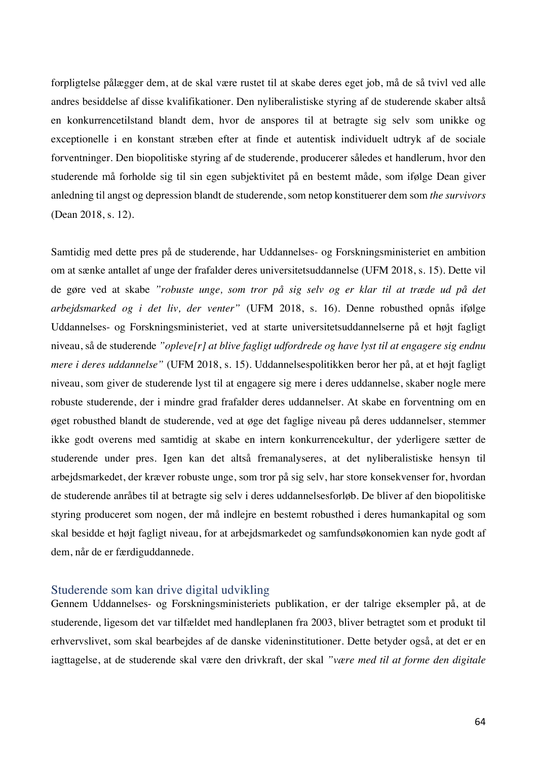forpligtelse pålægger dem, at de skal være rustet til at skabe deres eget job, må de så tvivl ved alle andres besiddelse af disse kvalifikationer. Den nyliberalistiske styring af de studerende skaber altså en konkurrencetilstand blandt dem, hvor de anspores til at betragte sig selv som unikke og exceptionelle i en konstant stræben efter at finde et autentisk individuelt udtryk af de sociale forventninger. Den biopolitiske styring af de studerende, producerer således et handlerum, hvor den studerende må forholde sig til sin egen subjektivitet på en bestemt måde, som ifølge Dean giver anledning til angst og depression blandt de studerende, som netop konstituerer dem som *the survivors* (Dean 2018, s. 12).

Samtidig med dette pres på de studerende, har Uddannelses- og Forskningsministeriet en ambition om at sænke antallet af unge der frafalder deres universitetsuddannelse (UFM 2018, s. 15). Dette vil de gøre ved at skabe *"robuste unge, som tror på sig selv og er klar til at træde ud på det arbejdsmarked og i det liv, der venter"* (UFM 2018, s. 16). Denne robusthed opnås ifølge Uddannelses- og Forskningsministeriet, ved at starte universitetsuddannelserne på et højt fagligt niveau, så de studerende *"opleve[r] at blive fagligt udfordrede og have lyst til at engagere sig endnu mere i deres uddannelse"* (UFM 2018, s. 15). Uddannelsespolitikken beror her på, at et højt fagligt niveau, som giver de studerende lyst til at engagere sig mere i deres uddannelse, skaber nogle mere robuste studerende, der i mindre grad frafalder deres uddannelser. At skabe en forventning om en øget robusthed blandt de studerende, ved at øge det faglige niveau på deres uddannelser, stemmer ikke godt overens med samtidig at skabe en intern konkurrencekultur, der yderligere sætter de studerende under pres. Igen kan det altså fremanalyseres, at det nyliberalistiske hensyn til arbejdsmarkedet, der kræver robuste unge, som tror på sig selv, har store konsekvenser for, hvordan de studerende anråbes til at betragte sig selv i deres uddannelsesforløb. De bliver af den biopolitiske styring produceret som nogen, der må indlejre en bestemt robusthed i deres humankapital og som skal besidde et højt fagligt niveau, for at arbejdsmarkedet og samfundsøkonomien kan nyde godt af dem, når de er færdiguddannede.

## Studerende som kan drive digital udvikling

Gennem Uddannelses- og Forskningsministeriets publikation, er der talrige eksempler på, at de studerende, ligesom det var tilfældet med handleplanen fra 2003, bliver betragtet som et produkt til erhvervslivet, som skal bearbejdes af de danske videninstitutioner. Dette betyder også, at det er en iagttagelse, at de studerende skal være den drivkraft, der skal *"være med til at forme den digitale*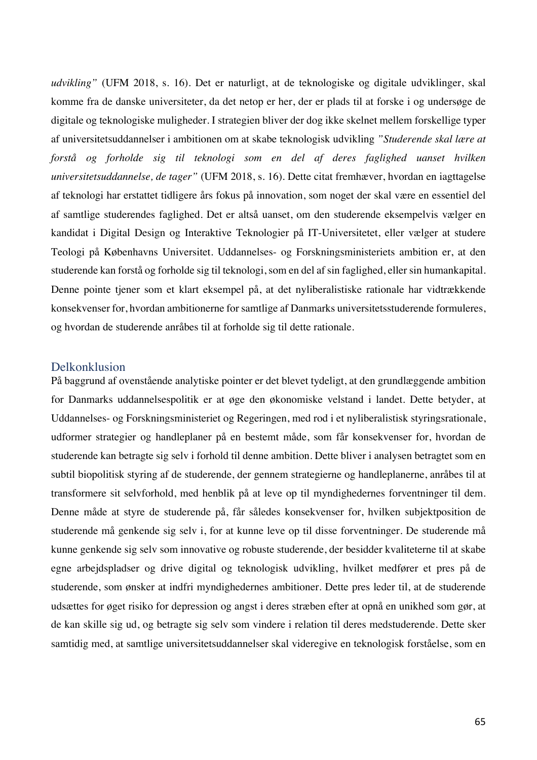*udvikling"* (UFM 2018, s. 16). Det er naturligt, at de teknologiske og digitale udviklinger, skal komme fra de danske universiteter, da det netop er her, der er plads til at forske i og undersøge de digitale og teknologiske muligheder. I strategien bliver der dog ikke skelnet mellem forskellige typer af universitetsuddannelser i ambitionen om at skabe teknologisk udvikling *"Studerende skal lære at forstå og forholde sig til teknologi som en del af deres faglighed uanset hvilken universitetsuddannelse, de tager"* (UFM 2018, s. 16). Dette citat fremhæver, hvordan en iagttagelse af teknologi har erstattet tidligere års fokus på innovation, som noget der skal være en essentiel del af samtlige studerendes faglighed. Det er altså uanset, om den studerende eksempelvis vælger en kandidat i Digital Design og Interaktive Teknologier på IT-Universitetet, eller vælger at studere Teologi på Københavns Universitet. Uddannelses- og Forskningsministeriets ambition er, at den studerende kan forstå og forholde sig til teknologi, som en del af sin faglighed, eller sin humankapital. Denne pointe tjener som et klart eksempel på, at det nyliberalistiske rationale har vidtrækkende konsekvenser for, hvordan ambitionerne for samtlige af Danmarks universitetsstuderende formuleres, og hvordan de studerende anråbes til at forholde sig til dette rationale.

### Delkonklusion

På baggrund af ovenstående analytiske pointer er det blevet tydeligt, at den grundlæggende ambition for Danmarks uddannelsespolitik er at øge den økonomiske velstand i landet. Dette betyder, at Uddannelses- og Forskningsministeriet og Regeringen, med rod i et nyliberalistisk styringsrationale, udformer strategier og handleplaner på en bestemt måde, som får konsekvenser for, hvordan de studerende kan betragte sig selv i forhold til denne ambition. Dette bliver i analysen betragtet som en subtil biopolitisk styring af de studerende, der gennem strategierne og handleplanerne, anråbes til at transformere sit selvforhold, med henblik på at leve op til myndighedernes forventninger til dem. Denne måde at styre de studerende på, får således konsekvenser for, hvilken subjektposition de studerende må genkende sig selv i, for at kunne leve op til disse forventninger. De studerende må kunne genkende sig selv som innovative og robuste studerende, der besidder kvaliteterne til at skabe egne arbejdspladser og drive digital og teknologisk udvikling, hvilket medfører et pres på de studerende, som ønsker at indfri myndighedernes ambitioner. Dette pres leder til, at de studerende udsættes for øget risiko for depression og angst i deres stræben efter at opnå en unikhed som gør, at de kan skille sig ud, og betragte sig selv som vindere i relation til deres medstuderende. Dette sker samtidig med, at samtlige universitetsuddannelser skal videregive en teknologisk forståelse, som en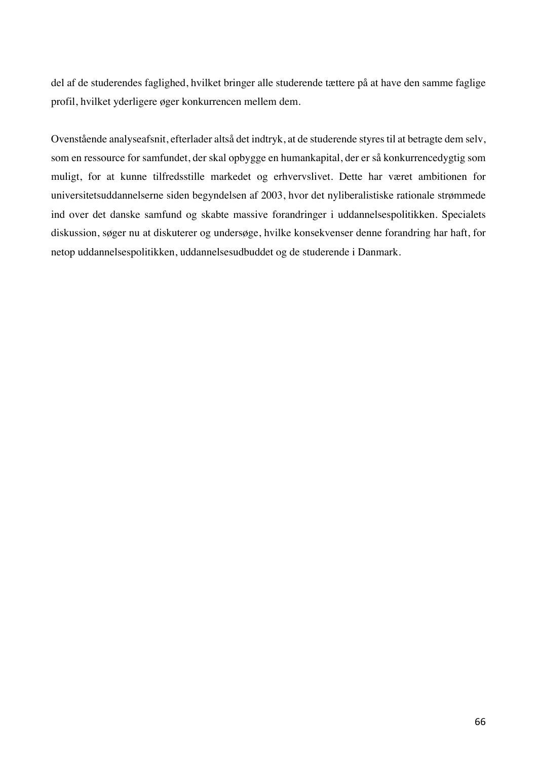del af de studerendes faglighed, hvilket bringer alle studerende tættere på at have den samme faglige profil, hvilket yderligere øger konkurrencen mellem dem.

Ovenstående analyseafsnit, efterlader altså det indtryk, at de studerende styres til at betragte dem selv, som en ressource for samfundet, der skal opbygge en humankapital, der er så konkurrencedygtig som muligt, for at kunne tilfredsstille markedet og erhvervslivet. Dette har været ambitionen for universitetsuddannelserne siden begyndelsen af 2003, hvor det nyliberalistiske rationale strømmede ind over det danske samfund og skabte massive forandringer i uddannelsespolitikken. Specialets diskussion, søger nu at diskuterer og undersøge, hvilke konsekvenser denne forandring har haft, for netop uddannelsespolitikken, uddannelsesudbuddet og de studerende i Danmark.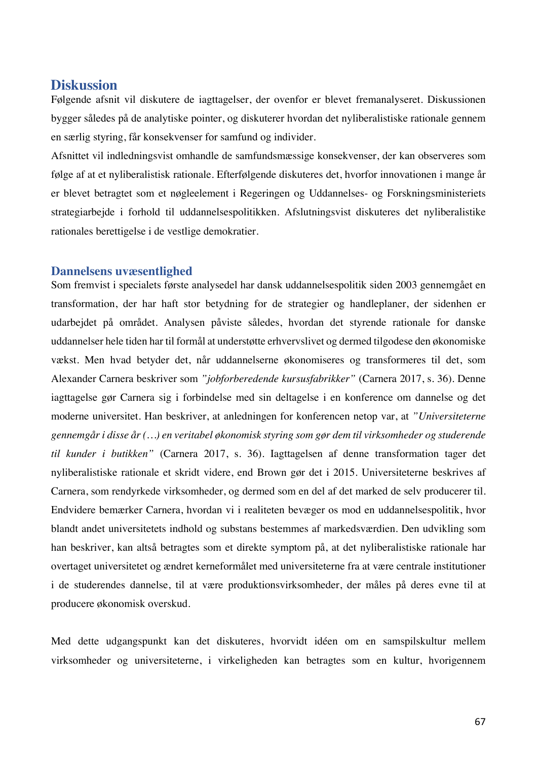# **Diskussion**

Følgende afsnit vil diskutere de iagttagelser, der ovenfor er blevet fremanalyseret. Diskussionen bygger således på de analytiske pointer, og diskuterer hvordan det nyliberalistiske rationale gennem en særlig styring, får konsekvenser for samfund og individer.

Afsnittet vil indledningsvist omhandle de samfundsmæssige konsekvenser, der kan observeres som følge af at et nyliberalistisk rationale. Efterfølgende diskuteres det, hvorfor innovationen i mange år er blevet betragtet som et nøgleelement i Regeringen og Uddannelses- og Forskningsministeriets strategiarbejde i forhold til uddannelsespolitikken. Afslutningsvist diskuteres det nyliberalistike rationales berettigelse i de vestlige demokratier.

## **Dannelsens uvæsentlighed**

Som fremvist i specialets første analysedel har dansk uddannelsespolitik siden 2003 gennemgået en transformation, der har haft stor betydning for de strategier og handleplaner, der sidenhen er udarbejdet på området. Analysen påviste således, hvordan det styrende rationale for danske uddannelser hele tiden har til formål at understøtte erhvervslivet og dermed tilgodese den økonomiske vækst. Men hvad betyder det, når uddannelserne økonomiseres og transformeres til det, som Alexander Carnera beskriver som *"jobforberedende kursusfabrikker"* (Carnera 2017, s. 36). Denne iagttagelse gør Carnera sig i forbindelse med sin deltagelse i en konference om dannelse og det moderne universitet. Han beskriver, at anledningen for konferencen netop var, at *"Universiteterne gennemgår i disse år (…) en veritabel økonomisk styring som gør dem til virksomheder og studerende til kunder i butikken"* (Carnera 2017, s. 36). Iagttagelsen af denne transformation tager det nyliberalistiske rationale et skridt videre, end Brown gør det i 2015. Universiteterne beskrives af Carnera, som rendyrkede virksomheder, og dermed som en del af det marked de selv producerer til. Endvidere bemærker Carnera, hvordan vi i realiteten bevæger os mod en uddannelsespolitik, hvor blandt andet universitetets indhold og substans bestemmes af markedsværdien. Den udvikling som han beskriver, kan altså betragtes som et direkte symptom på, at det nyliberalistiske rationale har overtaget universitetet og ændret kerneformålet med universiteterne fra at være centrale institutioner i de studerendes dannelse, til at være produktionsvirksomheder, der måles på deres evne til at producere økonomisk overskud.

Med dette udgangspunkt kan det diskuteres, hvorvidt idéen om en samspilskultur mellem virksomheder og universiteterne, i virkeligheden kan betragtes som en kultur, hvorigennem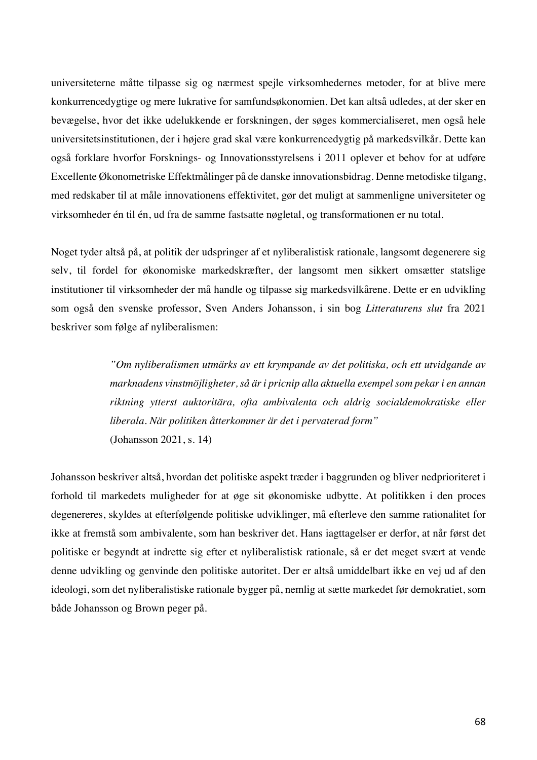universiteterne måtte tilpasse sig og nærmest spejle virksomhedernes metoder, for at blive mere konkurrencedygtige og mere lukrative for samfundsøkonomien. Det kan altså udledes, at der sker en bevægelse, hvor det ikke udelukkende er forskningen, der søges kommercialiseret, men også hele universitetsinstitutionen, der i højere grad skal være konkurrencedygtig på markedsvilkår. Dette kan også forklare hvorfor Forsknings- og Innovationsstyrelsens i 2011 oplever et behov for at udføre Excellente Økonometriske Effektmålinger på de danske innovationsbidrag. Denne metodiske tilgang, med redskaber til at måle innovationens effektivitet, gør det muligt at sammenligne universiteter og virksomheder én til én, ud fra de samme fastsatte nøgletal, og transformationen er nu total.

Noget tyder altså på, at politik der udspringer af et nyliberalistisk rationale, langsomt degenerere sig selv, til fordel for økonomiske markedskræfter, der langsomt men sikkert omsætter statslige institutioner til virksomheder der må handle og tilpasse sig markedsvilkårene. Dette er en udvikling som også den svenske professor, Sven Anders Johansson, i sin bog *Litteraturens slut* fra 2021 beskriver som følge af nyliberalismen:

> *"Om nyliberalismen utmärks av ett krympande av det politiska, och ett utvidgande av marknadens vinstmöjligheter, så är i pricnip alla aktuella exempel som pekar i en annan riktning ytterst auktoritära, ofta ambivalenta och aldrig socialdemokratiske eller liberala. När politiken åtterkommer är det i pervaterad form"* (Johansson 2021, s. 14)

Johansson beskriver altså, hvordan det politiske aspekt træder i baggrunden og bliver nedprioriteret i forhold til markedets muligheder for at øge sit økonomiske udbytte. At politikken i den proces degenereres, skyldes at efterfølgende politiske udviklinger, må efterleve den samme rationalitet for ikke at fremstå som ambivalente, som han beskriver det. Hans iagttagelser er derfor, at når først det politiske er begyndt at indrette sig efter et nyliberalistisk rationale, så er det meget svært at vende denne udvikling og genvinde den politiske autoritet. Der er altså umiddelbart ikke en vej ud af den ideologi, som det nyliberalistiske rationale bygger på, nemlig at sætte markedet før demokratiet, som både Johansson og Brown peger på.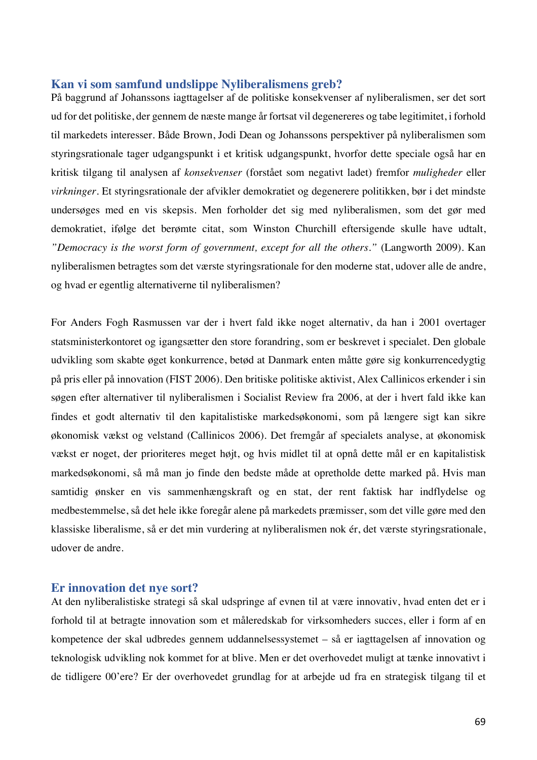# **Kan vi som samfund undslippe Nyliberalismens greb?**

På baggrund af Johanssons iagttagelser af de politiske konsekvenser af nyliberalismen, ser det sort ud for det politiske, der gennem de næste mange år fortsat vil degenereres og tabe legitimitet, i forhold til markedets interesser. Både Brown, Jodi Dean og Johanssons perspektiver på nyliberalismen som styringsrationale tager udgangspunkt i et kritisk udgangspunkt, hvorfor dette speciale også har en kritisk tilgang til analysen af *konsekvenser* (forstået som negativt ladet) fremfor *muligheder* eller *virkninger.* Et styringsrationale der afvikler demokratiet og degenerere politikken, bør i det mindste undersøges med en vis skepsis. Men forholder det sig med nyliberalismen, som det gør med demokratiet, ifølge det berømte citat, som Winston Churchill eftersigende skulle have udtalt, *"Democracy is the worst form of government, except for all the others."* (Langworth 2009). Kan nyliberalismen betragtes som det værste styringsrationale for den moderne stat, udover alle de andre, og hvad er egentlig alternativerne til nyliberalismen?

For Anders Fogh Rasmussen var der i hvert fald ikke noget alternativ, da han i 2001 overtager statsministerkontoret og igangsætter den store forandring, som er beskrevet i specialet. Den globale udvikling som skabte øget konkurrence, betød at Danmark enten måtte gøre sig konkurrencedygtig på pris eller på innovation (FIST 2006). Den britiske politiske aktivist, Alex Callinicos erkender i sin søgen efter alternativer til nyliberalismen i Socialist Review fra 2006, at der i hvert fald ikke kan findes et godt alternativ til den kapitalistiske markedsøkonomi, som på længere sigt kan sikre økonomisk vækst og velstand (Callinicos 2006). Det fremgår af specialets analyse, at økonomisk vækst er noget, der prioriteres meget højt, og hvis midlet til at opnå dette mål er en kapitalistisk markedsøkonomi, så må man jo finde den bedste måde at opretholde dette marked på. Hvis man samtidig ønsker en vis sammenhængskraft og en stat, der rent faktisk har indflydelse og medbestemmelse, så det hele ikke foregår alene på markedets præmisser, som det ville gøre med den klassiske liberalisme, så er det min vurdering at nyliberalismen nok ér, det værste styringsrationale, udover de andre.

#### **Er innovation det nye sort?**

At den nyliberalistiske strategi så skal udspringe af evnen til at være innovativ, hvad enten det er i forhold til at betragte innovation som et måleredskab for virksomheders succes, eller i form af en kompetence der skal udbredes gennem uddannelsessystemet – så er iagttagelsen af innovation og teknologisk udvikling nok kommet for at blive. Men er det overhovedet muligt at tænke innovativt i de tidligere 00'ere? Er der overhovedet grundlag for at arbejde ud fra en strategisk tilgang til et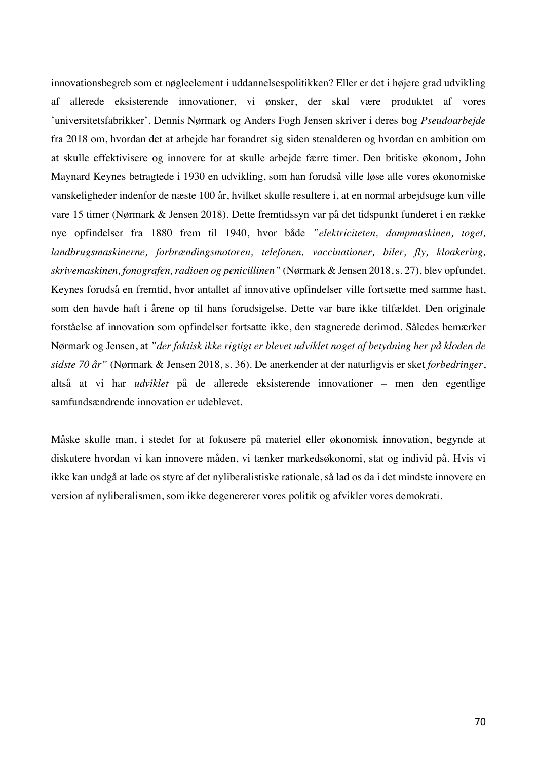innovationsbegreb som et nøgleelement i uddannelsespolitikken? Eller er det i højere grad udvikling af allerede eksisterende innovationer, vi ønsker, der skal være produktet af vores 'universitetsfabrikker'. Dennis Nørmark og Anders Fogh Jensen skriver i deres bog *Pseudoarbejde* fra 2018 om, hvordan det at arbejde har forandret sig siden stenalderen og hvordan en ambition om at skulle effektivisere og innovere for at skulle arbejde færre timer. Den britiske økonom, John Maynard Keynes betragtede i 1930 en udvikling, som han forudså ville løse alle vores økonomiske vanskeligheder indenfor de næste 100 år, hvilket skulle resultere i, at en normal arbejdsuge kun ville vare 15 timer (Nørmark & Jensen 2018). Dette fremtidssyn var på det tidspunkt funderet i en række nye opfindelser fra 1880 frem til 1940, hvor både *"elektriciteten, dampmaskinen, toget, landbrugsmaskinerne, forbrændingsmotoren, telefonen, vaccinationer, biler, fly, kloakering, skrivemaskinen, fonografen, radioen og penicillinen"* (Nørmark & Jensen 2018, s. 27), blev opfundet. Keynes forudså en fremtid, hvor antallet af innovative opfindelser ville fortsætte med samme hast, som den havde haft i årene op til hans forudsigelse. Dette var bare ikke tilfældet. Den originale forståelse af innovation som opfindelser fortsatte ikke, den stagnerede derimod. Således bemærker Nørmark og Jensen, at *"der faktisk ikke rigtigt er blevet udviklet noget af betydning her på kloden de sidste 70 år"* (Nørmark & Jensen 2018, s. 36). De anerkender at der naturligvis er sket *forbedringer*, altså at vi har *udviklet* på de allerede eksisterende innovationer – men den egentlige samfundsændrende innovation er udeblevet.

Måske skulle man, i stedet for at fokusere på materiel eller økonomisk innovation, begynde at diskutere hvordan vi kan innovere måden, vi tænker markedsøkonomi, stat og individ på. Hvis vi ikke kan undgå at lade os styre af det nyliberalistiske rationale, så lad os da i det mindste innovere en version af nyliberalismen, som ikke degenererer vores politik og afvikler vores demokrati.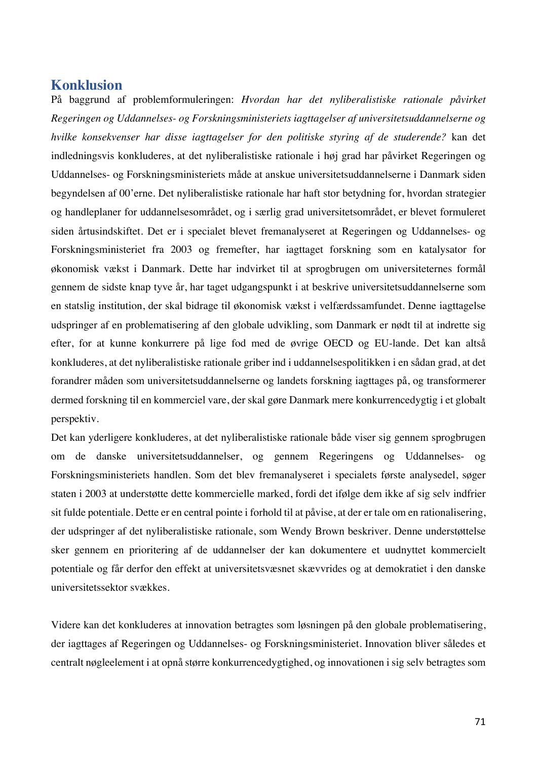# **Konklusion**

På baggrund af problemformuleringen: *Hvordan har det nyliberalistiske rationale påvirket Regeringen og Uddannelses- og Forskningsministeriets iagttagelser af universitetsuddannelserne og hvilke konsekvenser har disse iagttagelser for den politiske styring af de studerende?* kan det indledningsvis konkluderes, at det nyliberalistiske rationale i høj grad har påvirket Regeringen og Uddannelses- og Forskningsministeriets måde at anskue universitetsuddannelserne i Danmark siden begyndelsen af 00'erne. Det nyliberalistiske rationale har haft stor betydning for, hvordan strategier og handleplaner for uddannelsesområdet, og i særlig grad universitetsområdet, er blevet formuleret siden årtusindskiftet. Det er i specialet blevet fremanalyseret at Regeringen og Uddannelses- og Forskningsministeriet fra 2003 og fremefter, har iagttaget forskning som en katalysator for økonomisk vækst i Danmark. Dette har indvirket til at sprogbrugen om universiteternes formål gennem de sidste knap tyve år, har taget udgangspunkt i at beskrive universitetsuddannelserne som en statslig institution, der skal bidrage til økonomisk vækst i velfærdssamfundet. Denne iagttagelse udspringer af en problematisering af den globale udvikling, som Danmark er nødt til at indrette sig efter, for at kunne konkurrere på lige fod med de øvrige OECD og EU-lande. Det kan altså konkluderes, at det nyliberalistiske rationale griber ind i uddannelsespolitikken i en sådan grad, at det forandrer måden som universitetsuddannelserne og landets forskning iagttages på, og transformerer dermed forskning til en kommerciel vare, der skal gøre Danmark mere konkurrencedygtig i et globalt perspektiv.

Det kan yderligere konkluderes, at det nyliberalistiske rationale både viser sig gennem sprogbrugen om de danske universitetsuddannelser, og gennem Regeringens og Uddannelses- og Forskningsministeriets handlen. Som det blev fremanalyseret i specialets første analysedel, søger staten i 2003 at understøtte dette kommercielle marked, fordi det ifølge dem ikke af sig selv indfrier sit fulde potentiale. Dette er en central pointe i forhold til at påvise, at der er tale om en rationalisering, der udspringer af det nyliberalistiske rationale, som Wendy Brown beskriver. Denne understøttelse sker gennem en prioritering af de uddannelser der kan dokumentere et uudnyttet kommercielt potentiale og får derfor den effekt at universitetsvæsnet skævvrides og at demokratiet i den danske universitetssektor svækkes.

Videre kan det konkluderes at innovation betragtes som løsningen på den globale problematisering, der iagttages af Regeringen og Uddannelses- og Forskningsministeriet. Innovation bliver således et centralt nøgleelement i at opnå større konkurrencedygtighed, og innovationen i sig selv betragtes som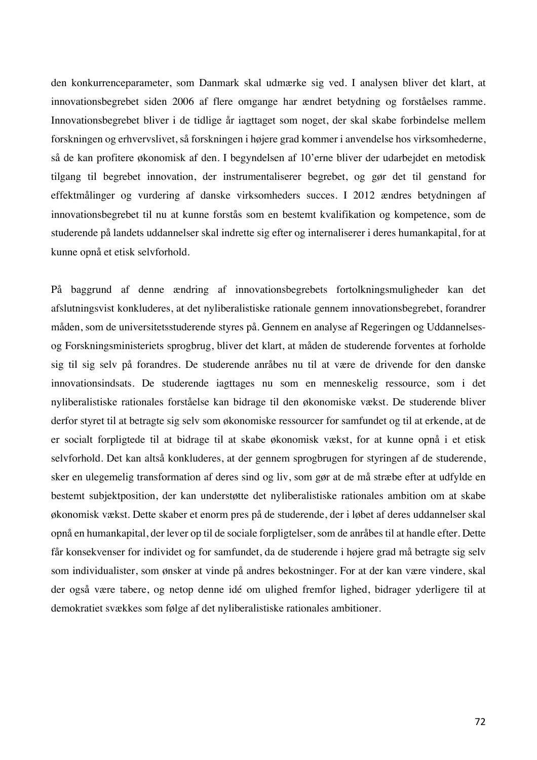den konkurrenceparameter, som Danmark skal udmærke sig ved. I analysen bliver det klart, at innovationsbegrebet siden 2006 af flere omgange har ændret betydning og forståelses ramme. Innovationsbegrebet bliver i de tidlige år iagttaget som noget, der skal skabe forbindelse mellem forskningen og erhvervslivet, så forskningen i højere grad kommer i anvendelse hos virksomhederne, så de kan profitere økonomisk af den. I begyndelsen af 10'erne bliver der udarbejdet en metodisk tilgang til begrebet innovation, der instrumentaliserer begrebet, og gør det til genstand for effektmålinger og vurdering af danske virksomheders succes. I 2012 ændres betydningen af innovationsbegrebet til nu at kunne forstås som en bestemt kvalifikation og kompetence, som de studerende på landets uddannelser skal indrette sig efter og internaliserer i deres humankapital, for at kunne opnå et etisk selvforhold.

På baggrund af denne ændring af innovationsbegrebets fortolkningsmuligheder kan det afslutningsvist konkluderes, at det nyliberalistiske rationale gennem innovationsbegrebet, forandrer måden, som de universitetsstuderende styres på. Gennem en analyse af Regeringen og Uddannelsesog Forskningsministeriets sprogbrug, bliver det klart, at måden de studerende forventes at forholde sig til sig selv på forandres. De studerende anråbes nu til at være de drivende for den danske innovationsindsats. De studerende iagttages nu som en menneskelig ressource, som i det nyliberalistiske rationales forståelse kan bidrage til den økonomiske vækst. De studerende bliver derfor styret til at betragte sig selv som økonomiske ressourcer for samfundet og til at erkende, at de er socialt forpligtede til at bidrage til at skabe økonomisk vækst, for at kunne opnå i et etisk selvforhold. Det kan altså konkluderes, at der gennem sprogbrugen for styringen af de studerende, sker en ulegemelig transformation af deres sind og liv, som gør at de må stræbe efter at udfylde en bestemt subjektposition, der kan understøtte det nyliberalistiske rationales ambition om at skabe økonomisk vækst. Dette skaber et enorm pres på de studerende, der i løbet af deres uddannelser skal opnå en humankapital, der lever op til de sociale forpligtelser, som de anråbes til at handle efter. Dette får konsekvenser for individet og for samfundet, da de studerende i højere grad må betragte sig selv som individualister, som ønsker at vinde på andres bekostninger. For at der kan være vindere, skal der også være tabere, og netop denne idé om ulighed fremfor lighed, bidrager yderligere til at demokratiet svækkes som følge af det nyliberalistiske rationales ambitioner.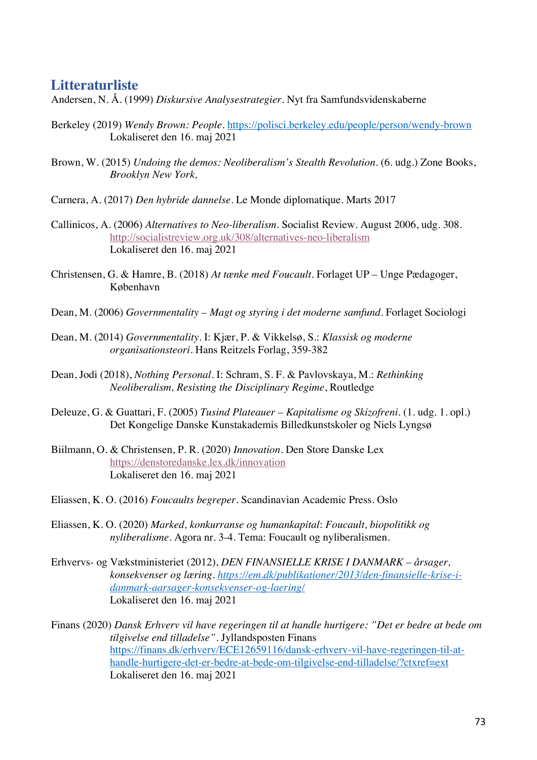## **Litteraturliste**

Andersen, N. Å. (1999) *Diskursive Analysestrategier*. Nyt fra Samfundsvidenskaberne

- Berkeley (2019) *Wendy Brown: People*. https://polisci.berkeley.edu/people/person/wendy-brown Lokaliseret den 16. maj 2021
- Brown, W. (2015) *Undoing the demos: Neoliberalism's Stealth Revolution*. (6. udg.) Zone Books, *Brooklyn New York,*
- Carnera, A. (2017) *Den hybride dannelse*. Le Monde diplomatique*.* Marts 2017
- Callinicos, A. (2006) *Alternatives to Neo-liberalism*. Socialist Review. August 2006, udg. 308. http://socialistreview.org.uk/308/alternatives-neo-liberalism Lokaliseret den 16. maj 2021
- Christensen, G. & Hamre, B. (2018) *At tænke med Foucault*. Forlaget UP Unge Pædagoger, København
- Dean, M. (2006) *Governmentality – Magt og styring i det moderne samfund*. Forlaget Sociologi
- Dean, M. (2014) *Governmentality*. I: Kjær, P. & Vikkelsø, S.: *Klassisk og moderne organisationsteori*. Hans Reitzels Forlag, 359-382
- Dean, Jodi (2018), *Nothing Personal*. I: Schram, S. F. & Pavlovskaya, M.: *Rethinking Neoliberalism, Resisting the Disciplinary Regime*, Routledge
- Deleuze, G. & Guattari, F. (2005) *Tusind Plateauer – Kapitalisme og Skizofreni*. (1. udg. 1. opl.) Det Kongelige Danske Kunstakademis Billedkunstskoler og Niels Lyngsø
- Biilmann, O. & Christensen, P. R. (2020) *Innovation*. Den Store Danske Lex https://denstoredanske.lex.dk/innovation Lokaliseret den 16. maj 2021
- Eliassen, K. O. (2016) *Foucaults begreper*. Scandinavian Academic Press. Oslo
- Eliassen, K. O. (2020) *Marked, konkurranse og humankapital*: *Foucault, biopolitikk og nyliberalisme.* Agora nr. 3-4. Tema: Foucault og nyliberalismen.
- Erhvervs- og Vækstministeriet (2012), *DEN FINANSIELLE KRISE I DANMARK – årsager, konsekvenser og læring. https://em.dk/publikationer/2013/den-finansielle-krise-idanmark-aarsager-konsekvenser-og-laering/* Lokaliseret den 16. maj 2021
- Finans (2020) *Dansk Erhverv vil have regeringen til at handle hurtigere: "Det er bedre at bede om tilgivelse end tilladelse".* Jyllandsposten Finans https://finans.dk/erhverv/ECE12659116/dansk-erhverv-vil-have-regeringen-til-athandle-hurtigere-det-er-bedre-at-bede-om-tilgivelse-end-tilladelse/?ctxref=ext Lokaliseret den 16. maj 2021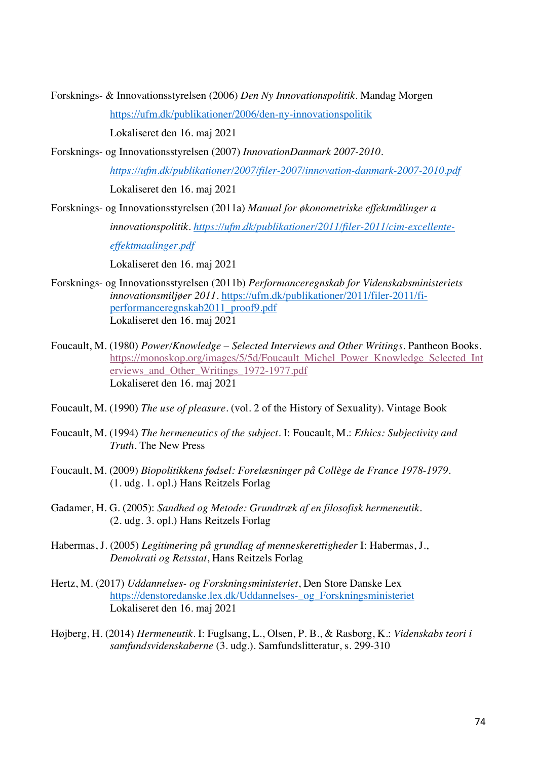Forsknings- & Innovationsstyrelsen (2006) *Den Ny Innovationspolitik*. Mandag Morgen

https://ufm.dk/publikationer/2006/den-ny-innovationspolitik

Lokaliseret den 16. maj 2021

Forsknings- og Innovationsstyrelsen (2007) *InnovationDanmark 2007-2010.*

*https://ufm.dk/publikationer/2007/filer-2007/innovation-danmark-2007-2010.pdf* Lokaliseret den 16. maj 2021

Forsknings- og Innovationsstyrelsen (2011a) *Manual for økonometriske effektmålinger a* 

*innovationspolitik. https://ufm.dk/publikationer/2011/filer-2011/cim-excellente-*

*effektmaalinger.pdf*

Lokaliseret den 16. maj 2021

- Forsknings- og Innovationsstyrelsen (2011b) *Performanceregnskab for Videnskabsministeriets innovationsmiljøer 2011*. https://ufm.dk/publikationer/2011/filer-2011/fiperformanceregnskab2011\_proof9.pdf Lokaliseret den 16. maj 2021
- Foucault, M. (1980) *Power/Knowledge – Selected Interviews and Other Writings*. Pantheon Books. https://monoskop.org/images/5/5d/Foucault\_Michel\_Power\_Knowledge\_Selected\_Int erviews\_and\_Other\_Writings\_1972-1977.pdf Lokaliseret den 16. maj 2021
- Foucault, M. (1990) *The use of pleasure*. (vol. 2 of the History of Sexuality). Vintage Book
- Foucault, M. (1994) *The hermeneutics of the subject*. I: Foucault, M.: *Ethics: Subjectivity and Truth.* The New Press
- Foucault, M. (2009) *Biopolitikkens fødsel: Forelæsninger på Collège de France 1978-1979*. (1. udg. 1. opl.) Hans Reitzels Forlag
- Gadamer, H. G. (2005): *Sandhed og Metode: Grundtræk af en filosofisk hermeneutik*. (2. udg. 3. opl.) Hans Reitzels Forlag
- Habermas, J. (2005) *Legitimering på grundlag af menneskerettigheder* I: Habermas, J., *Demokrati og Retsstat*, Hans Reitzels Forlag
- Hertz, M. (2017) *Uddannelses- og Forskningsministeriet*, Den Store Danske Lex https://denstoredanske.lex.dk/Uddannelses-\_og\_Forskningsministeriet Lokaliseret den 16. maj 2021
- Højberg, H. (2014) *Hermeneutik.* I: Fuglsang, L., Olsen, P. B., & Rasborg, K.: *Videnskabs teori i samfundsvidenskaberne* (3. udg.). Samfundslitteratur, s. 299-310